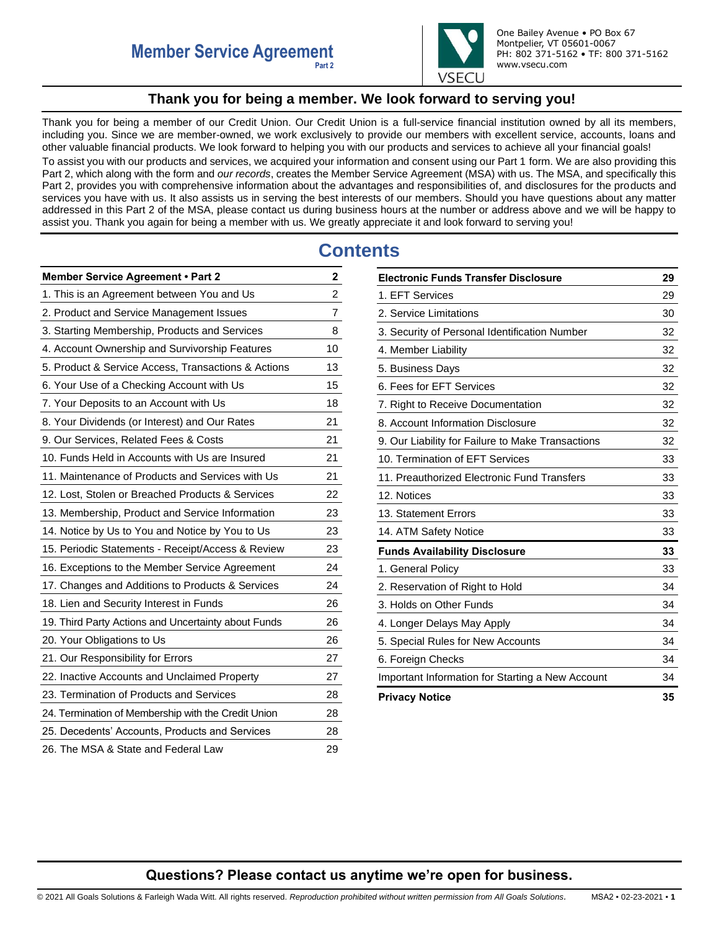

# **Thank you for being a member. We look forward to serving you!**

<span id="page-0-0"></span>Thank you for being a member of our Credit Union. Our Credit Union is a full-service financial institution owned by all its members, including you. Since we are member-owned, we work exclusively to provide our members with excellent service, accounts, loans and other valuable financial products. We look forward to helping you with our products and services to achieve all your financial goals!

To assist you with our products and services, we acquired your information and consent using our Part 1 form. We are also providing this Part 2, which along with the form and *our records*, creates the Member Service Agreement (MSA) with us. The MSA, and specifically this Part 2, provides you with comprehensive information about the advantages and responsibilities of, and disclosures for the products and services you have with us. It also assists us in serving the best interests of our members. Should you have questions about any matter addressed in this Part 2 of the MSA, please contact us during business hours at the number or address above and we will be happy to assist you. Thank you again for being a member with us. We greatly appreciate it and look forward to serving you!

# **Contents**

| Member Service Agreement . Part 2                   | 2              |
|-----------------------------------------------------|----------------|
| 1. This is an Agreement between You and Us          | $\overline{c}$ |
| 2. Product and Service Management Issues            | 7              |
| 3. Starting Membership, Products and Services       | 8              |
| 4. Account Ownership and Survivorship Features      | 10             |
| 5. Product & Service Access, Transactions & Actions | 13             |
| 6. Your Use of a Checking Account with Us           | 15             |
| 7. Your Deposits to an Account with Us              | 18             |
| 8. Your Dividends (or Interest) and Our Rates       | 21             |
| 9. Our Services, Related Fees & Costs               | 21             |
| 10. Funds Held in Accounts with Us are Insured      | 21             |
| 11. Maintenance of Products and Services with Us    | 21             |
| 12. Lost, Stolen or Breached Products & Services    | 22             |
| 13. Membership, Product and Service Information     | 23             |
| 14. Notice by Us to You and Notice by You to Us     | 23             |
| 15. Periodic Statements - Receipt/Access & Review   | 23             |
| 16. Exceptions to the Member Service Agreement      | 24             |
| 17. Changes and Additions to Products & Services    | 24             |
| 18. Lien and Security Interest in Funds             | 26             |
| 19. Third Party Actions and Uncertainty about Funds | 26             |
| 20. Your Obligations to Us                          | 26             |
| 21. Our Responsibility for Errors                   | 27             |
| 22. Inactive Accounts and Unclaimed Property        | 27             |
| 23. Termination of Products and Services            | 28             |
| 24. Termination of Membership with the Credit Union | 28             |
| 25. Decedents' Accounts, Products and Services      | 28             |
| 26. The MSA & State and Federal Law                 | 29             |

| <b>Electronic Funds Transfer Disclosure</b>       |    |
|---------------------------------------------------|----|
| 1. EFT Services                                   | 29 |
| 2. Service Limitations                            | 30 |
| 3. Security of Personal Identification Number     | 32 |
| 4. Member Liability                               | 32 |
| 5. Business Days                                  | 32 |
| 6. Fees for EFT Services                          | 32 |
| 7. Right to Receive Documentation                 | 32 |
| 8. Account Information Disclosure                 | 32 |
| 9. Our Liability for Failure to Make Transactions | 32 |
| 10. Termination of EFT Services                   | 33 |
| 11. Preauthorized Electronic Fund Transfers       | 33 |
| 12. Notices                                       | 33 |
| 13. Statement Errors                              | 33 |
| 14. ATM Safety Notice                             | 33 |
| <b>Funds Availability Disclosure</b>              | 33 |
| 1. General Policy                                 | 33 |
| 2. Reservation of Right to Hold                   | 34 |
| 3. Holds on Other Funds                           | 34 |
| 4. Longer Delays May Apply                        | 34 |
| 5. Special Rules for New Accounts                 | 34 |
| 6. Foreign Checks                                 | 34 |
| Important Information for Starting a New Account  | 34 |
| <b>Privacy Notice</b>                             | 35 |

# **Questions? Please contact us anytime we're open for business.**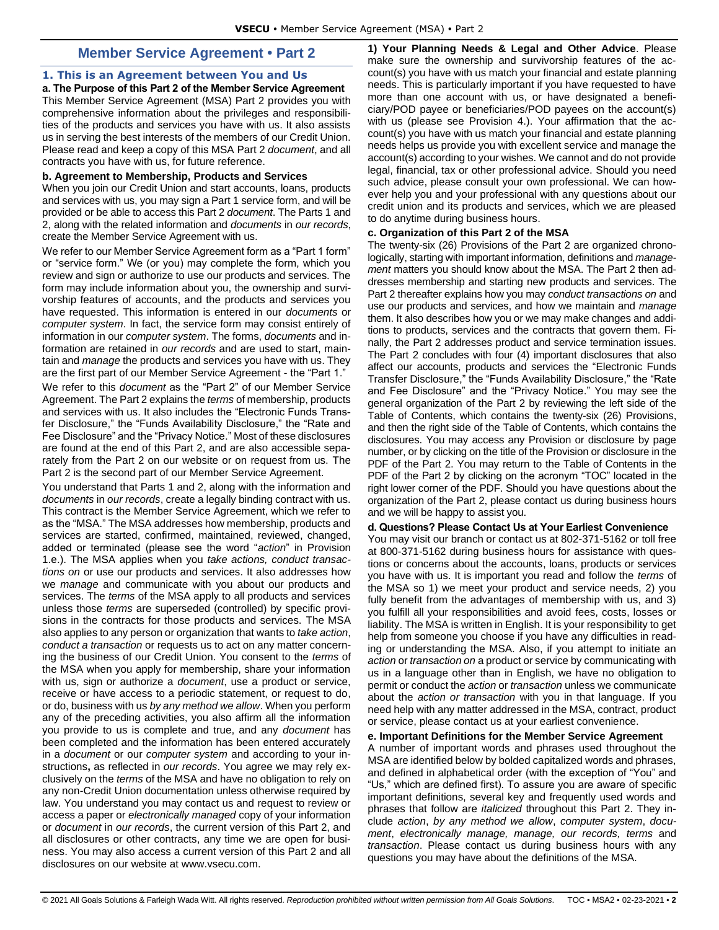# **Member Service Agreement • Part 2**

## <span id="page-1-1"></span><span id="page-1-0"></span>**1. This is an Agreement between You and Us**

**a. The Purpose of this Part 2 of the Member Service Agreement**  This Member Service Agreement (MSA) Part 2 provides you with comprehensive information about the privileges and responsibilities of the products and services you have with us. It also assists us in serving the best interests of the members of our Credit Union. Please read and keep a copy of this MSA Part 2 *document*, and all contracts you have with us, for future reference.

#### **b. Agreement to Membership, Products and Services**

When you join our Credit Union and start accounts, loans, products and services with us, you may sign a Part 1 service form, and will be provided or be able to access this Part 2 *document*. The Parts 1 and 2, along with the related information and *documents* in *our records*, create the Member Service Agreement with us.

We refer to our Member Service Agreement form as a "Part 1 form" or "service form." We (or you) may complete the form, which you review and sign or authorize to use our products and services. The form may include information about you, the ownership and survivorship features of accounts, and the products and services you have requested. This information is entered in our *documents* or *computer system*. In fact, the service form may consist entirely of information in our *computer system*. The forms, *documents* and information are retained in *our records* and are used to start, maintain and *manage* the products and services you have with us. They are the first part of our Member Service Agreement - the "Part 1."

We refer to this *document* as the "Part 2" of our Member Service Agreement. The Part 2 explains the *terms* of membership, products and services with us. It also includes the "Electronic Funds Transfer Disclosure," the "Funds Availability Disclosure," the "Rate and Fee Disclosure" and the "Privacy Notice." Most of these disclosures are found at the end of this Part 2, and are also accessible separately from the Part 2 on our website or on request from us. The Part 2 is the second part of our Member Service Agreement.

You understand that Parts 1 and 2, along with the information and *documents* in *our records*, create a legally binding contract with us. This contract is the Member Service Agreement, which we refer to as the "MSA." The MSA addresses how membership, products and services are started, confirmed, maintained, reviewed, changed, added or terminated (please see the word "*action*" in Provision 1.e.). The MSA applies when you *take actions, conduct transactions on* or use our products and services. It also addresses how we *manage* and communicate with you about our products and services. The *terms* of the MSA apply to all products and services unless those *terms* are superseded (controlled) by specific provisions in the contracts for those products and services. The MSA also applies to any person or organization that wants to *take action*, *conduct a transaction* or requests us to act on any matter concerning the business of our Credit Union. You consent to the *terms* of the MSA when you apply for membership, share your information with us, sign or authorize a *document*, use a product or service, receive or have access to a periodic statement, or request to do, or do, business with us *by any method we allow*. When you perform any of the preceding activities, you also affirm all the information you provide to us is complete and true, and any *document* has been completed and the information has been entered accurately in a *document* or our *computer system* and according to your instructions**,** as reflected in *our records*. You agree we may rely exclusively on the *terms* of the MSA and have no obligation to rely on any non-Credit Union documentation unless otherwise required by law. You understand you may contact us and request to review or access a paper or *electronically managed* copy of your information or *document* in *our records*, the current version of this Part 2, and all disclosures or other contracts, any time we are open for business. You may also access a current version of this Part 2 and all disclosures on our website at www.vsecu.com.

**1) Your Planning Needs & Legal and Other Advice**. Please make sure the ownership and survivorship features of the account(s) you have with us match your financial and estate planning needs. This is particularly important if you have requested to have more than one account with us, or have designated a beneficiary/POD payee or beneficiaries/POD payees on the account(s) with us (please see Provision 4.). Your affirmation that the account(s) you have with us match your financial and estate planning needs helps us provide you with excellent service and manage the account(s) according to your wishes. We cannot and do not provide legal, financial, tax or other professional advice. Should you need such advice, please consult your own professional. We can however help you and your professional with any questions about our credit union and its products and services, which we are pleased to do anytime during business hours.

#### **c. Organization of this Part 2 of the MSA**

The twenty-six (26) Provisions of the Part 2 are organized chronologically, starting with important information, definitions and *management* matters you should know about the MSA. The Part 2 then addresses membership and starting new products and services. The Part 2 thereafter explains how you may *conduct transactions on* and use our products and services, and how we maintain and *manage*  them. It also describes how you or we may make changes and additions to products, services and the contracts that govern them. Finally, the Part 2 addresses product and service termination issues. The Part 2 concludes with four (4) important disclosures that also affect our accounts, products and services the "Electronic Funds Transfer Disclosure," the "Funds Availability Disclosure," the "Rate and Fee Disclosure" and the "Privacy Notice." You may see the general organization of the Part 2 by reviewing the left side of the Table of Contents, which contains the twenty-six (26) Provisions, and then the right side of the Table of Contents, which contains the disclosures. You may access any Provision or disclosure by page number, or by clicking on the title of the Provision or disclosure in the PDF of the Part 2. You may return to the Table of Contents in the PDF of the Part 2 by clicking on the acronym "TOC" located in the right lower corner of the PDF. Should you have questions about the organization of the Part 2, please contact us during business hours and we will be happy to assist you.

## **d. Questions? Please Contact Us at Your Earliest Convenience**

You may visit our branch or contact us at 802-371-5162 or toll free at 800-371-5162 during business hours for assistance with questions or concerns about the accounts, loans, products or services you have with us. It is important you read and follow the *terms* of the MSA so 1) we meet your product and service needs, 2) you fully benefit from the advantages of membership with us, and 3) you fulfill all your responsibilities and avoid fees, costs, losses or liability. The MSA is written in English. It is your responsibility to get help from someone you choose if you have any difficulties in reading or understanding the MSA. Also, if you attempt to initiate an *action* or *transaction on* a product or service by communicating with us in a language other than in English, we have no obligation to permit or conduct the *action* or *transaction* unless we communicate about the *action or transaction* with you in that language. If you need help with any matter addressed in the MSA, contract, product or service, please contact us at your earliest convenience.

#### **e. Important Definitions for the Member Service Agreement**

A number of important words and phrases used throughout the MSA are identified below by bolded capitalized words and phrases, and defined in alphabetical order (with the exception of "You" and "Us," which are defined first). To assure you are aware of specific important definitions, several key and frequently used words and phrases that follow are *italicized* throughout this Part 2. They include *action*, *by any method we allow*, *computer system*, *document*, *electronically manage, manage, our records, terms* and *transaction*. Please contact us during business hours with any questions you may have about the definitions of the MSA.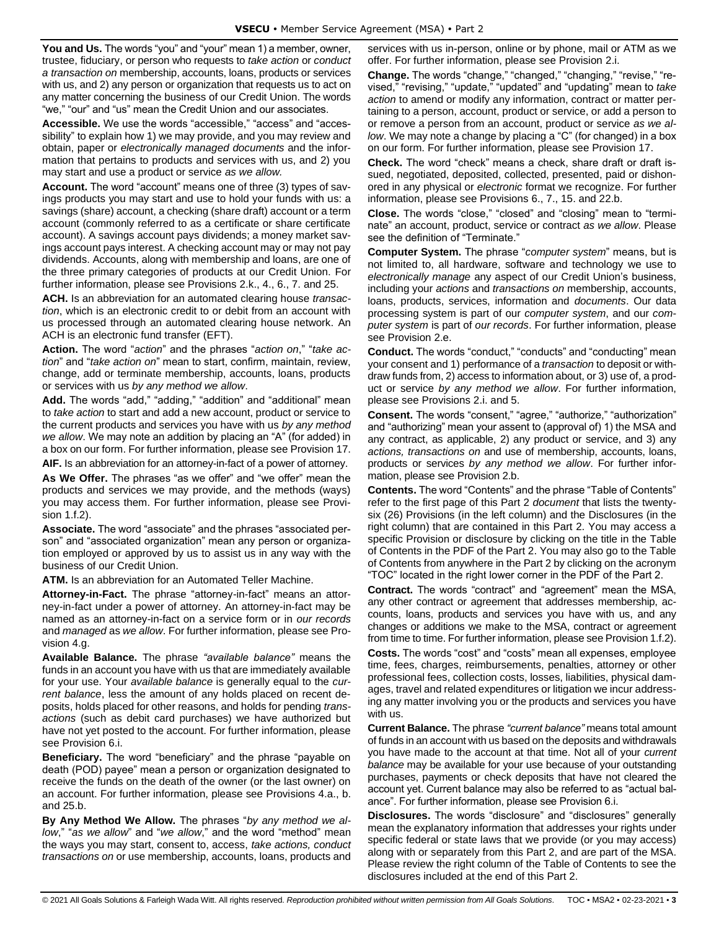**You and Us.** The words "you" and "your" mean 1) a member, owner, trustee, fiduciary, or person who requests to *take action* or *conduct a transaction on* membership, accounts, loans, products or services with us, and 2) any person or organization that requests us to act on any matter concerning the business of our Credit Union. The words "we," "our" and "us" mean the Credit Union and our associates.

**Accessible.** We use the words "accessible," "access" and "accessibility" to explain how 1) we may provide, and you may review and obtain, paper or *electronically managed documents* and the information that pertains to products and services with us, and 2) you may start and use a product or service *as we allow.* 

**Account.** The word "account" means one of three (3) types of savings products you may start and use to hold your funds with us: a savings (share) account, a checking (share draft) account or a term account (commonly referred to as a certificate or share certificate account). A savings account pays dividends; a money market savings account pays interest. A checking account may or may not pay dividends. Accounts, along with membership and loans, are one of the three primary categories of products at our Credit Union. For further information, please see Provisions 2.k., 4., 6., 7. and 25.

**ACH.** Is an abbreviation for an automated clearing house *transaction*, which is an electronic credit to or debit from an account with us processed through an automated clearing house network. An ACH is an electronic fund transfer (EFT).

**Action.** The word "*action*" and the phrases "*action on*," "*take action*" and "*take action on*" mean to start, confirm, maintain, review, change, add or terminate membership, accounts, loans, products or services with us *by any method we allow*.

**Add.** The words "add," "adding," "addition" and "additional" mean to *take action* to start and add a new account, product or service to the current products and services you have with us *by any method we allow*. We may note an addition by placing an "A" (for added) in a box on our form. For further information, please see Provision 17.

**AIF.** Is an abbreviation for an attorney-in-fact of a power of attorney.

**As We Offer.** The phrases "as we offer" and "we offer" mean the products and services we may provide, and the methods (ways) you may access them. For further information, please see Provision 1.f.2).

**Associate.** The word "associate" and the phrases "associated person" and "associated organization" mean any person or organization employed or approved by us to assist us in any way with the business of our Credit Union.

**ATM.** Is an abbreviation for an Automated Teller Machine.

**Attorney-in-Fact.** The phrase "attorney-in-fact" means an attorney-in-fact under a power of attorney. An attorney-in-fact may be named as an attorney-in-fact on a service form or in *our records* and *managed* as *we allow*. For further information, please see Provision 4.g.

**Available Balance.** The phrase *"available balance"* means the funds in an account you have with us that are immediately available for your use. Your *available balance* is generally equal to the *current balance*, less the amount of any holds placed on recent deposits, holds placed for other reasons, and holds for pending *transactions* (such as debit card purchases) we have authorized but have not yet posted to the account. For further information, please see Provision 6.i.

**Beneficiary.** The word "beneficiary" and the phrase "payable on death (POD) payee" mean a person or organization designated to receive the funds on the death of the owner (or the last owner) on an account. For further information, please see Provisions 4.a., b. and 25.b.

**By Any Method We Allow.** The phrases "*by any method we allow*," "*as we allow*" and "*we allow*," and the word "method" mean the ways you may start, consent to, access, *take actions, conduct transactions on* or use membership, accounts, loans, products and

services with us in-person, online or by phone, mail or ATM as we offer. For further information, please see Provision 2.i.

**Change.** The words "change," "changed," "changing," "revise," "revised," "revising," "update," "updated" and "updating" mean to *take action* to amend or modify any information, contract or matter pertaining to a person, account, product or service, or add a person to or remove a person from an account, product or service *as we allow*. We may note a change by placing a "C" (for changed) in a box on our form. For further information, please see Provision 17.

**Check.** The word "check" means a check, share draft or draft issued, negotiated, deposited, collected, presented, paid or dishonored in any physical or *electronic* format we recognize. For further information, please see Provisions 6., 7., 15. and 22.b.

**Close.** The words "close," "closed" and "closing" mean to "terminate" an account, product, service or contract *as we allow*. Please see the definition of "Terminate."

**Computer System.** The phrase "*computer system*" means, but is not limited to, all hardware, software and technology we use to *electronically manage* any aspect of our Credit Union's business, including your *actions* and *transactions on* membership, accounts, loans, products, services, information and *documents*. Our data processing system is part of our *computer system*, and our *computer system* is part of *our records*. For further information, please see Provision 2.e.

**Conduct.** The words "conduct," "conducts" and "conducting" mean your consent and 1) performance of a *transaction* to deposit or withdraw funds from, 2) access to information about, or 3) use of, a product or service *by any method we allow*. For further information, please see Provisions 2.i. and 5.

**Consent.** The words "consent," "agree," "authorize," "authorization" and "authorizing" mean your assent to (approval of) 1) the MSA and any contract, as applicable, 2) any product or service, and 3) any *actions, transactions on* and use of membership, accounts, loans, products or services *by any method we allow*. For further information, please see Provision 2.b.

**Contents.** The word "Contents" and the phrase "Table of Contents" refer to the first page of this Part 2 *document* that lists the twentysix (26) Provisions (in the left column) and the Disclosures (in the right column) that are contained in this Part 2. You may access a specific Provision or disclosure by clicking on the title in the Table of Contents in the PDF of the Part 2. You may also go to the Table of Contents from anywhere in the Part 2 by clicking on the acronym "TOC" located in the right lower corner in the PDF of the Part 2.

**Contract.** The words "contract" and "agreement" mean the MSA, any other contract or agreement that addresses membership, accounts, loans, products and services you have with us, and any changes or additions we make to the MSA, contract or agreement from time to time. For further information, please see Provision 1.f.2).

**Costs.** The words "cost" and "costs" mean all expenses, employee time, fees, charges, reimbursements, penalties, attorney or other professional fees, collection costs, losses, liabilities, physical damages, travel and related expenditures or litigation we incur addressing any matter involving you or the products and services you have with us.

**Current Balance.** The phrase *"current balance"* means total amount of funds in an account with us based on the deposits and withdrawals you have made to the account at that time. Not all of your *current balance* may be available for your use because of your outstanding purchases, payments or check deposits that have not cleared the account yet. Current balance may also be referred to as "actual balance". For further information, please see Provision 6.i.

**Disclosures.** The words "disclosure" and "disclosures" generally mean the explanatory information that addresses your rights under specific federal or state laws that we provide (or you may access) along with or separately from this Part 2, and are part of the MSA. Please review the right column of the Table of Contents to see the disclosures included at the end of this Part 2.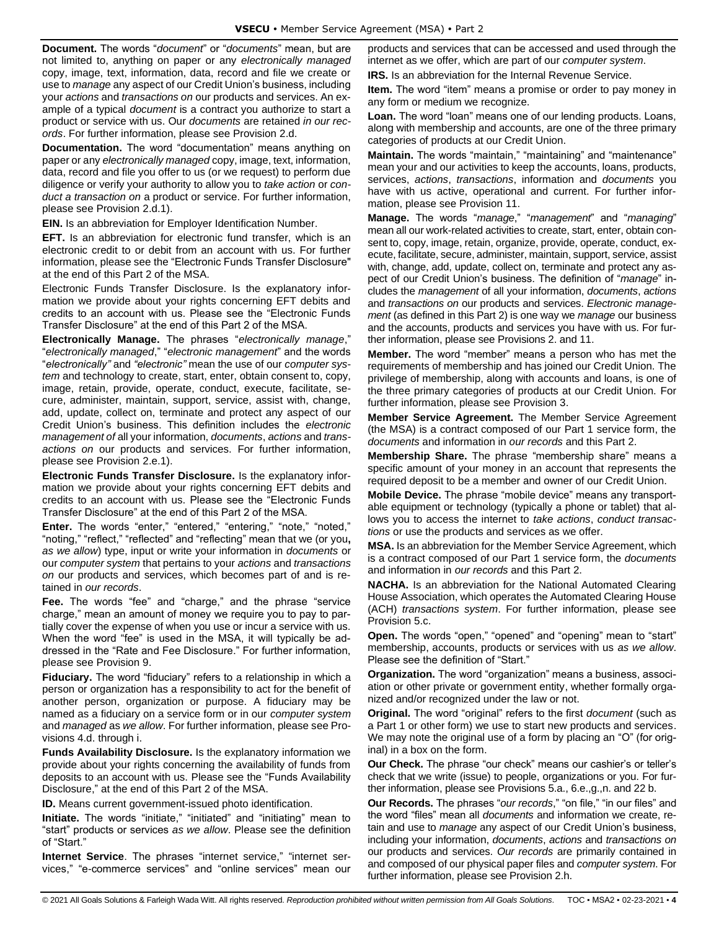**Document.** The words "*document*" or "*documents*" mean, but are not limited to, anything on paper or any *electronically managed* copy, image, text, information, data, record and file we create or use to *manage* any aspect of our Credit Union's business, including your *actions* and *transactions on* our products and services. An example of a typical *document* is a contract you authorize to start a product or service with us. Our *documents* are retained *in our records*. For further information, please see Provision 2.d.

**Documentation.** The word "documentation" means anything on paper or any *electronically managed* copy, image, text, information, data, record and file you offer to us (or we request) to perform due diligence or verify your authority to allow you to *take action* or *conduct a transaction on* a product or service. For further information, please see Provision 2.d.1).

**EIN.** Is an abbreviation for Employer Identification Number.

**EFT.** Is an abbreviation for electronic fund transfer, which is an electronic credit to or debit from an account with us. For further information, please see the "Electronic Funds Transfer Disclosure" at the end of this Part 2 of the MSA.

Electronic Funds Transfer Disclosure. Is the explanatory information we provide about your rights concerning EFT debits and credits to an account with us. Please see the "Electronic Funds Transfer Disclosure" at the end of this Part 2 of the MSA.

**Electronically Manage.** The phrases "*electronically manage*," "*electronically managed*," "*electronic management*" and the words "*electronically"* and *"electronic"* mean the use of our *computer system* and technology to create, start, enter, obtain consent to, copy, image, retain, provide, operate, conduct, execute, facilitate, secure, administer, maintain, support, service, assist with, change, add, update, collect on, terminate and protect any aspect of our Credit Union's business. This definition includes the *electronic management of* all your information, *documents*, *actions* and *transactions on* our products and services. For further information, please see Provision 2.e.1).

**Electronic Funds Transfer Disclosure.** Is the explanatory information we provide about your rights concerning EFT debits and credits to an account with us. Please see the "Electronic Funds Transfer Disclosure" at the end of this Part 2 of the MSA.

**Enter.** The words "enter," "entered," "entering," "note," "noted," "noting," "reflect," "reflected" and "reflecting" mean that we (or you**,** *as we allow*) type, input or write your information in *documents* or our *computer system* that pertains to your *actions* and *transactions on* our products and services, which becomes part of and is retained in *our records*.

**Fee.** The words "fee" and "charge," and the phrase "service charge," mean an amount of money we require you to pay to partially cover the expense of when you use or incur a service with us. When the word "fee" is used in the MSA, it will typically be addressed in the "Rate and Fee Disclosure." For further information, please see Provision 9.

**Fiduciary.** The word "fiduciary" refers to a relationship in which a person or organization has a responsibility to act for the benefit of another person, organization or purpose. A fiduciary may be named as a fiduciary on a service form or in our *computer system* and *managed* as *we allow*. For further information, please see Provisions 4.d. through i.

**Funds Availability Disclosure.** Is the explanatory information we provide about your rights concerning the availability of funds from deposits to an account with us. Please see the "Funds Availability Disclosure," at the end of this Part 2 of the MSA.

**ID.** Means current government-issued photo identification.

**Initiate.** The words "initiate," "initiated" and "initiating" mean to "start" products or services *as we allow*. Please see the definition of "Start."

**Internet Service**. The phrases "internet service," "internet services," "e-commerce services" and "online services" mean our

products and services that can be accessed and used through the internet as we offer, which are part of our *computer system*.

**IRS.** Is an abbreviation for the Internal Revenue Service.

**Item.** The word "item" means a promise or order to pay money in any form or medium we recognize.

**Loan.** The word "loan" means one of our lending products. Loans, along with membership and accounts, are one of the three primary categories of products at our Credit Union.

**Maintain.** The words "maintain," "maintaining" and "maintenance" mean your and our activities to keep the accounts, loans, products, services, *actions*, *transactions*, information and *documents* you have with us active, operational and current. For further information, please see Provision 11.

**Manage.** The words "*manage*," "*management*" and "*managing*" mean all our work-related activities to create, start, enter, obtain consent to, copy, image, retain, organize, provide, operate, conduct, execute, facilitate, secure, administer, maintain, support, service, assist with, change, add, update, collect on, terminate and protect any aspect of our Credit Union's business. The definition of "*manage*" includes the *management* of all your information, *documents*, *actions* and *transactions on* our products and services. *Electronic management* (as defined in this Part 2) is one way we *manage* our business and the accounts, products and services you have with us. For further information, please see Provisions 2. and 11.

**Member.** The word "member" means a person who has met the requirements of membership and has joined our Credit Union. The privilege of membership, along with accounts and loans, is one of the three primary categories of products at our Credit Union. For further information, please see Provision 3.

**Member Service Agreement.** The Member Service Agreement (the MSA) is a contract composed of our Part 1 service form, the *documents* and information in *our records* and this Part 2.

**Membership Share.** The phrase "membership share" means a specific amount of your money in an account that represents the required deposit to be a member and owner of our Credit Union.

**Mobile Device.** The phrase "mobile device" means any transportable equipment or technology (typically a phone or tablet) that allows you to access the internet to *take actions*, *conduct transactions* or use the products and services as we offer.

**MSA.** Is an abbreviation for the Member Service Agreement, which is a contract composed of our Part 1 service form, the *documents* and information in *our records* and this Part 2.

**NACHA.** Is an abbreviation for the National Automated Clearing House Association, which operates the Automated Clearing House (ACH) *transactions system*. For further information, please see Provision 5.c.

**Open.** The words "open," "opened" and "opening" mean to "start" membership, accounts, products or services with us *as we allow*. Please see the definition of "Start."

**Organization.** The word "organization" means a business, association or other private or government entity, whether formally organized and/or recognized under the law or not.

**Original.** The word "original" refers to the first *document* (such as a Part 1 or other form) we use to start new products and services. We may note the original use of a form by placing an "O" (for original) in a box on the form.

**Our Check.** The phrase "our check" means our cashier's or teller's check that we write (issue) to people, organizations or you. For further information, please see Provisions 5.a., 6.e.,g.,n. and 22 b.

**Our Records.** The phrases "*our records*," "on file," "in our files" and the word "files" mean all *documents* and information we create, retain and use to *manage* any aspect of our Credit Union's business, including your information, *documents*, *actions* and *transactions on* our products and services. *Our records* are primarily contained in and composed of our physical paper files and *computer system*. For further information, please see Provision 2.h.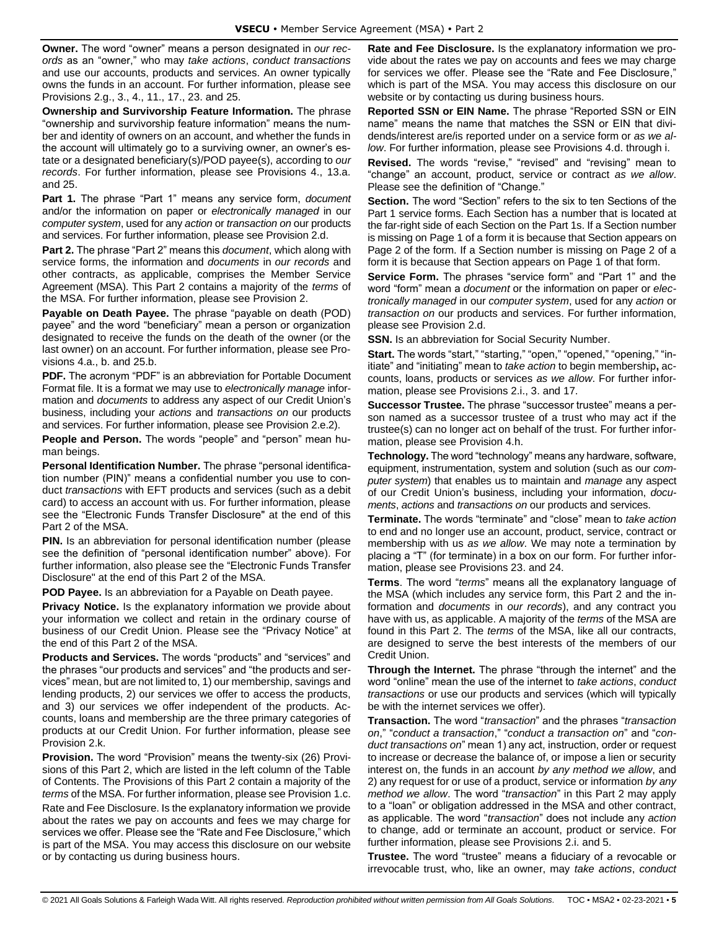**Owner.** The word "owner" means a person designated in *our records* as an "owner," who may *take actions*, *conduct transactions*  and use our accounts, products and services. An owner typically owns the funds in an account. For further information, please see Provisions 2.g., 3., 4., 11., 17., 23. and 25.

**Ownership and Survivorship Feature Information.** The phrase "ownership and survivorship feature information" means the number and identity of owners on an account, and whether the funds in the account will ultimately go to a surviving owner, an owner's estate or a designated beneficiary(s)/POD payee(s), according to *our records*. For further information, please see Provisions 4., 13.a. and 25.

**Part 1.** The phrase "Part 1" means any service form, *document* and/or the information on paper or *electronically managed* in our *computer system*, used for any *action* or *transaction on* our products and services. For further information, please see Provision 2.d.

**Part 2.** The phrase "Part 2" means this *document*, which along with service forms, the information and *documents* in *our records* and other contracts, as applicable, comprises the Member Service Agreement (MSA). This Part 2 contains a majority of the *terms* of the MSA. For further information, please see Provision 2.

**Payable on Death Payee.** The phrase "payable on death (POD) payee" and the word "beneficiary" mean a person or organization designated to receive the funds on the death of the owner (or the last owner) on an account. For further information, please see Provisions 4.a., b. and 25.b.

**PDF.** The acronym "PDF" is an abbreviation for Portable Document Format file. It is a format we may use to *electronically manage* information and *documents* to address any aspect of our Credit Union's business, including your *actions* and *transactions on* our products and services. For further information, please see Provision 2.e.2).

**People and Person.** The words "people" and "person" mean human beings.

**Personal Identification Number.** The phrase "personal identification number (PIN)" means a confidential number you use to conduct *transactions* with EFT products and services (such as a debit card) to access an account with us. For further information, please see the "Electronic Funds Transfer Disclosure" at the end of this Part 2 of the MSA.

**PIN.** Is an abbreviation for personal identification number (please) see the definition of "personal identification number" above). For further information, also please see the "Electronic Funds Transfer Disclosure" at the end of this Part 2 of the MSA.

**POD Payee.** Is an abbreviation for a Payable on Death payee.

**Privacy Notice.** Is the explanatory information we provide about your information we collect and retain in the ordinary course of business of our Credit Union. Please see the "Privacy Notice" at the end of this Part 2 of the MSA.

**Products and Services.** The words "products" and "services" and the phrases "our products and services" and "the products and services" mean, but are not limited to, 1) our membership, savings and lending products, 2) our services we offer to access the products, and 3) our services we offer independent of the products. Accounts, loans and membership are the three primary categories of products at our Credit Union. For further information, please see Provision 2.k.

**Provision.** The word "Provision" means the twenty-six (26) Provisions of this Part 2, which are listed in the left column of the Table of Contents. The Provisions of this Part 2 contain a majority of the *terms* of the MSA. For further information, please see Provision 1.c.

Rate and Fee Disclosure. Is the explanatory information we provide about the rates we pay on accounts and fees we may charge for services we offer. Please see the "Rate and Fee Disclosure," which is part of the MSA. You may access this disclosure on our website or by contacting us during business hours.

**Rate and Fee Disclosure.** Is the explanatory information we provide about the rates we pay on accounts and fees we may charge for services we offer. Please see the "Rate and Fee Disclosure," which is part of the MSA. You may access this disclosure on our website or by contacting us during business hours.

**Reported SSN or EIN Name.** The phrase "Reported SSN or EIN name" means the name that matches the SSN or EIN that dividends/interest are/is reported under on a service form or *as we allow*. For further information, please see Provisions 4.d. through i.

**Revised.** The words "revise," "revised" and "revising" mean to "change" an account, product, service or contract *as we allow*. Please see the definition of "Change."

**Section.** The word "Section" refers to the six to ten Sections of the Part 1 service forms. Each Section has a number that is located at the far-right side of each Section on the Part 1s. If a Section number is missing on Page 1 of a form it is because that Section appears on Page 2 of the form. If a Section number is missing on Page 2 of a form it is because that Section appears on Page 1 of that form.

**Service Form.** The phrases "service form" and "Part 1" and the word "form" mean a *document* or the information on paper or *electronically managed* in our *computer system*, used for any *action* or *transaction on* our products and services. For further information, please see Provision 2.d.

**SSN.** Is an abbreviation for Social Security Number.

**Start.** The words "start," "starting," "open," "opened," "opening," "initiate" and "initiating" mean to *take action* to begin membership**,** accounts, loans, products or services *as we allow*. For further information, please see Provisions 2.i., 3. and 17.

**Successor Trustee.** The phrase "successor trustee" means a person named as a successor trustee of a trust who may act if the trustee(s) can no longer act on behalf of the trust. For further information, please see Provision 4.h.

**Technology.** The word "technology" means any hardware, software, equipment, instrumentation, system and solution (such as our *computer system*) that enables us to maintain and *manage* any aspect of our Credit Union's business, including your information, *documents*, *actions* and *transactions on* our products and services.

**Terminate.** The words "terminate" and "close" mean to *take action* to end and no longer use an account, product, service, contract or membership with us *as we allow*. We may note a termination by placing a "T" (for terminate) in a box on our form. For further information, please see Provisions 23. and 24.

**Terms**. The word "*terms*" means all the explanatory language of the MSA (which includes any service form, this Part 2 and the information and *documents* in *our records*), and any contract you have with us, as applicable. A majority of the *terms* of the MSA are found in this Part 2. The *terms* of the MSA, like all our contracts, are designed to serve the best interests of the members of our Credit Union.

**Through the Internet.** The phrase "through the internet" and the word "online" mean the use of the internet to *take actions*, *conduct transactions* or use our products and services (which will typically be with the internet services we offer).

**Transaction.** The word "*transaction*" and the phrases "*transaction on*," "*conduct a transaction*," "*conduct a transaction on*" and "*conduct transactions on*" mean 1) any act, instruction, order or request to increase or decrease the balance of, or impose a lien or security interest on, the funds in an account *by any method we allow*, and 2) any request for or use of a product, service or information *by any method we allow*. The word "*transaction*" in this Part 2 may apply to a "loan" or obligation addressed in the MSA and other contract, as applicable. The word "*transaction*" does not include any *action* to change, add or terminate an account, product or service. For further information, please see Provisions 2.i. and 5.

**Trustee.** The word "trustee" means a fiduciary of a revocable or irrevocable trust, who, like an owner, may *take actions*, *conduct*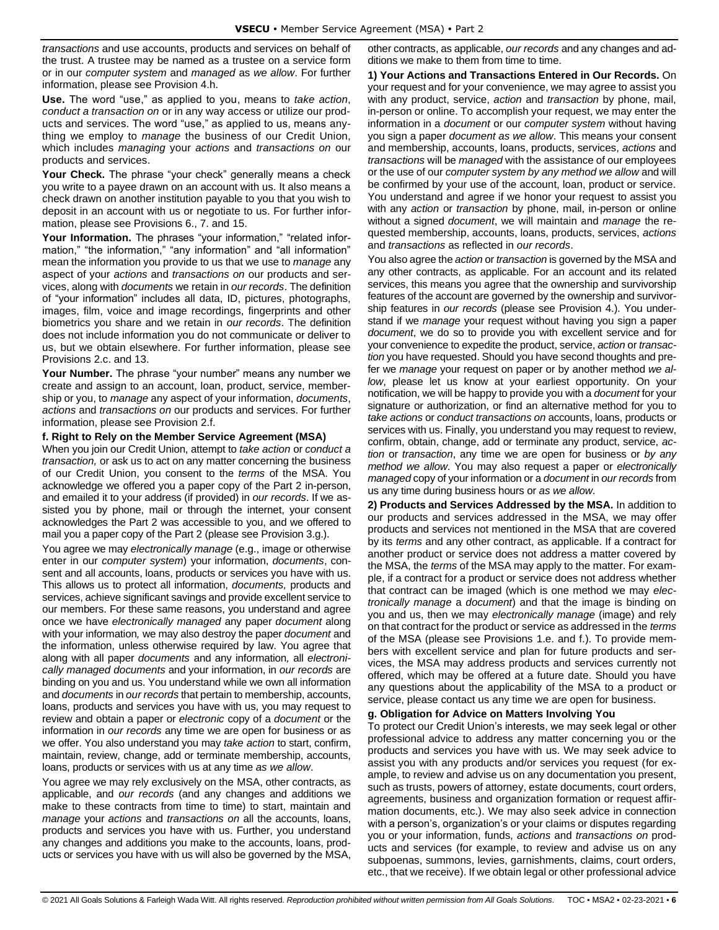*transactions* and use accounts, products and services on behalf of the trust. A trustee may be named as a trustee on a service form or in our *computer system* and *managed* as *we allow*. For further information, please see Provision 4.h.

**Use.** The word "use," as applied to you, means to *take action*, *conduct a transaction on* or in any way access or utilize our products and services. The word "use," as applied to us, means anything we employ to *manage* the business of our Credit Union, which includes *managing* your *actions* and *transactions on* our products and services.

**Your Check.** The phrase "your check" generally means a check you write to a payee drawn on an account with us. It also means a check drawn on another institution payable to you that you wish to deposit in an account with us or negotiate to us. For further information, please see Provisions 6., 7. and 15.

Your Information. The phrases "your information," "related information," "the information," "any information" and "all information" mean the information you provide to us that we use to *manage* any aspect of your *actions* and *transactions on* our products and services, along with *documents* we retain in *our records*. The definition of "your information" includes all data, ID, pictures, photographs, images, film, voice and image recordings, fingerprints and other biometrics you share and we retain in *our records*. The definition does not include information you do not communicate or deliver to us, but we obtain elsewhere. For further information, please see Provisions 2.c. and 13.

**Your Number.** The phrase "your number" means any number we create and assign to an account, loan, product, service, membership or you, to *manage* any aspect of your information, *documents*, *actions* and *transactions on* our products and services. For further information, please see Provision 2.f.

#### **f. Right to Rely on the Member Service Agreement (MSA)**

When you join our Credit Union, attempt to *take action* or *conduct a transaction,* or ask us to act on any matter concerning the business of our Credit Union, you consent to the *terms* of the MSA. You acknowledge we offered you a paper copy of the Part 2 in-person, and emailed it to your address (if provided) in *our records*. If we assisted you by phone, mail or through the internet, your consent acknowledges the Part 2 was accessible to you, and we offered to mail you a paper copy of the Part 2 (please see Provision 3.g.).

You agree we may *electronically manage* (e.g., image or otherwise enter in our *computer system*) your information, *documents*, consent and all accounts, loans, products or services you have with us. This allows us to protect all information, *documents,* products and services, achieve significant savings and provide excellent service to our members. For these same reasons, you understand and agree once we have *electronically managed* any paper *document* along with your information*,* we may also destroy the paper *document* and the information, unless otherwise required by law. You agree that along with all paper *documents* and any information*,* all *electronically managed documents* and your information, in *our records* are binding on you and us. You understand while we own all information and *documents* in *our records* that pertain to membership, accounts, loans, products and services you have with us, you may request to review and obtain a paper or *electronic* copy of a *document* or the information in *our records* any time we are open for business or as we offer. You also understand you may *take action* to start, confirm, maintain, review, change, add or terminate membership, accounts, loans, products or services with us at any time *as we allow*.

You agree we may rely exclusively on the MSA, other contracts, as applicable, and *our records* (and any changes and additions we make to these contracts from time to time) to start, maintain and *manage* your *actions* and *transactions on* all the accounts, loans, products and services you have with us. Further, you understand any changes and additions you make to the accounts, loans, products or services you have with us will also be governed by the MSA,

other contracts, as applicable, *our records* and any changes and additions we make to them from time to time.

**1) Your Actions and Transactions Entered in Our Records.** On your request and for your convenience, we may agree to assist you with any product, service, *action* and *transaction* by phone, mail, in-person or online. To accomplish your request, we may enter the information in a *document* or our *computer system* without having you sign a paper *document as we allow*. This means your consent and membership, accounts, loans, products, services, *actions* and *transactions* will be *managed* with the assistance of our employees or the use of our *computer system by any method we allow* and will be confirmed by your use of the account, loan, product or service. You understand and agree if we honor your request to assist you with any *action* or *transaction* by phone, mail, in-person or online without a signed *document*, we will maintain and *manage* the requested membership, accounts, loans, products, services, *actions* and *transactions* as reflected in *our records*.

You also agree the *action* or *transaction* is governed by the MSA and any other contracts, as applicable. For an account and its related services, this means you agree that the ownership and survivorship features of the account are governed by the ownership and survivorship features in *our records* (please see Provision 4.). You understand if we *manage* your request without having you sign a paper *document*, we do so to provide you with excellent service and for your convenience to expedite the product, service, *action* or *transaction* you have requested. Should you have second thoughts and prefer we *manage* your request on paper or by another method *we allow*, please let us know at your earliest opportunity. On your notification, we will be happy to provide you with a *document* for your signature or authorization, or find an alternative method for you to *take actions* or *conduct transactions on* accounts, loans, products or services with us. Finally, you understand you may request to review, confirm, obtain, change, add or terminate any product, service, *action* or *transaction*, any time we are open for business or *by any method we allow*. You may also request a paper or *electronically managed* copy of your information or a *document* in *our records* from us any time during business hours or *as we allow*.

**2) Products and Services Addressed by the MSA.** In addition to our products and services addressed in the MSA, we may offer products and services not mentioned in the MSA that are covered by its *terms* and any other contract, as applicable. If a contract for another product or service does not address a matter covered by the MSA, the *terms* of the MSA may apply to the matter. For example, if a contract for a product or service does not address whether that contract can be imaged (which is one method we may *electronically manage* a *document*) and that the image is binding on you and us, then we may *electronically manage* (image) and rely on that contract for the product or service as addressed in the *terms* of the MSA (please see Provisions 1.e. and f.). To provide members with excellent service and plan for future products and services, the MSA may address products and services currently not offered, which may be offered at a future date. Should you have any questions about the applicability of the MSA to a product or service, please contact us any time we are open for business.

## **g. Obligation for Advice on Matters Involving You**

To protect our Credit Union's interests, we may seek legal or other professional advice to address any matter concerning you or the products and services you have with us. We may seek advice to assist you with any products and/or services you request (for example, to review and advise us on any documentation you present, such as trusts, powers of attorney, estate documents, court orders, agreements, business and organization formation or request affirmation documents, etc.). We may also seek advice in connection with a person's, organization's or your claims or disputes regarding you or your information, funds, *actions* and *transactions on* products and services (for example, to review and advise us on any subpoenas, summons, levies, garnishments, claims, court orders, etc., that we receive). If we obtain legal or other professional advice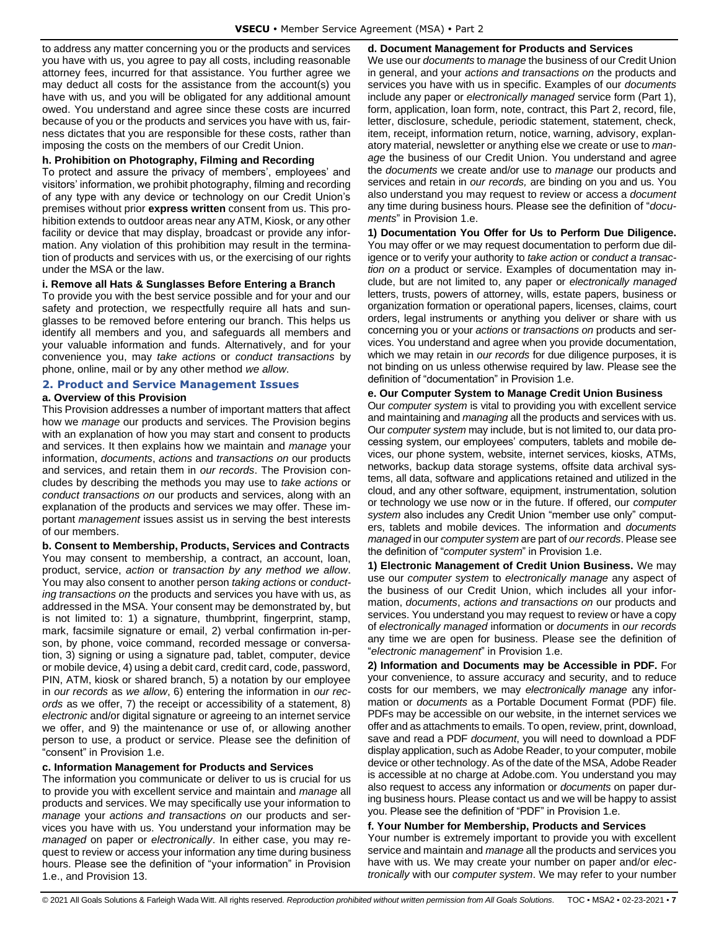to address any matter concerning you or the products and services you have with us, you agree to pay all costs, including reasonable attorney fees, incurred for that assistance. You further agree we may deduct all costs for the assistance from the account(s) you have with us, and you will be obligated for any additional amount owed. You understand and agree since these costs are incurred because of you or the products and services you have with us, fairness dictates that you are responsible for these costs, rather than imposing the costs on the members of our Credit Union.

## **h. Prohibition on Photography, Filming and Recording**

To protect and assure the privacy of members', employees' and visitors' information, we prohibit photography, filming and recording of any type with any device or technology on our Credit Union's premises without prior **express written** consent from us. This prohibition extends to outdoor areas near any ATM, Kiosk, or any other facility or device that may display, broadcast or provide any information. Any violation of this prohibition may result in the termination of products and services with us, or the exercising of our rights under the MSA or the law.

## **i. Remove all Hats & Sunglasses Before Entering a Branch**

To provide you with the best service possible and for your and our safety and protection, we respectfully require all hats and sunglasses to be removed before entering our branch. This helps us identify all members and you, and safeguards all members and your valuable information and funds. Alternatively, and for your convenience you, may *take actions* or *conduct transactions* by phone, online, mail or by any other method *we allow*.

# <span id="page-6-0"></span>**2. Product and Service Management Issues**

## **a. Overview of this Provision**

This Provision addresses a number of important matters that affect how we *manage* our products and services. The Provision begins with an explanation of how you may start and consent to products and services. It then explains how we maintain and *manage* your information, *documents*, *actions* and *transactions on* our products and services, and retain them in *our records*. The Provision concludes by describing the methods you may use to *take actions* or *conduct transactions on* our products and services, along with an explanation of the products and services we may offer. These important *management* issues assist us in serving the best interests of our members.

**b. Consent to Membership, Products, Services and Contracts** You may consent to membership, a contract, an account, loan, product, service, *action* or *transaction by any method we allow*. You may also consent to another person *taking actions* or *conducting transactions on* the products and services you have with us, as addressed in the MSA. Your consent may be demonstrated by, but is not limited to: 1) a signature, thumbprint, fingerprint, stamp, mark, facsimile signature or email, 2) verbal confirmation in-person, by phone, voice command, recorded message or conversation, 3) signing or using a signature pad, tablet, computer, device or mobile device, 4) using a debit card, credit card, code, password, PIN, ATM, kiosk or shared branch, 5) a notation by our employee in *our records* as *we allow*, 6) entering the information in *our records* as we offer, 7) the receipt or accessibility of a statement, 8) *electronic* and/or digital signature or agreeing to an internet service we offer, and 9) the maintenance or use of, or allowing another person to use, a product or service. Please see the definition of "consent" in Provision 1.e.

## **c. Information Management for Products and Services**

The information you communicate or deliver to us is crucial for us to provide you with excellent service and maintain and *manage* all products and services. We may specifically use your information to *manage* your *actions and transactions on* our products and services you have with us. You understand your information may be *managed* on paper or *electronically*. In either case, you may request to review or access your information any time during business hours. Please see the definition of "your information" in Provision 1.e., and Provision 13.

# **d. Document Management for Products and Services**

We use our *documents* to *manage* the business of our Credit Union in general, and your *actions and transactions on* the products and services you have with us in specific. Examples of our *documents* include any paper or *electronically managed* service form (Part 1), form, application, loan form, note, contract, this Part 2, record, file, letter, disclosure, schedule, periodic statement, statement, check, item, receipt, information return, notice, warning, advisory, explanatory material, newsletter or anything else we create or use to *manage* the business of our Credit Union. You understand and agree the *documents* we create and/or use to *manage* our products and services and retain in *our records,* are binding on you and us. You also understand you may request to review or access a *document*  any time during business hours. Please see the definition of "*documents*" in Provision 1.e.

**1) Documentation You Offer for Us to Perform Due Diligence.** You may offer or we may request documentation to perform due diligence or to verify your authority to *take action* or *conduct a transaction on* a product or service. Examples of documentation may include, but are not limited to, any paper or *electronically managed* letters, trusts, powers of attorney, wills, estate papers, business or organization formation or operational papers, licenses, claims, court orders, legal instruments or anything you deliver or share with us concerning you or your *actions* or *transactions on* products and services. You understand and agree when you provide documentation, which we may retain in *our records* for due diligence purposes, it is not binding on us unless otherwise required by law. Please see the definition of "documentation" in Provision 1.e.

## **e. Our Computer System to Manage Credit Union Business**

Our *computer system* is vital to providing you with excellent service and maintaining and *managing* all the products and services with us. Our *computer system* may include, but is not limited to, our data processing system, our employees' computers, tablets and mobile devices, our phone system, website, internet services, kiosks, ATMs, networks, backup data storage systems, offsite data archival systems, all data, software and applications retained and utilized in the cloud, and any other software, equipment, instrumentation, solution or technology we use now or in the future. If offered, our *computer system* also includes any Credit Union "member use only" computers, tablets and mobile devices. The information and *documents managed* in our *computer system* are part of *our records*. Please see the definition of "*computer system*" in Provision 1.e.

**1) Electronic Management of Credit Union Business.** We may use our *computer system* to *electronically manage* any aspect of the business of our Credit Union, which includes all your information, *documents*, *actions and transactions on* our products and services. You understand you may request to review or have a copy of *electronically managed* information or *documents* in *our records* any time we are open for business. Please see the definition of "*electronic management*" in Provision 1.e.

**2) Information and Documents may be Accessible in PDF.** For your convenience, to assure accuracy and security, and to reduce costs for our members, we may *electronically manage* any information or *documents* as a Portable Document Format (PDF) file. PDFs may be accessible on our website, in the internet services we offer and as attachments to emails. To open, review, print, download, save and read a PDF *document*, you will need to download a PDF display application, such as Adobe Reader, to your computer, mobile device or other technology. As of the date of the MSA, Adobe Reader is accessible at no charge at Adobe.com. You understand you may also request to access any information or *documents* on paper during business hours. Please contact us and we will be happy to assist you. Please see the definition of "PDF" in Provision 1.e.

## **f. Your Number for Membership, Products and Services**

Your number is extremely important to provide you with excellent service and maintain and *manage* all the products and services you have with us. We may create your number on paper and/or *electronically* with our *computer system*. We may refer to your number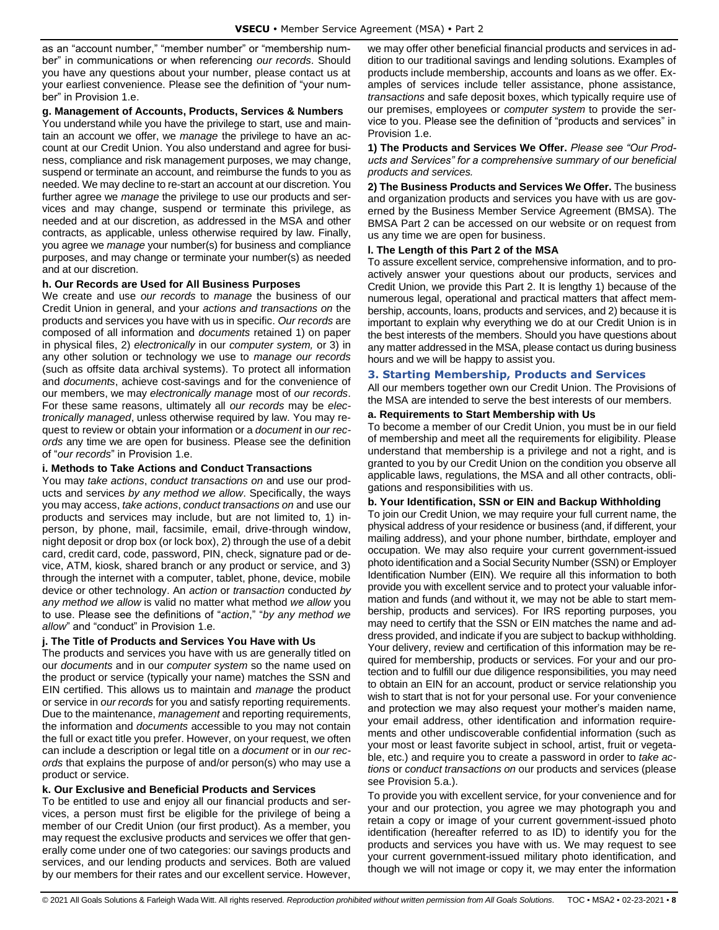as an "account number," "member number" or "membership number" in communications or when referencing *our records*. Should you have any questions about your number, please contact us at your earliest convenience. Please see the definition of "your number" in Provision 1.e.

## **g. Management of Accounts, Products, Services & Numbers**

You understand while you have the privilege to start, use and maintain an account we offer, we *manage* the privilege to have an account at our Credit Union. You also understand and agree for business, compliance and risk management purposes, we may change, suspend or terminate an account, and reimburse the funds to you as needed. We may decline to re-start an account at our discretion. You further agree we *manage* the privilege to use our products and services and may change, suspend or terminate this privilege, as needed and at our discretion, as addressed in the MSA and other contracts, as applicable, unless otherwise required by law. Finally, you agree we *manage* your number(s) for business and compliance purposes, and may change or terminate your number(s) as needed and at our discretion.

#### **h. Our Records are Used for All Business Purposes**

We create and use *our records* to *manage* the business of our Credit Union in general, and your *actions and transactions on* the products and services you have with us in specific. *Our records* are composed of all information and *documents* retained 1) on paper in physical files, 2) *electronically* in our *computer system,* or 3) in any other solution or technology we use to *manage our records* (such as offsite data archival systems). To protect all information and *documents*, achieve cost-savings and for the convenience of our members, we may *electronically manage* most of *our records*. For these same reasons, ultimately all *our records* may be *electronically managed*, unless otherwise required by law. You may request to review or obtain your information or a *document* in *our records* any time we are open for business. Please see the definition of "*our records*" in Provision 1.e.

#### **i. Methods to Take Actions and Conduct Transactions**

You may *take actions*, *conduct transactions on* and use our products and services *by any method we allow*. Specifically, the ways you may access, *take actions*, *conduct transactions on* and use our products and services may include, but are not limited to, 1) inperson, by phone, mail, facsimile, email, drive-through window, night deposit or drop box (or lock box), 2) through the use of a debit card, credit card, code, password, PIN, check, signature pad or device, ATM, kiosk, shared branch or any product or service, and 3) through the internet with a computer, tablet, phone, device, mobile device or other technology. An *action* or *transaction* conducted *by any method we allow* is valid no matter what method *we allow* you to use. Please see the definitions of "*action*," "*by any method we allow*" and "conduct" in Provision 1.e.

## **j. The Title of Products and Services You Have with Us**

The products and services you have with us are generally titled on our *documents* and in our *computer system* so the name used on the product or service (typically your name) matches the SSN and EIN certified. This allows us to maintain and *manage* the product or service in *our records* for you and satisfy reporting requirements. Due to the maintenance, *management* and reporting requirements, the information and *documents* accessible to you may not contain the full or exact title you prefer. However, on your request, we often can include a description or legal title on a *document* or in *our records* that explains the purpose of and/or person(s) who may use a product or service.

#### **k. Our Exclusive and Beneficial Products and Services**

To be entitled to use and enjoy all our financial products and services, a person must first be eligible for the privilege of being a member of our Credit Union (our first product). As a member, you may request the exclusive products and services we offer that generally come under one of two categories: our savings products and services, and our lending products and services. Both are valued by our members for their rates and our excellent service. However,

we may offer other beneficial financial products and services in addition to our traditional savings and lending solutions. Examples of products include membership, accounts and loans as we offer. Examples of services include teller assistance, phone assistance, *transactions* and safe deposit boxes, which typically require use of our premises, employees or *computer system* to provide the service to you. Please see the definition of "products and services" in Provision 1.e.

**1) The Products and Services We Offer.** *Please see "Our Products and Services" for a comprehensive summary of our beneficial products and services.*

**2) The Business Products and Services We Offer.** The business and organization products and services you have with us are governed by the Business Member Service Agreement (BMSA). The BMSA Part 2 can be accessed on our website or on request from us any time we are open for business.

#### **l. The Length of this Part 2 of the MSA**

To assure excellent service, comprehensive information, and to proactively answer your questions about our products, services and Credit Union, we provide this Part 2. It is lengthy 1) because of the numerous legal, operational and practical matters that affect membership, accounts, loans, products and services, and 2) because it is important to explain why everything we do at our Credit Union is in the best interests of the members. Should you have questions about any matter addressed in the MSA, please contact us during business hours and we will be happy to assist you.

## <span id="page-7-0"></span>**3. Starting Membership, Products and Services**

All our members together own our Credit Union. The Provisions of the MSA are intended to serve the best interests of our members.

## **a. Requirements to Start Membership with Us**

To become a member of our Credit Union, you must be in our field of membership and meet all the requirements for eligibility. Please understand that membership is a privilege and not a right, and is granted to you by our Credit Union on the condition you observe all applicable laws, regulations, the MSA and all other contracts, obligations and responsibilities with us.

#### **b. Your Identification, SSN or EIN and Backup Withholding**

To join our Credit Union, we may require your full current name, the physical address of your residence or business (and, if different, your mailing address), and your phone number, birthdate, employer and occupation. We may also require your current government-issued photo identification and a Social Security Number (SSN) or Employer Identification Number (EIN). We require all this information to both provide you with excellent service and to protect your valuable information and funds (and without it, we may not be able to start membership, products and services). For IRS reporting purposes, you may need to certify that the SSN or EIN matches the name and address provided, and indicate if you are subject to backup withholding. Your delivery, review and certification of this information may be required for membership, products or services. For your and our protection and to fulfill our due diligence responsibilities, you may need to obtain an EIN for an account, product or service relationship you wish to start that is not for your personal use. For your convenience and protection we may also request your mother's maiden name, your email address, other identification and information requirements and other undiscoverable confidential information (such as your most or least favorite subject in school, artist, fruit or vegetable, etc.) and require you to create a password in order to *take actions* or *conduct transactions on* our products and services (please see Provision 5.a.).

To provide you with excellent service, for your convenience and for your and our protection, you agree we may photograph you and retain a copy or image of your current government-issued photo identification (hereafter referred to as ID) to identify you for the products and services you have with us. We may request to see your current government-issued military photo identification, and though we will not image or copy it, we may enter the information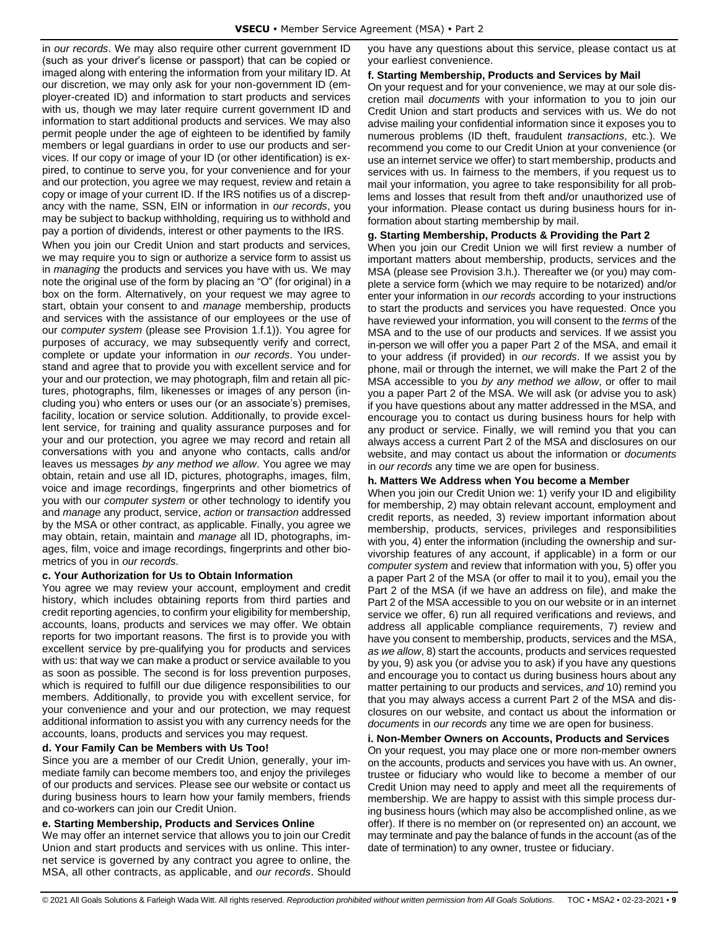in *our records*. We may also require other current government ID (such as your driver's license or passport) that can be copied or imaged along with entering the information from your military ID. At our discretion, we may only ask for your non-government ID (employer-created ID) and information to start products and services with us, though we may later require current government ID and information to start additional products and services. We may also permit people under the age of eighteen to be identified by family members or legal guardians in order to use our products and services. If our copy or image of your ID (or other identification) is expired, to continue to serve you, for your convenience and for your and our protection, you agree we may request, review and retain a copy or image of your current ID. If the IRS notifies us of a discrepancy with the name, SSN, EIN or information in *our records*, you may be subject to backup withholding, requiring us to withhold and pay a portion of dividends, interest or other payments to the IRS.

When you join our Credit Union and start products and services, we may require you to sign or authorize a service form to assist us in *managing* the products and services you have with us. We may note the original use of the form by placing an "O" (for original) in a box on the form. Alternatively, on your request we may agree to start, obtain your consent to and *manage* membership, products and services with the assistance of our employees or the use of our *computer system* (please see Provision 1.f.1)). You agree for purposes of accuracy, we may subsequently verify and correct, complete or update your information in *our records*. You understand and agree that to provide you with excellent service and for your and our protection, we may photograph, film and retain all pictures, photographs, film, likenesses or images of any person (including you) who enters or uses our (or an associate's) premises, facility, location or service solution. Additionally, to provide excellent service, for training and quality assurance purposes and for your and our protection, you agree we may record and retain all conversations with you and anyone who contacts, calls and/or leaves us messages *by any method we allow*. You agree we may obtain, retain and use all ID, pictures, photographs, images, film, voice and image recordings, fingerprints and other biometrics of you with our *computer system* or other technology to identify you and *manage* any product, service, *action* or *transaction* addressed by the MSA or other contract, as applicable. Finally, you agree we may obtain, retain, maintain and *manage* all ID, photographs, images, film, voice and image recordings, fingerprints and other biometrics of you in *our records*.

#### **c. Your Authorization for Us to Obtain Information**

You agree we may review your account, employment and credit history, which includes obtaining reports from third parties and credit reporting agencies, to confirm your eligibility for membership, accounts, loans, products and services we may offer. We obtain reports for two important reasons. The first is to provide you with excellent service by pre-qualifying you for products and services with us: that way we can make a product or service available to you as soon as possible. The second is for loss prevention purposes, which is required to fulfill our due diligence responsibilities to our members. Additionally, to provide you with excellent service, for your convenience and your and our protection, we may request additional information to assist you with any currency needs for the accounts, loans, products and services you may request.

#### **d. Your Family Can be Members with Us Too!**

Since you are a member of our Credit Union, generally, your immediate family can become members too, and enjoy the privileges of our products and services. Please see our website or contact us during business hours to learn how your family members, friends and co-workers can join our Credit Union.

#### **e. Starting Membership, Products and Services Online**

We may offer an internet service that allows you to join our Credit Union and start products and services with us online. This internet service is governed by any contract you agree to online, the MSA, all other contracts, as applicable, and *our records*. Should you have any questions about this service, please contact us at your earliest convenience.

#### **f. Starting Membership, Products and Services by Mail**

On your request and for your convenience, we may at our sole discretion mail *documents* with your information to you to join our Credit Union and start products and services with us. We do not advise mailing your confidential information since it exposes you to numerous problems (ID theft, fraudulent *transactions*, etc.). We recommend you come to our Credit Union at your convenience (or use an internet service we offer) to start membership, products and services with us. In fairness to the members, if you request us to mail your information, you agree to take responsibility for all problems and losses that result from theft and/or unauthorized use of your information. Please contact us during business hours for information about starting membership by mail.

#### **g. Starting Membership, Products & Providing the Part 2**

When you join our Credit Union we will first review a number of important matters about membership, products, services and the MSA (please see Provision 3.h.). Thereafter we (or you) may complete a service form (which we may require to be notarized) and/or enter your information in *our records* according to your instructions to start the products and services you have requested. Once you have reviewed your information, you will consent to the *terms* of the MSA and to the use of our products and services. If we assist you in-person we will offer you a paper Part 2 of the MSA, and email it to your address (if provided) in *our records*. If we assist you by phone, mail or through the internet, we will make the Part 2 of the MSA accessible to you *by any method we allow*, or offer to mail you a paper Part 2 of the MSA. We will ask (or advise you to ask) if you have questions about any matter addressed in the MSA, and encourage you to contact us during business hours for help with any product or service. Finally, we will remind you that you can always access a current Part 2 of the MSA and disclosures on our website, and may contact us about the information or *documents*  in *our records* any time we are open for business.

#### **h. Matters We Address when You become a Member**

When you join our Credit Union we: 1) verify your ID and eligibility for membership, 2) may obtain relevant account, employment and credit reports, as needed, 3) review important information about membership, products, services, privileges and responsibilities with you, 4) enter the information (including the ownership and survivorship features of any account, if applicable) in a form or our *computer system* and review that information with you, 5) offer you a paper Part 2 of the MSA (or offer to mail it to you), email you the Part 2 of the MSA (if we have an address on file), and make the Part 2 of the MSA accessible to you on our website or in an internet service we offer, 6) run all required verifications and reviews, and address all applicable compliance requirements, 7) review and have you consent to membership, products, services and the MSA, *as we allow*, 8) start the accounts, products and services requested by you, 9) ask you (or advise you to ask) if you have any questions and encourage you to contact us during business hours about any matter pertaining to our products and services, *and* 10) remind you that you may always access a current Part 2 of the MSA and disclosures on our website, and contact us about the information or *documents* in *our records* any time we are open for business.

## **i. Non-Member Owners on Accounts, Products and Services**

On your request, you may place one or more non-member owners on the accounts, products and services you have with us. An owner, trustee or fiduciary who would like to become a member of our Credit Union may need to apply and meet all the requirements of membership. We are happy to assist with this simple process during business hours (which may also be accomplished online, as we offer). If there is no member on (or represented on) an account, we may terminate and pay the balance of funds in the account (as of the date of termination) to any owner, trustee or fiduciary.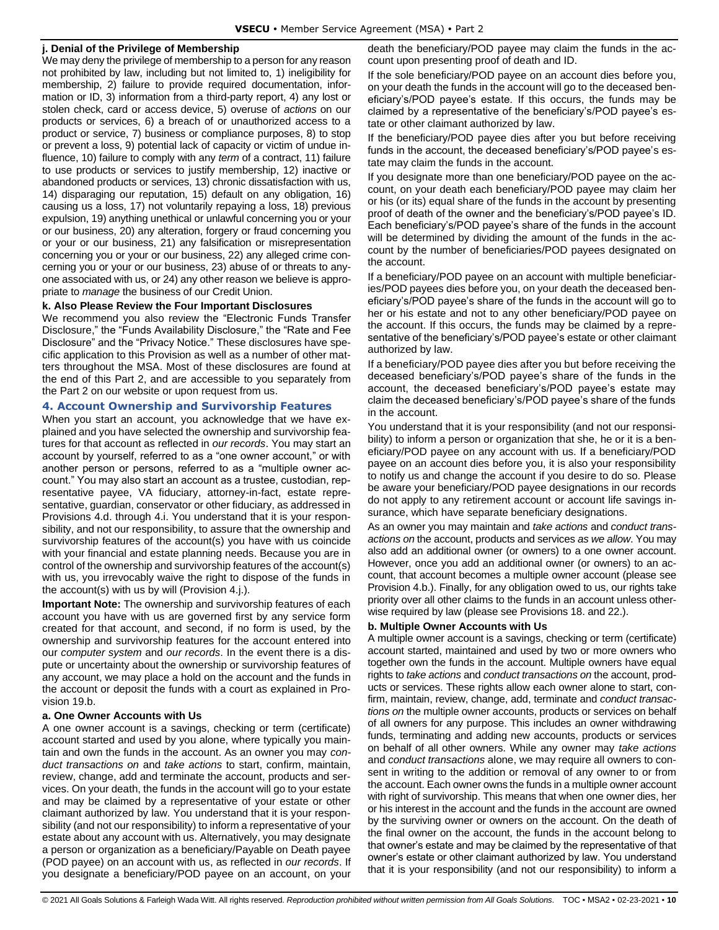#### **j. Denial of the Privilege of Membership**

We may deny the privilege of membership to a person for any reason not prohibited by law, including but not limited to, 1) ineligibility for membership, 2) failure to provide required documentation, information or ID, 3) information from a third-party report, 4) any lost or stolen check, card or access device, 5) overuse of *actions* on our products or services, 6) a breach of or unauthorized access to a product or service, 7) business or compliance purposes, 8) to stop or prevent a loss, 9) potential lack of capacity or victim of undue influence, 10) failure to comply with any *term* of a contract, 11) failure to use products or services to justify membership, 12) inactive or abandoned products or services, 13) chronic dissatisfaction with us, 14) disparaging our reputation, 15) default on any obligation, 16) causing us a loss, 17) not voluntarily repaying a loss, 18) previous expulsion, 19) anything unethical or unlawful concerning you or your or our business, 20) any alteration, forgery or fraud concerning you or your or our business, 21) any falsification or misrepresentation concerning you or your or our business, 22) any alleged crime concerning you or your or our business, 23) abuse of or threats to anyone associated with us, or 24) any other reason we believe is appropriate to *manage* the business of our Credit Union.

#### **k. Also Please Review the Four Important Disclosures**

We recommend you also review the "Electronic Funds Transfer Disclosure," the "Funds Availability Disclosure," the "Rate and Fee Disclosure" and the "Privacy Notice." These disclosures have specific application to this Provision as well as a number of other matters throughout the MSA. Most of these disclosures are found at the end of this Part 2, and are accessible to you separately from the Part 2 on our website or upon request from us.

## <span id="page-9-0"></span>**4. Account Ownership and Survivorship Features**

When you start an account, you acknowledge that we have explained and you have selected the ownership and survivorship features for that account as reflected in *our records*. You may start an account by yourself, referred to as a "one owner account," or with another person or persons, referred to as a "multiple owner account." You may also start an account as a trustee, custodian, representative payee, VA fiduciary, attorney-in-fact, estate representative, guardian, conservator or other fiduciary, as addressed in Provisions 4.d. through 4.i. You understand that it is your responsibility, and not our responsibility, to assure that the ownership and survivorship features of the account(s) you have with us coincide with your financial and estate planning needs. Because you are in control of the ownership and survivorship features of the account(s) with us, you irrevocably waive the right to dispose of the funds in the account(s) with us by will (Provision 4.j.).

**Important Note:** The ownership and survivorship features of each account you have with us are governed first by any service form created for that account, and second, if no form is used, by the ownership and survivorship features for the account entered into our *computer system* and *our records*. In the event there is a dispute or uncertainty about the ownership or survivorship features of any account, we may place a hold on the account and the funds in the account or deposit the funds with a court as explained in Provision 19.b.

#### **a. One Owner Accounts with Us**

A one owner account is a savings, checking or term (certificate) account started and used by you alone, where typically you maintain and own the funds in the account. As an owner you may *conduct transactions on* and *take actions* to start, confirm, maintain, review, change, add and terminate the account, products and services. On your death, the funds in the account will go to your estate and may be claimed by a representative of your estate or other claimant authorized by law. You understand that it is your responsibility (and not our responsibility) to inform a representative of your estate about any account with us. Alternatively, you may designate a person or organization as a beneficiary/Payable on Death payee (POD payee) on an account with us, as reflected in *our records*. If you designate a beneficiary/POD payee on an account, on your death the beneficiary/POD payee may claim the funds in the account upon presenting proof of death and ID.

If the sole beneficiary/POD payee on an account dies before you, on your death the funds in the account will go to the deceased beneficiary's/POD payee's estate. If this occurs, the funds may be claimed by a representative of the beneficiary's/POD payee's estate or other claimant authorized by law.

If the beneficiary/POD payee dies after you but before receiving funds in the account, the deceased beneficiary's/POD payee's estate may claim the funds in the account.

If you designate more than one beneficiary/POD payee on the account, on your death each beneficiary/POD payee may claim her or his (or its) equal share of the funds in the account by presenting proof of death of the owner and the beneficiary's/POD payee's ID. Each beneficiary's/POD payee's share of the funds in the account will be determined by dividing the amount of the funds in the account by the number of beneficiaries/POD payees designated on the account.

If a beneficiary/POD payee on an account with multiple beneficiaries/POD payees dies before you, on your death the deceased beneficiary's/POD payee's share of the funds in the account will go to her or his estate and not to any other beneficiary/POD payee on the account. If this occurs, the funds may be claimed by a representative of the beneficiary's/POD payee's estate or other claimant authorized by law.

If a beneficiary/POD payee dies after you but before receiving the deceased beneficiary's/POD payee's share of the funds in the account, the deceased beneficiary's/POD payee's estate may claim the deceased beneficiary's/POD payee's share of the funds in the account.

You understand that it is your responsibility (and not our responsibility) to inform a person or organization that she, he or it is a beneficiary/POD payee on any account with us. If a beneficiary/POD payee on an account dies before you, it is also your responsibility to notify us and change the account if you desire to do so. Please be aware your beneficiary/POD payee designations in our records do not apply to any retirement account or account life savings insurance, which have separate beneficiary designations.

As an owner you may maintain and *take actions* and *conduct transactions on* the account, products and services *as we allow*. You may also add an additional owner (or owners) to a one owner account. However, once you add an additional owner (or owners) to an account, that account becomes a multiple owner account (please see Provision 4.b.). Finally, for any obligation owed to us, our rights take priority over all other claims to the funds in an account unless otherwise required by law (please see Provisions 18. and 22.).

## **b. Multiple Owner Accounts with Us**

A multiple owner account is a savings, checking or term (certificate) account started, maintained and used by two or more owners who together own the funds in the account. Multiple owners have equal rights to *take actions* and *conduct transactions on* the account, products or services. These rights allow each owner alone to start, confirm, maintain, review, change, add, terminate and *conduct transactions on* the multiple owner accounts, products or services on behalf of all owners for any purpose. This includes an owner withdrawing funds, terminating and adding new accounts, products or services on behalf of all other owners. While any owner may *take actions* and *conduct transactions* alone, we may require all owners to consent in writing to the addition or removal of any owner to or from the account. Each owner owns the funds in a multiple owner account with right of survivorship. This means that when one owner dies, her or his interest in the account and the funds in the account are owned by the surviving owner or owners on the account. On the death of the final owner on the account, the funds in the account belong to that owner's estate and may be claimed by the representative of that owner's estate or other claimant authorized by law. You understand that it is your responsibility (and not our responsibility) to inform a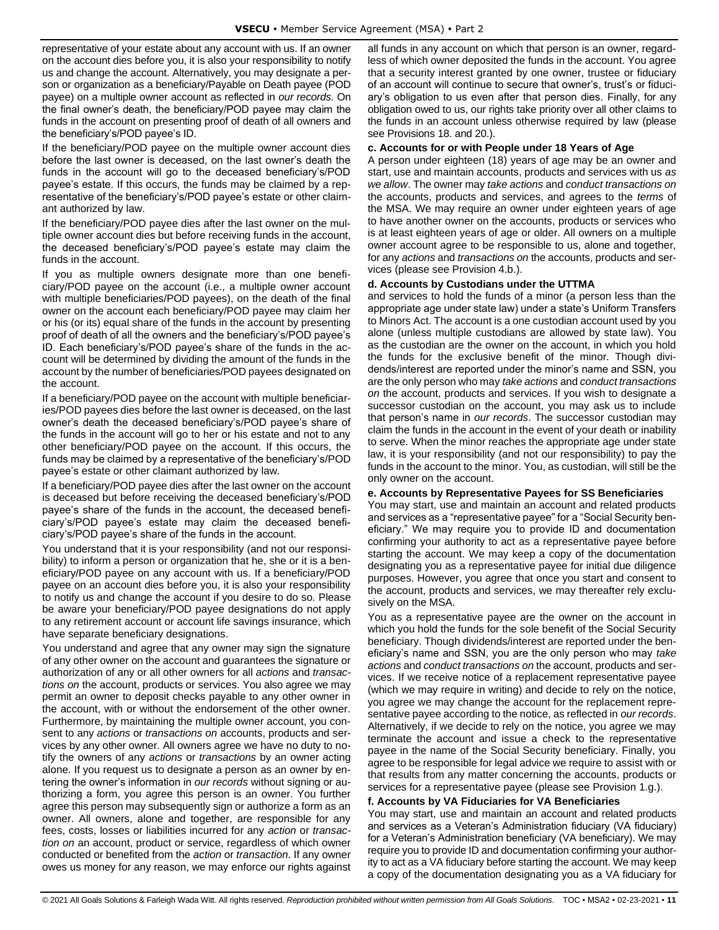representative of your estate about any account with us. If an owner on the account dies before you, it is also your responsibility to notify us and change the account. Alternatively, you may designate a person or organization as a beneficiary/Payable on Death payee (POD payee) on a multiple owner account as reflected in *our records*. On the final owner's death, the beneficiary/POD payee may claim the funds in the account on presenting proof of death of all owners and the beneficiary's/POD payee's ID.

If the beneficiary/POD payee on the multiple owner account dies before the last owner is deceased, on the last owner's death the funds in the account will go to the deceased beneficiary's/POD payee's estate. If this occurs, the funds may be claimed by a representative of the beneficiary's/POD payee's estate or other claimant authorized by law.

If the beneficiary/POD payee dies after the last owner on the multiple owner account dies but before receiving funds in the account, the deceased beneficiary's/POD payee's estate may claim the funds in the account.

If you as multiple owners designate more than one beneficiary/POD payee on the account (i.e., a multiple owner account with multiple beneficiaries/POD payees), on the death of the final owner on the account each beneficiary/POD payee may claim her or his (or its) equal share of the funds in the account by presenting proof of death of all the owners and the beneficiary's/POD payee's ID. Each beneficiary's/POD payee's share of the funds in the account will be determined by dividing the amount of the funds in the account by the number of beneficiaries/POD payees designated on the account.

If a beneficiary/POD payee on the account with multiple beneficiaries/POD payees dies before the last owner is deceased, on the last owner's death the deceased beneficiary's/POD payee's share of the funds in the account will go to her or his estate and not to any other beneficiary/POD payee on the account. If this occurs, the funds may be claimed by a representative of the beneficiary's/POD payee's estate or other claimant authorized by law.

If a beneficiary/POD payee dies after the last owner on the account is deceased but before receiving the deceased beneficiary's/POD payee's share of the funds in the account, the deceased beneficiary's/POD payee's estate may claim the deceased beneficiary's/POD payee's share of the funds in the account.

You understand that it is your responsibility (and not our responsibility) to inform a person or organization that he, she or it is a beneficiary/POD payee on any account with us. If a beneficiary/POD payee on an account dies before you, it is also your responsibility to notify us and change the account if you desire to do so. Please be aware your beneficiary/POD payee designations do not apply to any retirement account or account life savings insurance, which have separate beneficiary designations.

You understand and agree that any owner may sign the signature of any other owner on the account and guarantees the signature or authorization of any or all other owners for all *actions* and *transactions on* the account, products or services. You also agree we may permit an owner to deposit checks payable to any other owner in the account, with or without the endorsement of the other owner. Furthermore, by maintaining the multiple owner account, you consent to any *actions* or *transactions on* accounts, products and services by any other owner. All owners agree we have no duty to notify the owners of any *actions* or *transactions* by an owner acting alone. If you request us to designate a person as an owner by entering the owner's information in *our records* without signing or authorizing a form, you agree this person is an owner. You further agree this person may subsequently sign or authorize a form as an owner. All owners, alone and together, are responsible for any fees, costs, losses or liabilities incurred for any *action* or *transaction on* an account, product or service, regardless of which owner conducted or benefited from the *action* or *transaction*. If any owner owes us money for any reason, we may enforce our rights against all funds in any account on which that person is an owner, regardless of which owner deposited the funds in the account. You agree that a security interest granted by one owner, trustee or fiduciary of an account will continue to secure that owner's, trust's or fiduciary's obligation to us even after that person dies. Finally, for any obligation owed to us, our rights take priority over all other claims to the funds in an account unless otherwise required by law (please see Provisions 18. and 20.).

#### **c. Accounts for or with People under 18 Years of Age**

A person under eighteen (18) years of age may be an owner and start, use and maintain accounts, products and services with us *as we allow*. The owner may *take actions* and *conduct transactions on*  the accounts, products and services, and agrees to the *terms* of the MSA. We may require an owner under eighteen years of age to have another owner on the accounts, products or services who is at least eighteen years of age or older. All owners on a multiple owner account agree to be responsible to us, alone and together, for any *actions* and *transactions on* the accounts, products and services (please see Provision 4.b.).

#### **d. Accounts by Custodians under the UTTMA**

and services to hold the funds of a minor (a person less than the appropriate age under state law) under a state's Uniform Transfers to Minors Act. The account is a one custodian account used by you alone (unless multiple custodians are allowed by state law). You as the custodian are the owner on the account, in which you hold the funds for the exclusive benefit of the minor. Though dividends/interest are reported under the minor's name and SSN, you are the only person who may *take actions* and *conduct transactions on* the account, products and services. If you wish to designate a successor custodian on the account, you may ask us to include that person's name in *our records*. The successor custodian may claim the funds in the account in the event of your death or inability to serve. When the minor reaches the appropriate age under state law, it is your responsibility (and not our responsibility) to pay the funds in the account to the minor. You, as custodian, will still be the only owner on the account.

#### **e. Accounts by Representative Payees for SS Beneficiaries**

You may start, use and maintain an account and related products and services as a "representative payee" for a "Social Security beneficiary." We may require you to provide ID and documentation confirming your authority to act as a representative payee before starting the account. We may keep a copy of the documentation designating you as a representative payee for initial due diligence purposes. However, you agree that once you start and consent to the account, products and services, we may thereafter rely exclusively on the MSA.

You as a representative payee are the owner on the account in which you hold the funds for the sole benefit of the Social Security beneficiary. Though dividends/interest are reported under the beneficiary's name and SSN, you are the only person who may *take actions* and *conduct transactions on* the account, products and services. If we receive notice of a replacement representative payee (which we may require in writing) and decide to rely on the notice, you agree we may change the account for the replacement representative payee according to the notice, as reflected in *our records*. Alternatively, if we decide to rely on the notice, you agree we may terminate the account and issue a check to the representative payee in the name of the Social Security beneficiary. Finally, you agree to be responsible for legal advice we require to assist with or that results from any matter concerning the accounts, products or services for a representative payee (please see Provision 1.g.).

## **f. Accounts by VA Fiduciaries for VA Beneficiaries**

You may start, use and maintain an account and related products and services as a Veteran's Administration fiduciary (VA fiduciary) for a Veteran's Administration beneficiary (VA beneficiary). We may require you to provide ID and documentation confirming your authority to act as a VA fiduciary before starting the account. We may keep a copy of the documentation designating you as a VA fiduciary for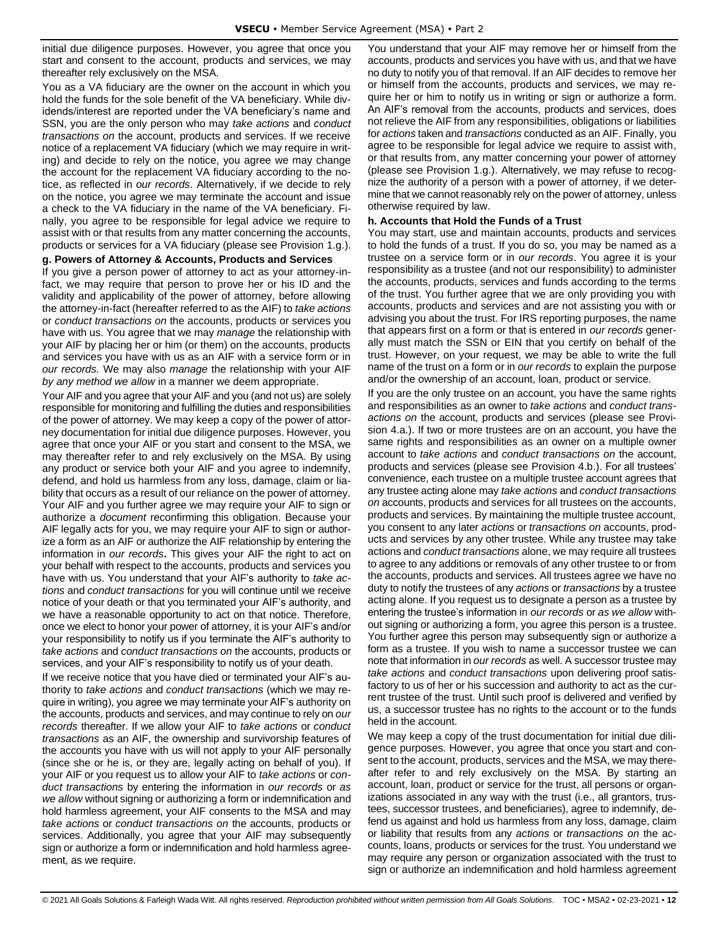initial due diligence purposes. However, you agree that once you start and consent to the account, products and services, we may thereafter rely exclusively on the MSA.

You as a VA fiduciary are the owner on the account in which you hold the funds for the sole benefit of the VA beneficiary. While dividends/interest are reported under the VA beneficiary's name and SSN, you are the only person who may *take actions* and *conduct transactions on* the account, products and services. If we receive notice of a replacement VA fiduciary (which we may require in writing) and decide to rely on the notice, you agree we may change the account for the replacement VA fiduciary according to the notice, as reflected in *our records*. Alternatively, if we decide to rely on the notice, you agree we may terminate the account and issue a check to the VA fiduciary in the name of the VA beneficiary. Finally, you agree to be responsible for legal advice we require to assist with or that results from any matter concerning the accounts, products or services for a VA fiduciary (please see Provision 1.g.).

#### **g. Powers of Attorney & Accounts, Products and Services**

If you give a person power of attorney to act as your attorney-infact, we may require that person to prove her or his ID and the validity and applicability of the power of attorney, before allowing the attorney-in-fact (hereafter referred to as the AIF) to *take actions* or *conduct transactions on* the accounts, products or services you have with us. You agree that we may *manage* the relationship with your AIF by placing her or him (or them) on the accounts, products and services you have with us as an AIF with a service form or in *our records.* We may also *manage* the relationship with your AIF *by any method we allow* in a manner we deem appropriate.

Your AIF and you agree that your AIF and you (and not us) are solely responsible for monitoring and fulfilling the duties and responsibilities of the power of attorney. We may keep a copy of the power of attorney documentation for initial due diligence purposes. However, you agree that once your AIF or you start and consent to the MSA, we may thereafter refer to and rely exclusively on the MSA. By using any product or service both your AIF and you agree to indemnify, defend, and hold us harmless from any loss, damage, claim or liability that occurs as a result of our reliance on the power of attorney. Your AIF and you further agree we may require your AIF to sign or authorize a *document* reconfirming this obligation. Because your AIF legally acts for you, we may require your AIF to sign or authorize a form as an AIF or authorize the AIF relationship by entering the information in *our records***.** This gives your AIF the right to act on your behalf with respect to the accounts, products and services you have with us. You understand that your AIF's authority to *take actions* and *conduct transactions* for you will continue until we receive notice of your death or that you terminated your AIF's authority, and we have a reasonable opportunity to act on that notice. Therefore, once we elect to honor your power of attorney, it is your AIF's and/or your responsibility to notify us if you terminate the AIF's authority to *take actions* and *conduct transactions on* the accounts, products or services, and your AIF's responsibility to notify us of your death.

If we receive notice that you have died or terminated your AIF's authority to *take actions* and *conduct transactions* (which we may require in writing), you agree we may terminate your AIF's authority on the accounts, products and services, and may continue to rely on *our records* thereafter. If we allow your AIF to *take actions* or *conduct transactions* as an AIF, the ownership and survivorship features of the accounts you have with us will not apply to your AIF personally (since she or he is, or they are, legally acting on behalf of you). If your AIF or you request us to allow your AIF to *take actions* or *conduct transactions* by entering the information in *our records* or *as we allow* without signing or authorizing a form or indemnification and hold harmless agreement, your AIF consents to the MSA and may *take actions* or *conduct transactions on* the accounts, products or services. Additionally, you agree that your AIF may subsequently sign or authorize a form or indemnification and hold harmless agreement, as we require.

You understand that your AIF may remove her or himself from the accounts, products and services you have with us, and that we have no duty to notify you of that removal. If an AIF decides to remove her or himself from the accounts, products and services, we may require her or him to notify us in writing or sign or authorize a form. An AIF's removal from the accounts, products and services, does not relieve the AIF from any responsibilities, obligations or liabilities for *actions* taken and *transactions* conducted as an AIF. Finally, you agree to be responsible for legal advice we require to assist with, or that results from, any matter concerning your power of attorney (please see Provision 1.g.). Alternatively, we may refuse to recognize the authority of a person with a power of attorney, if we determine that we cannot reasonably rely on the power of attorney, unless otherwise required by law.

#### **h. Accounts that Hold the Funds of a Trust**

You may start, use and maintain accounts, products and services to hold the funds of a trust. If you do so, you may be named as a trustee on a service form or in *our records*. You agree it is your responsibility as a trustee (and not our responsibility) to administer the accounts, products, services and funds according to the terms of the trust. You further agree that we are only providing you with accounts, products and services and are not assisting you with or advising you about the trust. For IRS reporting purposes, the name that appears first on a form or that is entered in *our records* generally must match the SSN or EIN that you certify on behalf of the trust. However, on your request, we may be able to write the full name of the trust on a form or in *our records* to explain the purpose and/or the ownership of an account, loan, product or service.

If you are the only trustee on an account, you have the same rights and responsibilities as an owner to *take actions* and *conduct transactions on* the account, products and services (please see Provision 4.a.). If two or more trustees are on an account, you have the same rights and responsibilities as an owner on a multiple owner account to *take actions* and *conduct transactions on* the account, products and services (please see Provision 4.b.). For all trustees' convenience, each trustee on a multiple trustee account agrees that any trustee acting alone may *take actions* and *conduct transactions on* accounts, products and services for all trustees on the accounts, products and services. By maintaining the multiple trustee account, you consent to any later *actions* or *transactions on* accounts, products and services by any other trustee. While any trustee may take actions and *conduct transactions* alone, we may require all trustees to agree to any additions or removals of any other trustee to or from the accounts, products and services. All trustees agree we have no duty to notify the trustees of any *actions* or *transactions* by a trustee acting alone. If you request us to designate a person as a trustee by entering the trustee's information in *our records* or *as we allow* without signing or authorizing a form, you agree this person is a trustee. You further agree this person may subsequently sign or authorize a form as a trustee. If you wish to name a successor trustee we can note that information in *our records* as well. A successor trustee may *take actions* and *conduct transactions* upon delivering proof satisfactory to us of her or his succession and authority to act as the current trustee of the trust. Until such proof is delivered and verified by us, a successor trustee has no rights to the account or to the funds held in the account.

We may keep a copy of the trust documentation for initial due diligence purposes. However, you agree that once you start and consent to the account, products, services and the MSA, we may thereafter refer to and rely exclusively on the MSA. By starting an account, loan, product or service for the trust, all persons or organizations associated in any way with the trust (i.e., all grantors, trustees, successor trustees, and beneficiaries), agree to indemnify, defend us against and hold us harmless from any loss, damage, claim or liability that results from any *actions* or *transactions on* the accounts, loans, products or services for the trust. You understand we may require any person or organization associated with the trust to sign or authorize an indemnification and hold harmless agreement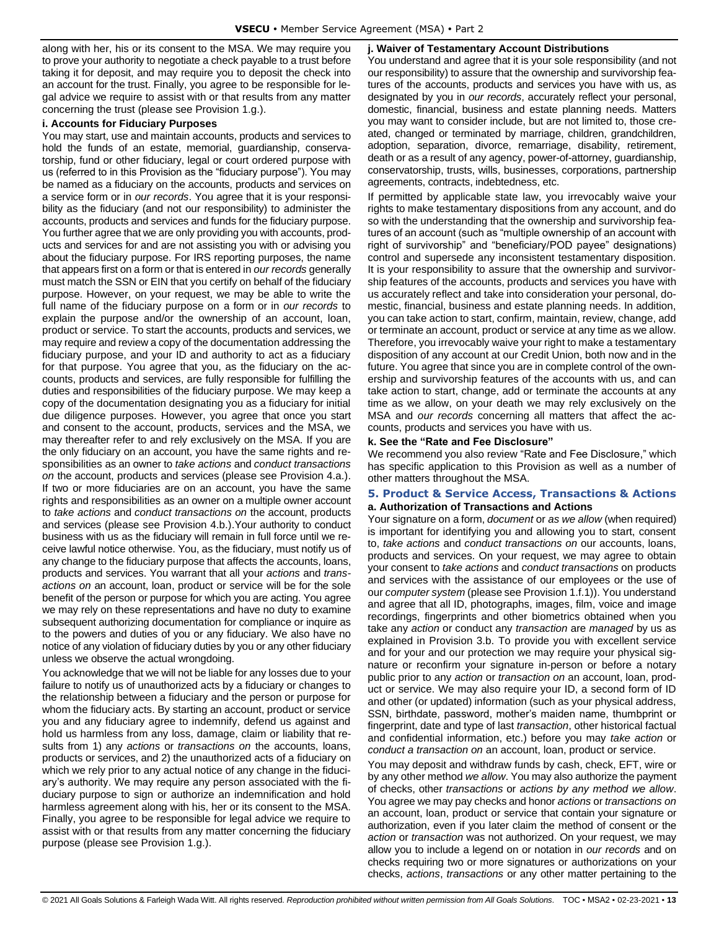along with her, his or its consent to the MSA. We may require you to prove your authority to negotiate a check payable to a trust before taking it for deposit, and may require you to deposit the check into an account for the trust. Finally, you agree to be responsible for legal advice we require to assist with or that results from any matter concerning the trust (please see Provision 1.g.).

#### **i. Accounts for Fiduciary Purposes**

You may start, use and maintain accounts, products and services to hold the funds of an estate, memorial, guardianship, conservatorship, fund or other fiduciary, legal or court ordered purpose with us (referred to in this Provision as the "fiduciary purpose"). You may be named as a fiduciary on the accounts, products and services on a service form or in *our records*. You agree that it is your responsibility as the fiduciary (and not our responsibility) to administer the accounts, products and services and funds for the fiduciary purpose. You further agree that we are only providing you with accounts, products and services for and are not assisting you with or advising you about the fiduciary purpose. For IRS reporting purposes, the name that appears first on a form or that is entered in *our records* generally must match the SSN or EIN that you certify on behalf of the fiduciary purpose. However, on your request, we may be able to write the full name of the fiduciary purpose on a form or in *our records* to explain the purpose and/or the ownership of an account, loan, product or service. To start the accounts, products and services, we may require and review a copy of the documentation addressing the fiduciary purpose, and your ID and authority to act as a fiduciary for that purpose. You agree that you, as the fiduciary on the accounts, products and services, are fully responsible for fulfilling the duties and responsibilities of the fiduciary purpose. We may keep a copy of the documentation designating you as a fiduciary for initial due diligence purposes. However, you agree that once you start and consent to the account, products, services and the MSA, we may thereafter refer to and rely exclusively on the MSA. If you are the only fiduciary on an account, you have the same rights and responsibilities as an owner to *take actions* and *conduct transactions on* the account, products and services (please see Provision 4.a.). If two or more fiduciaries are on an account, you have the same rights and responsibilities as an owner on a multiple owner account to *take actions* and *conduct transactions on* the account, products and services (please see Provision 4.b.).Your authority to conduct business with us as the fiduciary will remain in full force until we receive lawful notice otherwise. You, as the fiduciary, must notify us of any change to the fiduciary purpose that affects the accounts, loans, products and services. You warrant that all your *actions* and *transactions on* an account, loan, product or service will be for the sole benefit of the person or purpose for which you are acting. You agree we may rely on these representations and have no duty to examine subsequent authorizing documentation for compliance or inquire as to the powers and duties of you or any fiduciary. We also have no notice of any violation of fiduciary duties by you or any other fiduciary unless we observe the actual wrongdoing.

You acknowledge that we will not be liable for any losses due to your failure to notify us of unauthorized acts by a fiduciary or changes to the relationship between a fiduciary and the person or purpose for whom the fiduciary acts. By starting an account, product or service you and any fiduciary agree to indemnify, defend us against and hold us harmless from any loss, damage, claim or liability that results from 1) any *actions* or *transactions on* the accounts, loans, products or services, and 2) the unauthorized acts of a fiduciary on which we rely prior to any actual notice of any change in the fiduciary's authority. We may require any person associated with the fiduciary purpose to sign or authorize an indemnification and hold harmless agreement along with his, her or its consent to the MSA. Finally, you agree to be responsible for legal advice we require to assist with or that results from any matter concerning the fiduciary purpose (please see Provision 1.g.).

## **j. Waiver of Testamentary Account Distributions**

You understand and agree that it is your sole responsibility (and not our responsibility) to assure that the ownership and survivorship features of the accounts, products and services you have with us, as designated by you in *our records*, accurately reflect your personal, domestic, financial, business and estate planning needs. Matters you may want to consider include, but are not limited to, those created, changed or terminated by marriage, children, grandchildren, adoption, separation, divorce, remarriage, disability, retirement, death or as a result of any agency, power-of-attorney, guardianship, conservatorship, trusts, wills, businesses, corporations, partnership agreements, contracts, indebtedness, etc.

If permitted by applicable state law, you irrevocably waive your rights to make testamentary dispositions from any account, and do so with the understanding that the ownership and survivorship features of an account (such as "multiple ownership of an account with right of survivorship" and "beneficiary/POD payee" designations) control and supersede any inconsistent testamentary disposition. It is your responsibility to assure that the ownership and survivorship features of the accounts, products and services you have with us accurately reflect and take into consideration your personal, domestic, financial, business and estate planning needs. In addition, you can take action to start, confirm, maintain, review, change, add or terminate an account, product or service at any time as we allow. Therefore, you irrevocably waive your right to make a testamentary disposition of any account at our Credit Union, both now and in the future. You agree that since you are in complete control of the ownership and survivorship features of the accounts with us, and can take action to start, change, add or terminate the accounts at any time as we allow, on your death we may rely exclusively on the MSA and *our records* concerning all matters that affect the accounts, products and services you have with us.

#### **k. See the "Rate and Fee Disclosure"**

We recommend you also review "Rate and Fee Disclosure," which has specific application to this Provision as well as a number of other matters throughout the MSA.

## <span id="page-12-0"></span>**5. Product & Service Access, Transactions & Actions a. Authorization of Transactions and Actions**

Your signature on a form, *document* or *as we allow* (when required) is important for identifying you and allowing you to start, consent to, *take actions* and *conduct transactions on* our accounts, loans, products and services. On your request, we may agree to obtain your consent to *take actions* and *conduct transactions* on products and services with the assistance of our employees or the use of our *computer system* (please see Provision 1.f.1)). You understand and agree that all ID, photographs, images, film, voice and image recordings, fingerprints and other biometrics obtained when you take any *action* or conduct any *transaction* are *managed* by us as explained in Provision 3.b. To provide you with excellent service and for your and our protection we may require your physical signature or reconfirm your signature in-person or before a notary public prior to any *action* or *transaction on* an account, loan, product or service. We may also require your ID, a second form of ID and other (or updated) information (such as your physical address, SSN, birthdate, password, mother's maiden name, thumbprint or fingerprint, date and type of last *transaction*, other historical factual and confidential information, etc.) before you may *take action* or *conduct a transaction on* an account, loan, product or service.

You may deposit and withdraw funds by cash, check, EFT, wire or by any other method *we allow*. You may also authorize the payment of checks, other *transactions* or *actions by any method we allow*. You agree we may pay checks and honor *actions* or *transactions on*  an account, loan, product or service that contain your signature or authorization, even if you later claim the method of consent or the *action* or *transaction* was not authorized. On your request, we may allow you to include a legend on or notation in *our records* and on checks requiring two or more signatures or authorizations on your checks, *actions*, *transactions* or any other matter pertaining to the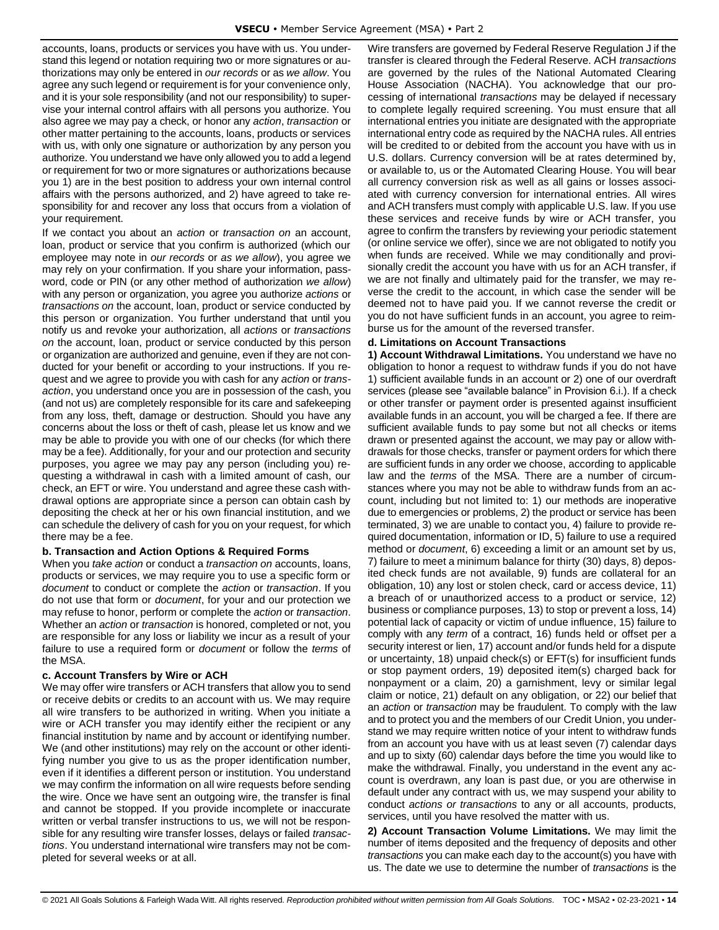accounts, loans, products or services you have with us. You understand this legend or notation requiring two or more signatures or authorizations may only be entered in *our records* or as *we allow*. You agree any such legend or requirement is for your convenience only, and it is your sole responsibility (and not our responsibility) to supervise your internal control affairs with all persons you authorize. You also agree we may pay a check, or honor any *action*, *transaction* or other matter pertaining to the accounts, loans, products or services with us, with only one signature or authorization by any person you authorize. You understand we have only allowed you to add a legend or requirement for two or more signatures or authorizations because you 1) are in the best position to address your own internal control affairs with the persons authorized, and 2) have agreed to take responsibility for and recover any loss that occurs from a violation of your requirement.

If we contact you about an *action* or *transaction on* an account, loan, product or service that you confirm is authorized (which our employee may note in *our records* or *as we allow*), you agree we may rely on your confirmation. If you share your information, password, code or PIN (or any other method of authorization *we allow*) with any person or organization, you agree you authorize *actions* or *transactions on* the account, loan, product or service conducted by this person or organization. You further understand that until you notify us and revoke your authorization, all *actions* or *transactions on* the account, loan, product or service conducted by this person or organization are authorized and genuine, even if they are not conducted for your benefit or according to your instructions. If you request and we agree to provide you with cash for any *action* or *transaction*, you understand once you are in possession of the cash, you (and not us) are completely responsible for its care and safekeeping from any loss, theft, damage or destruction. Should you have any concerns about the loss or theft of cash, please let us know and we may be able to provide you with one of our checks (for which there may be a fee). Additionally, for your and our protection and security purposes, you agree we may pay any person (including you) requesting a withdrawal in cash with a limited amount of cash, our check, an EFT or wire. You understand and agree these cash withdrawal options are appropriate since a person can obtain cash by depositing the check at her or his own financial institution, and we can schedule the delivery of cash for you on your request, for which there may be a fee.

#### **b. Transaction and Action Options & Required Forms**

When you *take action* or conduct a *transaction on* accounts, loans, products or services, we may require you to use a specific form or *document* to conduct or complete the *action* or *transaction*. If you do not use that form or *document*, for your and our protection we may refuse to honor, perform or complete the *action* or *transaction*. Whether an *action* or *transaction* is honored, completed or not, you are responsible for any loss or liability we incur as a result of your failure to use a required form or *document* or follow the *terms* of the MSA.

#### **c. Account Transfers by Wire or ACH**

We may offer wire transfers or ACH transfers that allow you to send or receive debits or credits to an account with us. We may require all wire transfers to be authorized in writing. When you initiate a wire or ACH transfer you may identify either the recipient or any financial institution by name and by account or identifying number. We (and other institutions) may rely on the account or other identifying number you give to us as the proper identification number, even if it identifies a different person or institution. You understand we may confirm the information on all wire requests before sending the wire. Once we have sent an outgoing wire, the transfer is final and cannot be stopped. If you provide incomplete or inaccurate written or verbal transfer instructions to us, we will not be responsible for any resulting wire transfer losses, delays or failed *transactions*. You understand international wire transfers may not be completed for several weeks or at all.

Wire transfers are governed by Federal Reserve Regulation J if the transfer is cleared through the Federal Reserve. ACH *transactions* are governed by the rules of the National Automated Clearing House Association (NACHA). You acknowledge that our processing of international *transactions* may be delayed if necessary to complete legally required screening. You must ensure that all international entries you initiate are designated with the appropriate international entry code as required by the NACHA rules. All entries will be credited to or debited from the account you have with us in U.S. dollars. Currency conversion will be at rates determined by, or available to, us or the Automated Clearing House. You will bear all currency conversion risk as well as all gains or losses associated with currency conversion for international entries. All wires and ACH transfers must comply with applicable U.S. law. If you use these services and receive funds by wire or ACH transfer, you agree to confirm the transfers by reviewing your periodic statement (or online service we offer), since we are not obligated to notify you when funds are received. While we may conditionally and provisionally credit the account you have with us for an ACH transfer, if we are not finally and ultimately paid for the transfer, we may reverse the credit to the account, in which case the sender will be deemed not to have paid you. If we cannot reverse the credit or you do not have sufficient funds in an account, you agree to reimburse us for the amount of the reversed transfer.

#### **d. Limitations on Account Transactions**

**1) Account Withdrawal Limitations.** You understand we have no obligation to honor a request to withdraw funds if you do not have 1) sufficient available funds in an account or 2) one of our overdraft services (please see "available balance" in Provision 6.i.). If a check or other transfer or payment order is presented against insufficient available funds in an account, you will be charged a fee. If there are sufficient available funds to pay some but not all checks or items drawn or presented against the account, we may pay or allow withdrawals for those checks, transfer or payment orders for which there are sufficient funds in any order we choose, according to applicable law and the *terms* of the MSA. There are a number of circumstances where you may not be able to withdraw funds from an account, including but not limited to: 1) our methods are inoperative due to emergencies or problems, 2) the product or service has been terminated, 3) we are unable to contact you, 4) failure to provide required documentation, information or ID, 5) failure to use a required method or *document*, 6) exceeding a limit or an amount set by us, 7) failure to meet a minimum balance for thirty (30) days, 8) deposited check funds are not available, 9) funds are collateral for an obligation, 10) any lost or stolen check, card or access device, 11) a breach of or unauthorized access to a product or service, 12) business or compliance purposes, 13) to stop or prevent a loss, 14) potential lack of capacity or victim of undue influence, 15) failure to comply with any *term* of a contract, 16) funds held or offset per a security interest or lien, 17) account and/or funds held for a dispute or uncertainty, 18) unpaid check(s) or EFT(s) for insufficient funds or stop payment orders, 19) deposited item(s) charged back for nonpayment or a claim, 20) a garnishment, levy or similar legal claim or notice, 21) default on any obligation, or 22) our belief that an *action* or *transaction* may be fraudulent. To comply with the law and to protect you and the members of our Credit Union, you understand we may require written notice of your intent to withdraw funds from an account you have with us at least seven (7) calendar days and up to sixty (60) calendar days before the time you would like to make the withdrawal. Finally, you understand in the event any account is overdrawn, any loan is past due, or you are otherwise in default under any contract with us, we may suspend your ability to conduct *actions or transactions* to any or all accounts, products, services, until you have resolved the matter with us.

**2) Account Transaction Volume Limitations.** We may limit the number of items deposited and the frequency of deposits and other *transactions* you can make each day to the account(s) you have with us. The date we use to determine the number of *transactions* is the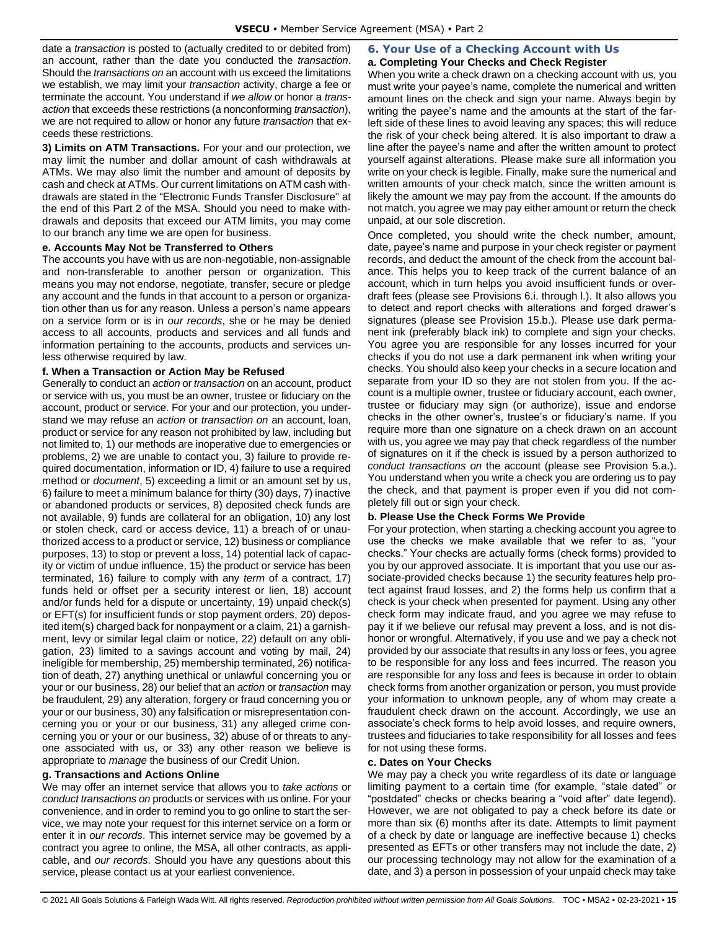date a *transaction* is posted to (actually credited to or debited from) an account, rather than the date you conducted the *transaction*. Should the *transactions on* an account with us exceed the limitations we establish, we may limit your *transaction* activity, charge a fee or terminate the account. You understand if *we allow* or honor a *transaction* that exceeds these restrictions (a nonconforming *transaction*), we are not required to allow or honor any future *transaction* that exceeds these restrictions.

**3) Limits on ATM Transactions.** For your and our protection, we may limit the number and dollar amount of cash withdrawals at ATMs. We may also limit the number and amount of deposits by cash and check at ATMs. Our current limitations on ATM cash withdrawals are stated in the "Electronic Funds Transfer Disclosure" at the end of this Part 2 of the MSA. Should you need to make withdrawals and deposits that exceed our ATM limits, you may come to our branch any time we are open for business.

#### **e. Accounts May Not be Transferred to Others**

The accounts you have with us are non-negotiable, non-assignable and non-transferable to another person or organization. This means you may not endorse, negotiate, transfer, secure or pledge any account and the funds in that account to a person or organization other than us for any reason. Unless a person's name appears on a service form or is in *our records*, she or he may be denied access to all accounts, products and services and all funds and information pertaining to the accounts, products and services unless otherwise required by law.

#### **f. When a Transaction or Action May be Refused**

Generally to conduct an *action* or *transaction* on an account, product or service with us, you must be an owner, trustee or fiduciary on the account, product or service. For your and our protection, you understand we may refuse an *action* or *transaction on* an account, loan, product or service for any reason not prohibited by law, including but not limited to, 1) our methods are inoperative due to emergencies or problems, 2) we are unable to contact you, 3) failure to provide required documentation, information or ID, 4) failure to use a required method or *document*, 5) exceeding a limit or an amount set by us, 6) failure to meet a minimum balance for thirty (30) days, 7) inactive or abandoned products or services, 8) deposited check funds are not available, 9) funds are collateral for an obligation, 10) any lost or stolen check, card or access device, 11) a breach of or unauthorized access to a product or service, 12) business or compliance purposes, 13) to stop or prevent a loss, 14) potential lack of capacity or victim of undue influence, 15) the product or service has been terminated, 16) failure to comply with any *term* of a contract, 17) funds held or offset per a security interest or lien, 18) account and/or funds held for a dispute or uncertainty, 19) unpaid check(s) or EFT(s) for insufficient funds or stop payment orders, 20) deposited item(s) charged back for nonpayment or a claim, 21) a garnishment, levy or similar legal claim or notice, 22) default on any obligation, 23) limited to a savings account and voting by mail, 24) ineligible for membership, 25) membership terminated, 26) notification of death, 27) anything unethical or unlawful concerning you or your or our business, 28) our belief that an *action* or *transaction* may be fraudulent, 29) any alteration, forgery or fraud concerning you or your or our business, 30) any falsification or misrepresentation concerning you or your or our business, 31) any alleged crime concerning you or your or our business, 32) abuse of or threats to anyone associated with us, or 33) any other reason we believe is appropriate to *manage* the business of our Credit Union.

## **g. Transactions and Actions Online**

We may offer an internet service that allows you to *take actions* or *conduct transactions on* products or services with us online. For your convenience, and in order to remind you to go online to start the service, we may note your request for this internet service on a form or enter it in *our records*. This internet service may be governed by a contract you agree to online, the MSA, all other contracts, as applicable, and *our records*. Should you have any questions about this service, please contact us at your earliest convenience.

## <span id="page-14-0"></span>**6. Your Use of a Checking Account with Us a. Completing Your Checks and Check Register**

When you write a check drawn on a checking account with us, you must write your payee's name, complete the numerical and written amount lines on the check and sign your name. Always begin by writing the payee's name and the amounts at the start of the farleft side of these lines to avoid leaving any spaces; this will reduce the risk of your check being altered. It is also important to draw a line after the payee's name and after the written amount to protect yourself against alterations. Please make sure all information you write on your check is legible. Finally, make sure the numerical and written amounts of your check match, since the written amount is likely the amount we may pay from the account. If the amounts do not match, you agree we may pay either amount or return the check unpaid, at our sole discretion.

Once completed, you should write the check number, amount, date, payee's name and purpose in your check register or payment records, and deduct the amount of the check from the account balance. This helps you to keep track of the current balance of an account, which in turn helps you avoid insufficient funds or overdraft fees (please see Provisions 6.i. through l.). It also allows you to detect and report checks with alterations and forged drawer's signatures (please see Provision 15.b.). Please use dark permanent ink (preferably black ink) to complete and sign your checks. You agree you are responsible for any losses incurred for your checks if you do not use a dark permanent ink when writing your checks. You should also keep your checks in a secure location and separate from your ID so they are not stolen from you. If the account is a multiple owner, trustee or fiduciary account, each owner, trustee or fiduciary may sign (or authorize), issue and endorse checks in the other owner's, trustee's or fiduciary's name. If you require more than one signature on a check drawn on an account with us, you agree we may pay that check regardless of the number of signatures on it if the check is issued by a person authorized to *conduct transactions on* the account (please see Provision 5.a.). You understand when you write a check you are ordering us to pay the check, and that payment is proper even if you did not completely fill out or sign your check.

## **b. Please Use the Check Forms We Provide**

For your protection, when starting a checking account you agree to use the checks we make available that we refer to as, "your checks." Your checks are actually forms (check forms) provided to you by our approved associate. It is important that you use our associate-provided checks because 1) the security features help protect against fraud losses, and 2) the forms help us confirm that a check is your check when presented for payment. Using any other check form may indicate fraud, and you agree we may refuse to pay it if we believe our refusal may prevent a loss, and is not dishonor or wrongful. Alternatively, if you use and we pay a check not provided by our associate that results in any loss or fees, you agree to be responsible for any loss and fees incurred. The reason you are responsible for any loss and fees is because in order to obtain check forms from another organization or person, you must provide your information to unknown people, any of whom may create a fraudulent check drawn on the account. Accordingly, we use an associate's check forms to help avoid losses, and require owners, trustees and fiduciaries to take responsibility for all losses and fees for not using these forms.

#### **c. Dates on Your Checks**

We may pay a check you write regardless of its date or language limiting payment to a certain time (for example, "stale dated" or "postdated" checks or checks bearing a "void after" date legend). However, we are not obligated to pay a check before its date or more than six (6) months after its date. Attempts to limit payment of a check by date or language are ineffective because 1) checks presented as EFTs or other transfers may not include the date, 2) our processing technology may not allow for the examination of a date, and 3) a person in possession of your unpaid check may take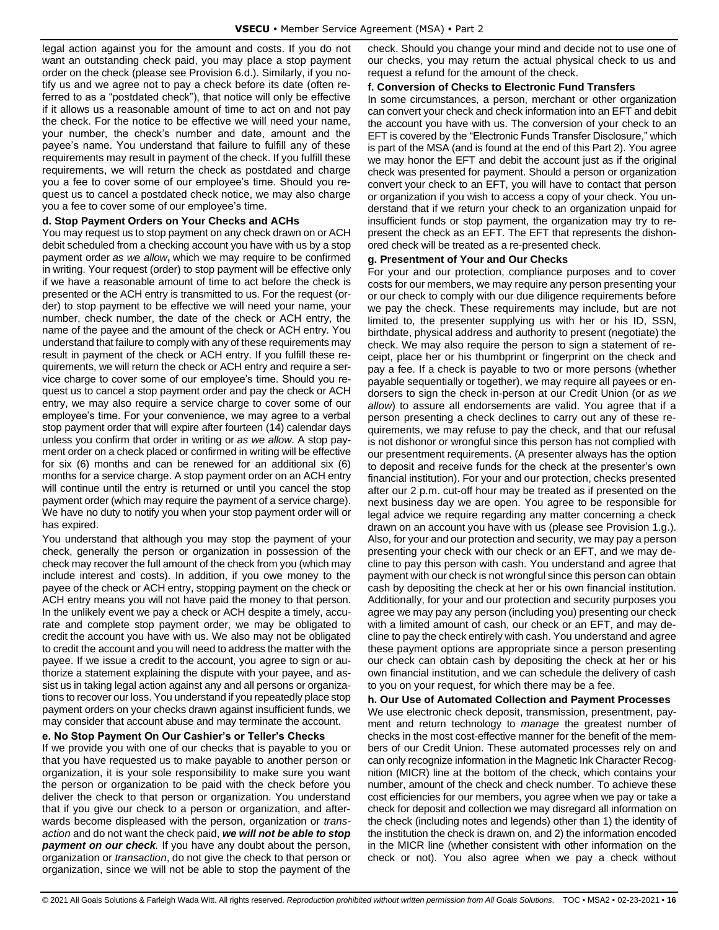legal action against you for the amount and costs. If you do not want an outstanding check paid, you may place a stop payment order on the check (please see Provision 6.d.). Similarly, if you notify us and we agree not to pay a check before its date (often referred to as a "postdated check"), that notice will only be effective if it allows us a reasonable amount of time to act on and not pay the check. For the notice to be effective we will need your name, your number, the check's number and date, amount and the payee's name. You understand that failure to fulfill any of these requirements may result in payment of the check. If you fulfill these requirements, we will return the check as postdated and charge you a fee to cover some of our employee's time. Should you request us to cancel a postdated check notice, we may also charge you a fee to cover some of our employee's time.

#### **d. Stop Payment Orders on Your Checks and ACHs**

You may request us to stop payment on any check drawn on or ACH debit scheduled from a checking account you have with us by a stop payment order *as we allow***,** which we may require to be confirmed in writing. Your request (order) to stop payment will be effective only if we have a reasonable amount of time to act before the check is presented or the ACH entry is transmitted to us. For the request (order) to stop payment to be effective we will need your name, your number, check number, the date of the check or ACH entry, the name of the payee and the amount of the check or ACH entry. You understand that failure to comply with any of these requirements may result in payment of the check or ACH entry. If you fulfill these requirements, we will return the check or ACH entry and require a service charge to cover some of our employee's time. Should you request us to cancel a stop payment order and pay the check or ACH entry, we may also require a service charge to cover some of our employee's time. For your convenience, we may agree to a verbal stop payment order that will expire after fourteen (14) calendar days unless you confirm that order in writing or *as we allow*. A stop payment order on a check placed or confirmed in writing will be effective for six (6) months and can be renewed for an additional six (6) months for a service charge. A stop payment order on an ACH entry will continue until the entry is returned or until you cancel the stop payment order (which may require the payment of a service charge). We have no duty to notify you when your stop payment order will or has expired.

You understand that although you may stop the payment of your check, generally the person or organization in possession of the check may recover the full amount of the check from you (which may include interest and costs). In addition, if you owe money to the payee of the check or ACH entry, stopping payment on the check or ACH entry means you will not have paid the money to that person. In the unlikely event we pay a check or ACH despite a timely, accurate and complete stop payment order, we may be obligated to credit the account you have with us. We also may not be obligated to credit the account and you will need to address the matter with the payee. If we issue a credit to the account, you agree to sign or authorize a statement explaining the dispute with your payee, and assist us in taking legal action against any and all persons or organizations to recover our loss. You understand if you repeatedly place stop payment orders on your checks drawn against insufficient funds, we may consider that account abuse and may terminate the account.

#### **e. No Stop Payment On Our Cashier's or Teller's Checks**

If we provide you with one of our checks that is payable to you or that you have requested us to make payable to another person or organization, it is your sole responsibility to make sure you want the person or organization to be paid with the check before you deliver the check to that person or organization. You understand that if you give our check to a person or organization, and afterwards become displeased with the person, organization or *transaction* and do not want the check paid, *we will not be able to stop payment on our check.* If you have any doubt about the person, organization or *transaction*, do not give the check to that person or organization, since we will not be able to stop the payment of the

check. Should you change your mind and decide not to use one of our checks, you may return the actual physical check to us and request a refund for the amount of the check.

#### **f. Conversion of Checks to Electronic Fund Transfers**

In some circumstances, a person, merchant or other organization can convert your check and check information into an EFT and debit the account you have with us. The conversion of your check to an EFT is covered by the "Electronic Funds Transfer Disclosure," which is part of the MSA (and is found at the end of this Part 2). You agree we may honor the EFT and debit the account just as if the original check was presented for payment. Should a person or organization convert your check to an EFT, you will have to contact that person or organization if you wish to access a copy of your check. You understand that if we return your check to an organization unpaid for insufficient funds or stop payment, the organization may try to represent the check as an EFT. The EFT that represents the dishonored check will be treated as a re-presented check.

#### **g. Presentment of Your and Our Checks**

For your and our protection, compliance purposes and to cover costs for our members, we may require any person presenting your or our check to comply with our due diligence requirements before we pay the check. These requirements may include, but are not limited to, the presenter supplying us with her or his ID, SSN, birthdate, physical address and authority to present (negotiate) the check. We may also require the person to sign a statement of receipt, place her or his thumbprint or fingerprint on the check and pay a fee. If a check is payable to two or more persons (whether payable sequentially or together), we may require all payees or endorsers to sign the check in-person at our Credit Union (or *as we allow*) to assure all endorsements are valid. You agree that if a person presenting a check declines to carry out any of these requirements, we may refuse to pay the check, and that our refusal is not dishonor or wrongful since this person has not complied with our presentment requirements. (A presenter always has the option to deposit and receive funds for the check at the presenter's own financial institution). For your and our protection, checks presented after our 2 p.m. cut-off hour may be treated as if presented on the next business day we are open. You agree to be responsible for legal advice we require regarding any matter concerning a check drawn on an account you have with us (please see Provision 1.g.). Also, for your and our protection and security, we may pay a person presenting your check with our check or an EFT, and we may decline to pay this person with cash. You understand and agree that payment with our check is not wrongful since this person can obtain cash by depositing the check at her or his own financial institution. Additionally, for your and our protection and security purposes you agree we may pay any person (including you) presenting our check with a limited amount of cash, our check or an EFT, and may decline to pay the check entirely with cash. You understand and agree these payment options are appropriate since a person presenting our check can obtain cash by depositing the check at her or his own financial institution, and we can schedule the delivery of cash to you on your request, for which there may be a fee.

#### **h. Our Use of Automated Collection and Payment Processes**

We use electronic check deposit, transmission, presentment, payment and return technology to *manage* the greatest number of checks in the most cost-effective manner for the benefit of the members of our Credit Union. These automated processes rely on and can only recognize information in the Magnetic Ink Character Recognition (MICR) line at the bottom of the check, which contains your number, amount of the check and check number. To achieve these cost efficiencies for our members, you agree when we pay or take a check for deposit and collection we may disregard all information on the check (including notes and legends) other than 1) the identity of the institution the check is drawn on, and 2) the information encoded in the MICR line (whether consistent with other information on the check or not). You also agree when we pay a check without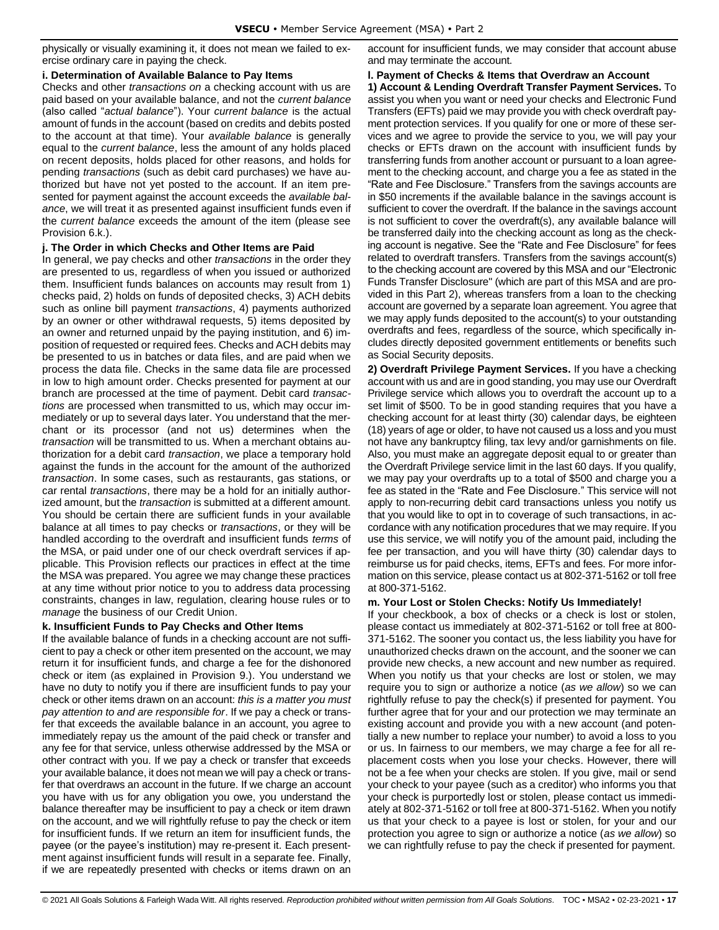physically or visually examining it, it does not mean we failed to exercise ordinary care in paying the check.

#### **i. Determination of Available Balance to Pay Items**

Checks and other *transactions on* a checking account with us are paid based on your available balance, and not the *current balance* (also called "*actual balance*"). Your *current balance* is the actual amount of funds in the account (based on credits and debits posted to the account at that time). Your *available balance* is generally equal to the *current balance*, less the amount of any holds placed on recent deposits, holds placed for other reasons, and holds for pending *transactions* (such as debit card purchases) we have authorized but have not yet posted to the account. If an item presented for payment against the account exceeds the *available balance*, we will treat it as presented against insufficient funds even if the *current balance* exceeds the amount of the item (please see Provision 6.k.).

## **j. The Order in which Checks and Other Items are Paid**

In general, we pay checks and other *transactions* in the order they are presented to us, regardless of when you issued or authorized them. Insufficient funds balances on accounts may result from 1) checks paid, 2) holds on funds of deposited checks, 3) ACH debits such as online bill payment *transactions*, 4) payments authorized by an owner or other withdrawal requests, 5) items deposited by an owner and returned unpaid by the paying institution, and 6) imposition of requested or required fees. Checks and ACH debits may be presented to us in batches or data files, and are paid when we process the data file. Checks in the same data file are processed in low to high amount order. Checks presented for payment at our branch are processed at the time of payment. Debit card *transactions* are processed when transmitted to us, which may occur immediately or up to several days later. You understand that the merchant or its processor (and not us) determines when the *transaction* will be transmitted to us. When a merchant obtains authorization for a debit card *transaction*, we place a temporary hold against the funds in the account for the amount of the authorized *transaction*. In some cases, such as restaurants, gas stations, or car rental *transactions*, there may be a hold for an initially authorized amount, but the *transaction* is submitted at a different amount. You should be certain there are sufficient funds in your available balance at all times to pay checks or *transactions*, or they will be handled according to the overdraft and insufficient funds *terms* of the MSA, or paid under one of our check overdraft services if applicable. This Provision reflects our practices in effect at the time the MSA was prepared. You agree we may change these practices at any time without prior notice to you to address data processing constraints, changes in law, regulation, clearing house rules or to *manage* the business of our Credit Union.

## **k. Insufficient Funds to Pay Checks and Other Items**

If the available balance of funds in a checking account are not sufficient to pay a check or other item presented on the account, we may return it for insufficient funds, and charge a fee for the dishonored check or item (as explained in Provision 9.). You understand we have no duty to notify you if there are insufficient funds to pay your check or other items drawn on an account: *this is a matter you must pay attention to and are responsible for*. If we pay a check or transfer that exceeds the available balance in an account, you agree to immediately repay us the amount of the paid check or transfer and any fee for that service, unless otherwise addressed by the MSA or other contract with you. If we pay a check or transfer that exceeds your available balance, it does not mean we will pay a check or transfer that overdraws an account in the future. If we charge an account you have with us for any obligation you owe, you understand the balance thereafter may be insufficient to pay a check or item drawn on the account, and we will rightfully refuse to pay the check or item for insufficient funds. If we return an item for insufficient funds, the payee (or the payee's institution) may re-present it. Each presentment against insufficient funds will result in a separate fee. Finally, if we are repeatedly presented with checks or items drawn on an

account for insufficient funds, we may consider that account abuse and may terminate the account.

#### **l. Payment of Checks & Items that Overdraw an Account**

**1) Account & Lending Overdraft Transfer Payment Services.** To assist you when you want or need your checks and Electronic Fund Transfers (EFTs) paid we may provide you with check overdraft payment protection services. If you qualify for one or more of these services and we agree to provide the service to you, we will pay your checks or EFTs drawn on the account with insufficient funds by transferring funds from another account or pursuant to a loan agreement to the checking account, and charge you a fee as stated in the "Rate and Fee Disclosure." Transfers from the savings accounts are in \$50 increments if the available balance in the savings account is sufficient to cover the overdraft. If the balance in the savings account is not sufficient to cover the overdraft(s), any available balance will be transferred daily into the checking account as long as the checking account is negative. See the "Rate and Fee Disclosure" for fees related to overdraft transfers. Transfers from the savings account(s) to the checking account are covered by this MSA and our "Electronic Funds Transfer Disclosure" (which are part of this MSA and are provided in this Part 2), whereas transfers from a loan to the checking account are governed by a separate loan agreement. You agree that we may apply funds deposited to the account(s) to your outstanding overdrafts and fees, regardless of the source, which specifically includes directly deposited government entitlements or benefits such as Social Security deposits.

**2) Overdraft Privilege Payment Services.** If you have a checking account with us and are in good standing, you may use our Overdraft Privilege service which allows you to overdraft the account up to a set limit of \$500. To be in good standing requires that you have a checking account for at least thirty (30) calendar days, be eighteen (18) years of age or older, to have not caused us a loss and you must not have any bankruptcy filing, tax levy and/or garnishments on file. Also, you must make an aggregate deposit equal to or greater than the Overdraft Privilege service limit in the last 60 days. If you qualify, we may pay your overdrafts up to a total of \$500 and charge you a fee as stated in the "Rate and Fee Disclosure." This service will not apply to non-recurring debit card transactions unless you notify us that you would like to opt in to coverage of such transactions, in accordance with any notification procedures that we may require. If you use this service, we will notify you of the amount paid, including the fee per transaction, and you will have thirty (30) calendar days to reimburse us for paid checks, items, EFTs and fees. For more information on this service, please contact us at 802-371-5162 or toll free at 800-371-5162.

## **m. Your Lost or Stolen Checks: Notify Us Immediately!**

If your checkbook, a box of checks or a check is lost or stolen, please contact us immediately at 802-371-5162 or toll free at 800- 371-5162. The sooner you contact us, the less liability you have for unauthorized checks drawn on the account, and the sooner we can provide new checks, a new account and new number as required. When you notify us that your checks are lost or stolen, we may require you to sign or authorize a notice (*as we allow*) so we can rightfully refuse to pay the check(s) if presented for payment. You further agree that for your and our protection we may terminate an existing account and provide you with a new account (and potentially a new number to replace your number) to avoid a loss to you or us. In fairness to our members, we may charge a fee for all replacement costs when you lose your checks. However, there will not be a fee when your checks are stolen. If you give, mail or send your check to your payee (such as a creditor) who informs you that your check is purportedly lost or stolen, please contact us immediately at 802-371-5162 or toll free at 800-371-5162. When you notify us that your check to a payee is lost or stolen, for your and our protection you agree to sign or authorize a notice (*as we allow*) so we can rightfully refuse to pay the check if presented for payment.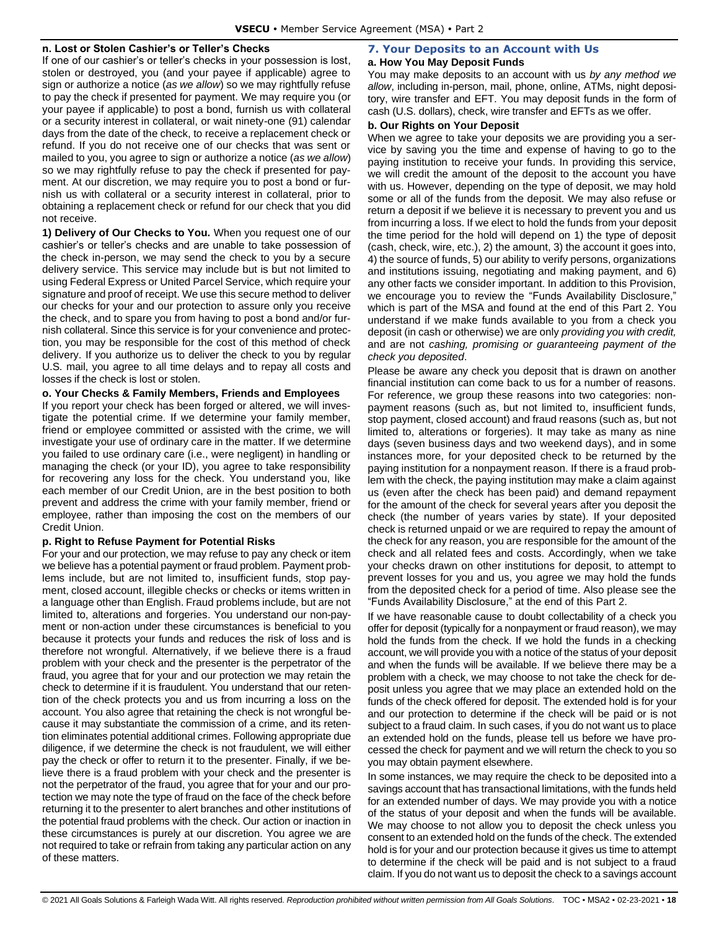## **n. Lost or Stolen Cashier's or Teller's Checks**

If one of our cashier's or teller's checks in your possession is lost, stolen or destroyed, you (and your payee if applicable) agree to sign or authorize a notice (*as we allow*) so we may rightfully refuse to pay the check if presented for payment. We may require you (or your payee if applicable) to post a bond, furnish us with collateral or a security interest in collateral, or wait ninety-one (91) calendar days from the date of the check, to receive a replacement check or refund. If you do not receive one of our checks that was sent or mailed to you, you agree to sign or authorize a notice (*as we allow*) so we may rightfully refuse to pay the check if presented for payment. At our discretion, we may require you to post a bond or furnish us with collateral or a security interest in collateral, prior to obtaining a replacement check or refund for our check that you did not receive.

**1) Delivery of Our Checks to You.** When you request one of our cashier's or teller's checks and are unable to take possession of the check in-person, we may send the check to you by a secure delivery service. This service may include but is but not limited to using Federal Express or United Parcel Service, which require your signature and proof of receipt. We use this secure method to deliver our checks for your and our protection to assure only you receive the check, and to spare you from having to post a bond and/or furnish collateral. Since this service is for your convenience and protection, you may be responsible for the cost of this method of check delivery. If you authorize us to deliver the check to you by regular U.S. mail, you agree to all time delays and to repay all costs and losses if the check is lost or stolen.

#### **o. Your Checks & Family Members, Friends and Employees**

If you report your check has been forged or altered, we will investigate the potential crime. If we determine your family member, friend or employee committed or assisted with the crime, we will investigate your use of ordinary care in the matter. If we determine you failed to use ordinary care (i.e., were negligent) in handling or managing the check (or your ID), you agree to take responsibility for recovering any loss for the check. You understand you, like each member of our Credit Union, are in the best position to both prevent and address the crime with your family member, friend or employee, rather than imposing the cost on the members of our Credit Union.

## **p. Right to Refuse Payment for Potential Risks**

For your and our protection, we may refuse to pay any check or item we believe has a potential payment or fraud problem. Payment problems include, but are not limited to, insufficient funds, stop payment, closed account, illegible checks or checks or items written in a language other than English. Fraud problems include, but are not limited to, alterations and forgeries. You understand our non-payment or non-action under these circumstances is beneficial to you because it protects your funds and reduces the risk of loss and is therefore not wrongful. Alternatively, if we believe there is a fraud problem with your check and the presenter is the perpetrator of the fraud, you agree that for your and our protection we may retain the check to determine if it is fraudulent. You understand that our retention of the check protects you and us from incurring a loss on the account. You also agree that retaining the check is not wrongful because it may substantiate the commission of a crime, and its retention eliminates potential additional crimes. Following appropriate due diligence, if we determine the check is not fraudulent, we will either pay the check or offer to return it to the presenter. Finally, if we believe there is a fraud problem with your check and the presenter is not the perpetrator of the fraud, you agree that for your and our protection we may note the type of fraud on the face of the check before returning it to the presenter to alert branches and other institutions of the potential fraud problems with the check. Our action or inaction in these circumstances is purely at our discretion. You agree we are not required to take or refrain from taking any particular action on any of these matters.

#### <span id="page-17-0"></span>**7. Your Deposits to an Account with Us a. How You May Deposit Funds**

You may make deposits to an account with us *by any method we allow*, including in-person, mail, phone, online, ATMs, night depository, wire transfer and EFT. You may deposit funds in the form of cash (U.S. dollars), check, wire transfer and EFTs as we offer.

## **b. Our Rights on Your Deposit**

When we agree to take your deposits we are providing you a service by saving you the time and expense of having to go to the paying institution to receive your funds. In providing this service, we will credit the amount of the deposit to the account you have with us. However, depending on the type of deposit, we may hold some or all of the funds from the deposit. We may also refuse or return a deposit if we believe it is necessary to prevent you and us from incurring a loss. If we elect to hold the funds from your deposit the time period for the hold will depend on 1) the type of deposit (cash, check, wire, etc.), 2) the amount, 3) the account it goes into, 4) the source of funds, 5) our ability to verify persons, organizations and institutions issuing, negotiating and making payment, and 6) any other facts we consider important. In addition to this Provision, we encourage you to review the "Funds Availability Disclosure," which is part of the MSA and found at the end of this Part 2. You understand if we make funds available to you from a check you deposit (in cash or otherwise) we are only *providing you with credit,*  and are not *cashing, promising or guaranteeing payment of the check you deposited*.

Please be aware any check you deposit that is drawn on another financial institution can come back to us for a number of reasons. For reference, we group these reasons into two categories: nonpayment reasons (such as, but not limited to, insufficient funds, stop payment, closed account) and fraud reasons (such as, but not limited to, alterations or forgeries). It may take as many as nine days (seven business days and two weekend days), and in some instances more, for your deposited check to be returned by the paying institution for a nonpayment reason. If there is a fraud problem with the check, the paying institution may make a claim against us (even after the check has been paid) and demand repayment for the amount of the check for several years after you deposit the check (the number of years varies by state). If your deposited check is returned unpaid or we are required to repay the amount of the check for any reason, you are responsible for the amount of the check and all related fees and costs. Accordingly, when we take your checks drawn on other institutions for deposit, to attempt to prevent losses for you and us, you agree we may hold the funds from the deposited check for a period of time. Also please see the "Funds Availability Disclosure," at the end of this Part 2.

If we have reasonable cause to doubt collectability of a check you offer for deposit (typically for a nonpayment or fraud reason), we may hold the funds from the check. If we hold the funds in a checking account, we will provide you with a notice of the status of your deposit and when the funds will be available. If we believe there may be a problem with a check, we may choose to not take the check for deposit unless you agree that we may place an extended hold on the funds of the check offered for deposit. The extended hold is for your and our protection to determine if the check will be paid or is not subject to a fraud claim. In such cases, if you do not want us to place an extended hold on the funds, please tell us before we have processed the check for payment and we will return the check to you so you may obtain payment elsewhere.

In some instances, we may require the check to be deposited into a savings account that has transactional limitations, with the funds held for an extended number of days. We may provide you with a notice of the status of your deposit and when the funds will be available. We may choose to not allow you to deposit the check unless you consent to an extended hold on the funds of the check. The extended hold is for your and our protection because it gives us time to attempt to determine if the check will be paid and is not subject to a fraud claim. If you do not want us to deposit the check to a savings account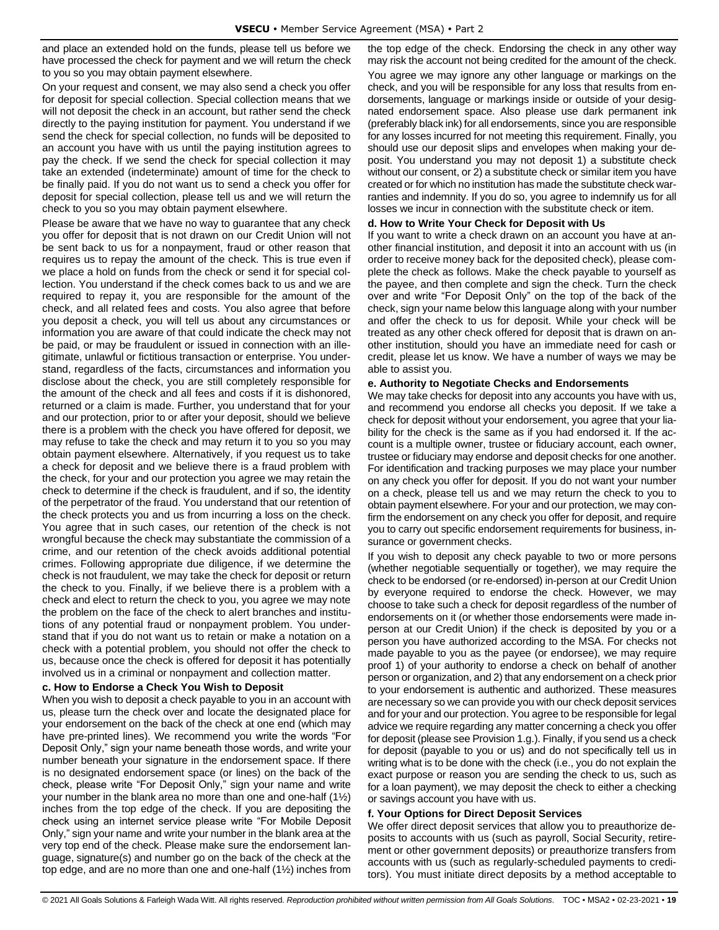and place an extended hold on the funds, please tell us before we have processed the check for payment and we will return the check to you so you may obtain payment elsewhere.

On your request and consent, we may also send a check you offer for deposit for special collection. Special collection means that we will not deposit the check in an account, but rather send the check directly to the paying institution for payment. You understand if we send the check for special collection, no funds will be deposited to an account you have with us until the paying institution agrees to pay the check. If we send the check for special collection it may take an extended (indeterminate) amount of time for the check to be finally paid. If you do not want us to send a check you offer for deposit for special collection, please tell us and we will return the check to you so you may obtain payment elsewhere.

Please be aware that we have no way to guarantee that any check you offer for deposit that is not drawn on our Credit Union will not be sent back to us for a nonpayment, fraud or other reason that requires us to repay the amount of the check. This is true even if we place a hold on funds from the check or send it for special collection. You understand if the check comes back to us and we are required to repay it, you are responsible for the amount of the check, and all related fees and costs. You also agree that before you deposit a check, you will tell us about any circumstances or information you are aware of that could indicate the check may not be paid, or may be fraudulent or issued in connection with an illegitimate, unlawful or fictitious transaction or enterprise. You understand, regardless of the facts, circumstances and information you disclose about the check, you are still completely responsible for the amount of the check and all fees and costs if it is dishonored, returned or a claim is made. Further, you understand that for your and our protection, prior to or after your deposit, should we believe there is a problem with the check you have offered for deposit, we may refuse to take the check and may return it to you so you may obtain payment elsewhere. Alternatively, if you request us to take a check for deposit and we believe there is a fraud problem with the check, for your and our protection you agree we may retain the check to determine if the check is fraudulent, and if so, the identity of the perpetrator of the fraud. You understand that our retention of the check protects you and us from incurring a loss on the check. You agree that in such cases, our retention of the check is not wrongful because the check may substantiate the commission of a crime, and our retention of the check avoids additional potential crimes. Following appropriate due diligence, if we determine the check is not fraudulent, we may take the check for deposit or return the check to you. Finally, if we believe there is a problem with a check and elect to return the check to you, you agree we may note the problem on the face of the check to alert branches and institutions of any potential fraud or nonpayment problem. You understand that if you do not want us to retain or make a notation on a check with a potential problem, you should not offer the check to us, because once the check is offered for deposit it has potentially involved us in a criminal or nonpayment and collection matter.

#### **c. How to Endorse a Check You Wish to Deposit**

When you wish to deposit a check payable to you in an account with us, please turn the check over and locate the designated place for your endorsement on the back of the check at one end (which may have pre-printed lines). We recommend you write the words "For Deposit Only," sign your name beneath those words, and write your number beneath your signature in the endorsement space. If there is no designated endorsement space (or lines) on the back of the check, please write "For Deposit Only," sign your name and write your number in the blank area no more than one and one-half (1½) inches from the top edge of the check. If you are depositing the check using an internet service please write "For Mobile Deposit Only," sign your name and write your number in the blank area at the very top end of the check. Please make sure the endorsement language, signature(s) and number go on the back of the check at the top edge, and are no more than one and one-half (1½) inches from the top edge of the check. Endorsing the check in any other way may risk the account not being credited for the amount of the check. You agree we may ignore any other language or markings on the check, and you will be responsible for any loss that results from endorsements, language or markings inside or outside of your designated endorsement space. Also please use dark permanent ink (preferably black ink) for all endorsements, since you are responsible for any losses incurred for not meeting this requirement. Finally, you should use our deposit slips and envelopes when making your deposit. You understand you may not deposit 1) a substitute check without our consent, or 2) a substitute check or similar item you have created or for which no institution has made the substitute check warranties and indemnity. If you do so, you agree to indemnify us for all losses we incur in connection with the substitute check or item.

#### **d. How to Write Your Check for Deposit with Us**

If you want to write a check drawn on an account you have at another financial institution, and deposit it into an account with us (in order to receive money back for the deposited check), please complete the check as follows. Make the check payable to yourself as the payee, and then complete and sign the check. Turn the check over and write "For Deposit Only" on the top of the back of the check, sign your name below this language along with your number and offer the check to us for deposit. While your check will be treated as any other check offered for deposit that is drawn on another institution, should you have an immediate need for cash or credit, please let us know. We have a number of ways we may be able to assist you.

#### **e. Authority to Negotiate Checks and Endorsements**

We may take checks for deposit into any accounts you have with us, and recommend you endorse all checks you deposit. If we take a check for deposit without your endorsement, you agree that your liability for the check is the same as if you had endorsed it. If the account is a multiple owner, trustee or fiduciary account, each owner, trustee or fiduciary may endorse and deposit checks for one another. For identification and tracking purposes we may place your number on any check you offer for deposit. If you do not want your number on a check, please tell us and we may return the check to you to obtain payment elsewhere. For your and our protection, we may confirm the endorsement on any check you offer for deposit, and require you to carry out specific endorsement requirements for business, insurance or government checks.

If you wish to deposit any check payable to two or more persons (whether negotiable sequentially or together), we may require the check to be endorsed (or re-endorsed) in-person at our Credit Union by everyone required to endorse the check. However, we may choose to take such a check for deposit regardless of the number of endorsements on it (or whether those endorsements were made inperson at our Credit Union) if the check is deposited by you or a person you have authorized according to the MSA. For checks not made payable to you as the payee (or endorsee), we may require proof 1) of your authority to endorse a check on behalf of another person or organization, and 2) that any endorsement on a check prior to your endorsement is authentic and authorized. These measures are necessary so we can provide you with our check deposit services and for your and our protection. You agree to be responsible for legal advice we require regarding any matter concerning a check you offer for deposit (please see Provision 1.g.). Finally, if you send us a check for deposit (payable to you or us) and do not specifically tell us in writing what is to be done with the check (i.e., you do not explain the exact purpose or reason you are sending the check to us, such as for a loan payment), we may deposit the check to either a checking or savings account you have with us.

#### **f. Your Options for Direct Deposit Services**

We offer direct deposit services that allow you to preauthorize deposits to accounts with us (such as payroll, Social Security, retirement or other government deposits) or preauthorize transfers from accounts with us (such as regularly-scheduled payments to creditors). You must initiate direct deposits by a method acceptable to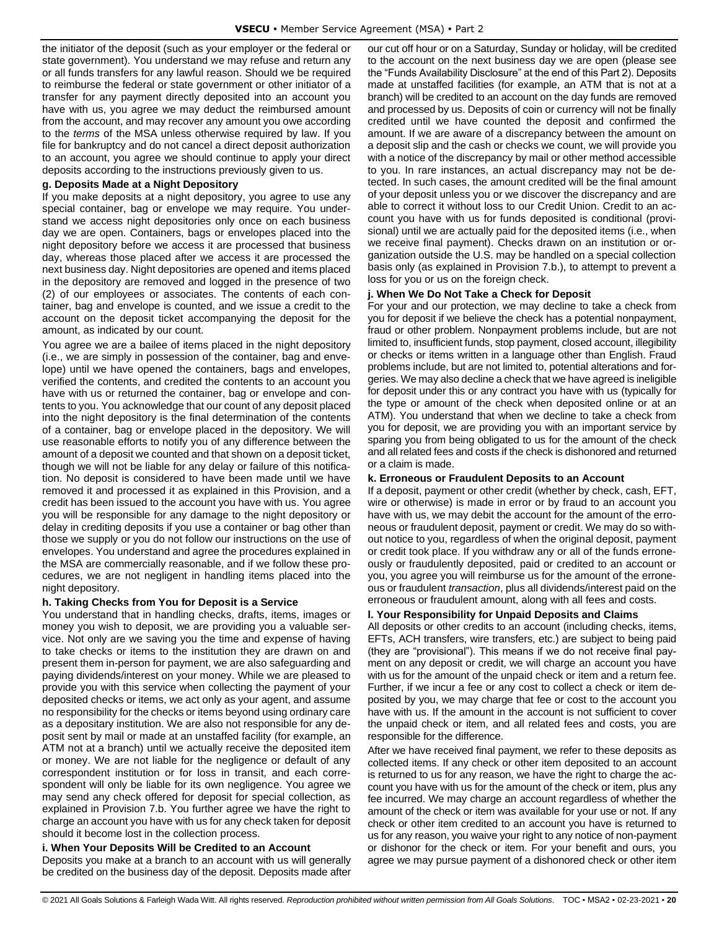the initiator of the deposit (such as your employer or the federal or state government). You understand we may refuse and return any or all funds transfers for any lawful reason. Should we be required to reimburse the federal or state government or other initiator of a transfer for any payment directly deposited into an account you have with us, you agree we may deduct the reimbursed amount from the account, and may recover any amount you owe according to the *terms* of the MSA unless otherwise required by law. If you file for bankruptcy and do not cancel a direct deposit authorization to an account, you agree we should continue to apply your direct deposits according to the instructions previously given to us.

## **g. Deposits Made at a Night Depository**

If you make deposits at a night depository, you agree to use any special container, bag or envelope we may require. You understand we access night depositories only once on each business day we are open. Containers, bags or envelopes placed into the night depository before we access it are processed that business day, whereas those placed after we access it are processed the next business day. Night depositories are opened and items placed in the depository are removed and logged in the presence of two (2) of our employees or associates. The contents of each container, bag and envelope is counted, and we issue a credit to the account on the deposit ticket accompanying the deposit for the amount, as indicated by our count.

You agree we are a bailee of items placed in the night depository (i.e., we are simply in possession of the container, bag and envelope) until we have opened the containers, bags and envelopes, verified the contents, and credited the contents to an account you have with us or returned the container, bag or envelope and contents to you. You acknowledge that our count of any deposit placed into the night depository is the final determination of the contents of a container, bag or envelope placed in the depository. We will use reasonable efforts to notify you of any difference between the amount of a deposit we counted and that shown on a deposit ticket, though we will not be liable for any delay or failure of this notification. No deposit is considered to have been made until we have removed it and processed it as explained in this Provision, and a credit has been issued to the account you have with us. You agree you will be responsible for any damage to the night depository or delay in crediting deposits if you use a container or bag other than those we supply or you do not follow our instructions on the use of envelopes. You understand and agree the procedures explained in the MSA are commercially reasonable, and if we follow these procedures, we are not negligent in handling items placed into the night depository.

## **h. Taking Checks from You for Deposit is a Service**

You understand that in handling checks, drafts, items, images or money you wish to deposit, we are providing you a valuable service. Not only are we saving you the time and expense of having to take checks or items to the institution they are drawn on and present them in-person for payment, we are also safeguarding and paying dividends/interest on your money. While we are pleased to provide you with this service when collecting the payment of your deposited checks or items, we act only as your agent, and assume no responsibility for the checks or items beyond using ordinary care as a depositary institution. We are also not responsible for any deposit sent by mail or made at an unstaffed facility (for example, an ATM not at a branch) until we actually receive the deposited item or money. We are not liable for the negligence or default of any correspondent institution or for loss in transit, and each correspondent will only be liable for its own negligence. You agree we may send any check offered for deposit for special collection, as explained in Provision 7.b. You further agree we have the right to charge an account you have with us for any check taken for deposit should it become lost in the collection process.

## **i. When Your Deposits Will be Credited to an Account**

Deposits you make at a branch to an account with us will generally be credited on the business day of the deposit. Deposits made after our cut off hour or on a Saturday, Sunday or holiday, will be credited to the account on the next business day we are open (please see the "Funds Availability Disclosure" at the end of this Part 2). Deposits made at unstaffed facilities (for example, an ATM that is not at a branch) will be credited to an account on the day funds are removed and processed by us. Deposits of coin or currency will not be finally credited until we have counted the deposit and confirmed the amount. If we are aware of a discrepancy between the amount on a deposit slip and the cash or checks we count, we will provide you with a notice of the discrepancy by mail or other method accessible to you. In rare instances, an actual discrepancy may not be detected. In such cases, the amount credited will be the final amount of your deposit unless you or we discover the discrepancy and are able to correct it without loss to our Credit Union. Credit to an account you have with us for funds deposited is conditional (provisional) until we are actually paid for the deposited items (i.e., when we receive final payment). Checks drawn on an institution or organization outside the U.S. may be handled on a special collection basis only (as explained in Provision 7.b.), to attempt to prevent a loss for you or us on the foreign check.

#### **j. When We Do Not Take a Check for Deposit**

For your and our protection, we may decline to take a check from you for deposit if we believe the check has a potential nonpayment, fraud or other problem. Nonpayment problems include, but are not limited to, insufficient funds, stop payment, closed account, illegibility or checks or items written in a language other than English. Fraud problems include, but are not limited to, potential alterations and forgeries. We may also decline a check that we have agreed is ineligible for deposit under this or any contract you have with us (typically for the type or amount of the check when deposited online or at an ATM). You understand that when we decline to take a check from you for deposit, we are providing you with an important service by sparing you from being obligated to us for the amount of the check and all related fees and costs if the check is dishonored and returned or a claim is made.

#### **k. Erroneous or Fraudulent Deposits to an Account**

If a deposit, payment or other credit (whether by check, cash, EFT, wire or otherwise) is made in error or by fraud to an account you have with us, we may debit the account for the amount of the erroneous or fraudulent deposit, payment or credit. We may do so without notice to you, regardless of when the original deposit, payment or credit took place. If you withdraw any or all of the funds erroneously or fraudulently deposited, paid or credited to an account or you, you agree you will reimburse us for the amount of the erroneous or fraudulent *transaction*, plus all dividends/interest paid on the erroneous or fraudulent amount, along with all fees and costs.

## **l. Your Responsibility for Unpaid Deposits and Claims**

All deposits or other credits to an account (including checks, items, EFTs, ACH transfers, wire transfers, etc.) are subject to being paid (they are "provisional"). This means if we do not receive final payment on any deposit or credit, we will charge an account you have with us for the amount of the unpaid check or item and a return fee. Further, if we incur a fee or any cost to collect a check or item deposited by you, we may charge that fee or cost to the account you have with us. If the amount in the account is not sufficient to cover the unpaid check or item, and all related fees and costs, you are responsible for the difference.

After we have received final payment, we refer to these deposits as collected items. If any check or other item deposited to an account is returned to us for any reason, we have the right to charge the account you have with us for the amount of the check or item, plus any fee incurred. We may charge an account regardless of whether the amount of the check or item was available for your use or not. If any check or other item credited to an account you have is returned to us for any reason, you waive your right to any notice of non-payment or dishonor for the check or item. For your benefit and ours, you agree we may pursue payment of a dishonored check or other item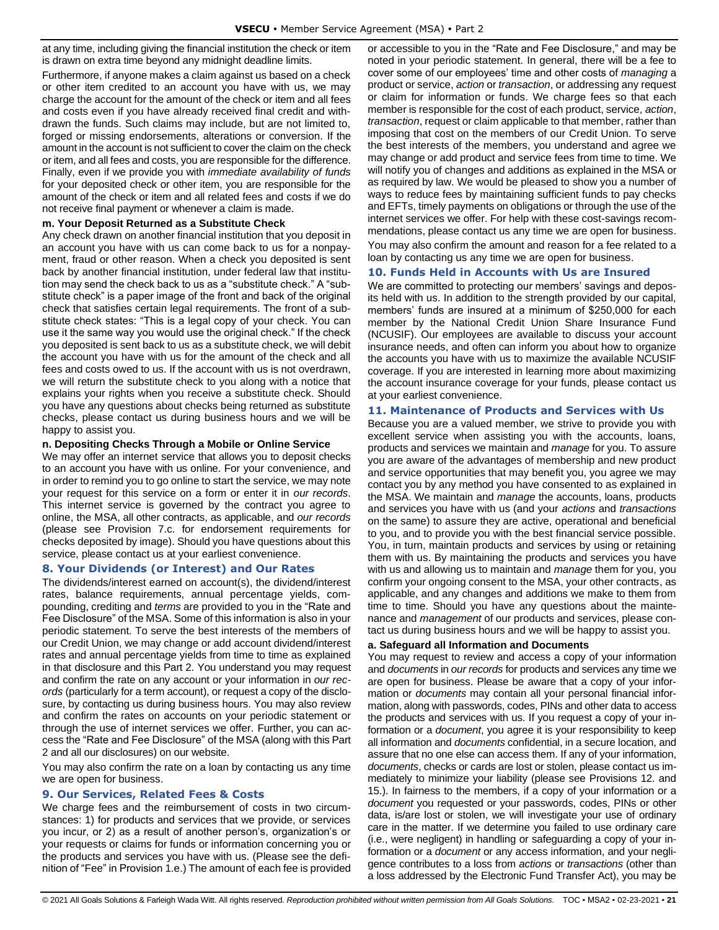at any time, including giving the financial institution the check or item is drawn on extra time beyond any midnight deadline limits.

Furthermore, if anyone makes a claim against us based on a check or other item credited to an account you have with us, we may charge the account for the amount of the check or item and all fees and costs even if you have already received final credit and withdrawn the funds. Such claims may include, but are not limited to, forged or missing endorsements, alterations or conversion. If the amount in the account is not sufficient to cover the claim on the check or item, and all fees and costs, you are responsible for the difference. Finally, even if we provide you with *immediate availability of funds* for your deposited check or other item, you are responsible for the amount of the check or item and all related fees and costs if we do not receive final payment or whenever a claim is made.

#### **m. Your Deposit Returned as a Substitute Check**

Any check drawn on another financial institution that you deposit in an account you have with us can come back to us for a nonpayment, fraud or other reason. When a check you deposited is sent back by another financial institution, under federal law that institution may send the check back to us as a "substitute check." A "substitute check" is a paper image of the front and back of the original check that satisfies certain legal requirements. The front of a substitute check states: "This is a legal copy of your check. You can use it the same way you would use the original check." If the check you deposited is sent back to us as a substitute check, we will debit the account you have with us for the amount of the check and all fees and costs owed to us. If the account with us is not overdrawn, we will return the substitute check to you along with a notice that explains your rights when you receive a substitute check. Should you have any questions about checks being returned as substitute checks, please contact us during business hours and we will be happy to assist you.

#### **n. Depositing Checks Through a Mobile or Online Service**

We may offer an internet service that allows you to deposit checks to an account you have with us online. For your convenience, and in order to remind you to go online to start the service, we may note your request for this service on a form or enter it in *our records*. This internet service is governed by the contract you agree to online, the MSA, all other contracts, as applicable, and *our records* (please see Provision 7.c. for endorsement requirements for checks deposited by image). Should you have questions about this service, please contact us at your earliest convenience.

## <span id="page-20-0"></span>**8. Your Dividends (or Interest) and Our Rates**

The dividends/interest earned on account(s), the dividend/interest rates, balance requirements, annual percentage yields, compounding, crediting and *terms* are provided to you in the "Rate and Fee Disclosure" of the MSA. Some of this information is also in your periodic statement. To serve the best interests of the members of our Credit Union, we may change or add account dividend/interest rates and annual percentage yields from time to time as explained in that disclosure and this Part 2. You understand you may request and confirm the rate on any account or your information in *our records* (particularly for a term account), or request a copy of the disclosure, by contacting us during business hours. You may also review and confirm the rates on accounts on your periodic statement or through the use of internet services we offer. Further, you can access the "Rate and Fee Disclosure" of the MSA (along with this Part 2 and all our disclosures) on our website.

You may also confirm the rate on a loan by contacting us any time we are open for business.

## <span id="page-20-1"></span>**9. Our Services, Related Fees & Costs**

We charge fees and the reimbursement of costs in two circumstances: 1) for products and services that we provide, or services you incur, or 2) as a result of another person's, organization's or your requests or claims for funds or information concerning you or the products and services you have with us. (Please see the definition of "Fee" in Provision 1.e.) The amount of each fee is provided or accessible to you in the "Rate and Fee Disclosure," and may be noted in your periodic statement. In general, there will be a fee to cover some of our employees' time and other costs of *managing* a product or service, *action* or *transaction*, or addressing any request or claim for information or funds. We charge fees so that each member is responsible for the cost of each product, service, *action*, *transaction*, request or claim applicable to that member, rather than imposing that cost on the members of our Credit Union. To serve the best interests of the members, you understand and agree we may change or add product and service fees from time to time. We will notify you of changes and additions as explained in the MSA or as required by law. We would be pleased to show you a number of ways to reduce fees by maintaining sufficient funds to pay checks and EFTs, timely payments on obligations or through the use of the internet services we offer. For help with these cost-savings recommendations, please contact us any time we are open for business.

You may also confirm the amount and reason for a fee related to a loan by contacting us any time we are open for business.

#### <span id="page-20-2"></span>**10. Funds Held in Accounts with Us are Insured**

We are committed to protecting our members' savings and deposits held with us. In addition to the strength provided by our capital, members' funds are insured at a minimum of \$250,000 for each member by the National Credit Union Share Insurance Fund (NCUSIF). Our employees are available to discuss your account insurance needs, and often can inform you about how to organize the accounts you have with us to maximize the available NCUSIF coverage. If you are interested in learning more about maximizing the account insurance coverage for your funds, please contact us at your earliest convenience.

## <span id="page-20-3"></span>**11. Maintenance of Products and Services with Us**

Because you are a valued member, we strive to provide you with excellent service when assisting you with the accounts, loans, products and services we maintain and *manage* for you. To assure you are aware of the advantages of membership and new product and service opportunities that may benefit you, you agree we may contact you by any method you have consented to as explained in the MSA. We maintain and *manage* the accounts, loans, products and services you have with us (and your *actions* and *transactions* on the same) to assure they are active, operational and beneficial to you, and to provide you with the best financial service possible. You, in turn, maintain products and services by using or retaining them with us. By maintaining the products and services you have with us and allowing us to maintain and *manage* them for you, you confirm your ongoing consent to the MSA, your other contracts, as applicable, and any changes and additions we make to them from time to time. Should you have any questions about the maintenance and *management* of our products and services, please contact us during business hours and we will be happy to assist you.

## **a. Safeguard all Information and Documents**

You may request to review and access a copy of your information and *documents* in *our records* for products and services any time we are open for business. Please be aware that a copy of your information or *documents* may contain all your personal financial information, along with passwords, codes, PINs and other data to access the products and services with us. If you request a copy of your information or a *document*, you agree it is your responsibility to keep all information and *documents* confidential, in a secure location, and assure that no one else can access them. If any of your information, *documents*, checks or cards are lost or stolen, please contact us immediately to minimize your liability (please see Provisions 12. and 15.). In fairness to the members, if a copy of your information or a *document* you requested or your passwords, codes, PINs or other data, is/are lost or stolen, we will investigate your use of ordinary care in the matter. If we determine you failed to use ordinary care (i.e., were negligent) in handling or safeguarding a copy of your information or a *document* or any access information, and your negligence contributes to a loss from *actions* or *transactions* (other than a loss addressed by the Electronic Fund Transfer Act), you may be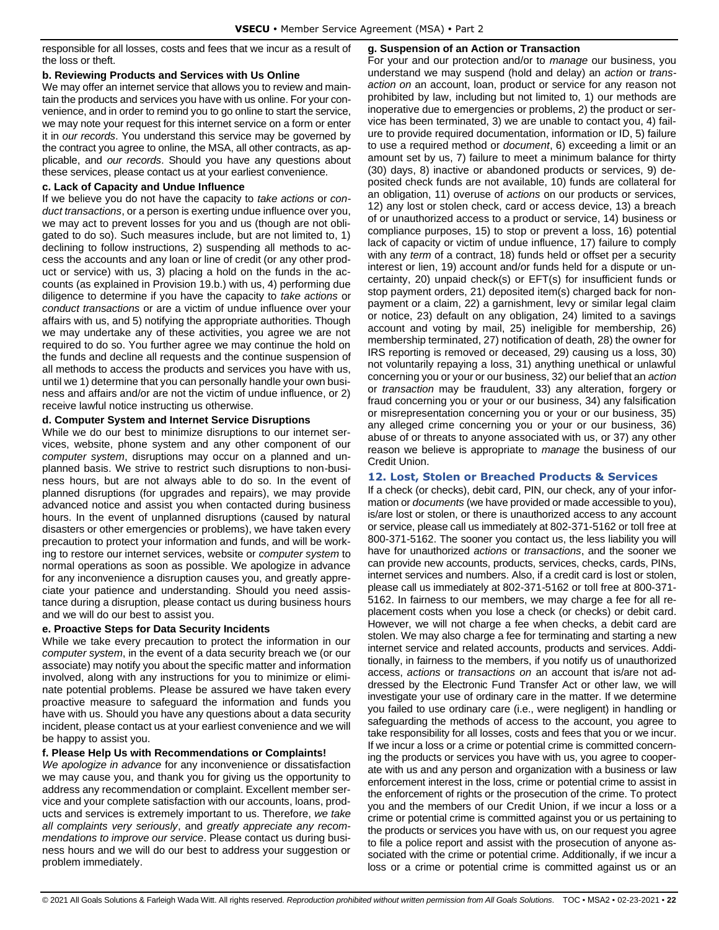responsible for all losses, costs and fees that we incur as a result of the loss or theft.

#### **b. Reviewing Products and Services with Us Online**

We may offer an internet service that allows you to review and maintain the products and services you have with us online. For your convenience, and in order to remind you to go online to start the service, we may note your request for this internet service on a form or enter it in *our records*. You understand this service may be governed by the contract you agree to online, the MSA, all other contracts, as applicable, and *our records*. Should you have any questions about these services, please contact us at your earliest convenience.

#### **c. Lack of Capacity and Undue Influence**

If we believe you do not have the capacity to *take actions* or *conduct transactions*, or a person is exerting undue influence over you, we may act to prevent losses for you and us (though are not obligated to do so). Such measures include, but are not limited to, 1) declining to follow instructions, 2) suspending all methods to access the accounts and any loan or line of credit (or any other product or service) with us, 3) placing a hold on the funds in the accounts (as explained in Provision 19.b.) with us, 4) performing due diligence to determine if you have the capacity to *take actions* or *conduct transactions* or are a victim of undue influence over your affairs with us, and 5) notifying the appropriate authorities. Though we may undertake any of these activities, you agree we are not required to do so. You further agree we may continue the hold on the funds and decline all requests and the continue suspension of all methods to access the products and services you have with us, until we 1) determine that you can personally handle your own business and affairs and/or are not the victim of undue influence, or 2) receive lawful notice instructing us otherwise.

## **d. Computer System and Internet Service Disruptions**

While we do our best to minimize disruptions to our internet services, website, phone system and any other component of our *computer system*, disruptions may occur on a planned and unplanned basis. We strive to restrict such disruptions to non-business hours, but are not always able to do so. In the event of planned disruptions (for upgrades and repairs), we may provide advanced notice and assist you when contacted during business hours. In the event of unplanned disruptions (caused by natural disasters or other emergencies or problems), we have taken every precaution to protect your information and funds, and will be working to restore our internet services, website or *computer system* to normal operations as soon as possible. We apologize in advance for any inconvenience a disruption causes you, and greatly appreciate your patience and understanding. Should you need assistance during a disruption, please contact us during business hours and we will do our best to assist you.

## **e. Proactive Steps for Data Security Incidents**

While we take every precaution to protect the information in our *computer system*, in the event of a data security breach we (or our associate) may notify you about the specific matter and information involved, along with any instructions for you to minimize or eliminate potential problems. Please be assured we have taken every proactive measure to safeguard the information and funds you have with us. Should you have any questions about a data security incident, please contact us at your earliest convenience and we will be happy to assist you.

## **f. Please Help Us with Recommendations or Complaints!**

*We apologize in advance* for any inconvenience or dissatisfaction we may cause you, and thank you for giving us the opportunity to address any recommendation or complaint. Excellent member service and your complete satisfaction with our accounts, loans, products and services is extremely important to us. Therefore, *we take all complaints very seriously*, and *greatly appreciate any recommendations to improve our service*. Please contact us during business hours and we will do our best to address your suggestion or problem immediately.

#### **g. Suspension of an Action or Transaction**

For your and our protection and/or to *manage* our business, you understand we may suspend (hold and delay) an *action* or *transaction on* an account, loan, product or service for any reason not prohibited by law, including but not limited to, 1) our methods are inoperative due to emergencies or problems, 2) the product or service has been terminated, 3) we are unable to contact you, 4) failure to provide required documentation, information or ID, 5) failure to use a required method or *document*, 6) exceeding a limit or an amount set by us, 7) failure to meet a minimum balance for thirty (30) days, 8) inactive or abandoned products or services, 9) deposited check funds are not available, 10) funds are collateral for an obligation, 11) overuse of *actions* on our products or services, 12) any lost or stolen check, card or access device, 13) a breach of or unauthorized access to a product or service, 14) business or compliance purposes, 15) to stop or prevent a loss, 16) potential lack of capacity or victim of undue influence, 17) failure to comply with any *term* of a contract, 18) funds held or offset per a security interest or lien, 19) account and/or funds held for a dispute or uncertainty, 20) unpaid check(s) or EFT(s) for insufficient funds or stop payment orders, 21) deposited item(s) charged back for nonpayment or a claim, 22) a garnishment, levy or similar legal claim or notice, 23) default on any obligation, 24) limited to a savings account and voting by mail, 25) ineligible for membership, 26) membership terminated, 27) notification of death, 28) the owner for IRS reporting is removed or deceased, 29) causing us a loss, 30) not voluntarily repaying a loss, 31) anything unethical or unlawful concerning you or your or our business, 32) our belief that an *action* or *transaction* may be fraudulent, 33) any alteration, forgery or fraud concerning you or your or our business, 34) any falsification or misrepresentation concerning you or your or our business, 35) any alleged crime concerning you or your or our business, 36) abuse of or threats to anyone associated with us, or 37) any other reason we believe is appropriate to *manage* the business of our Credit Union.

## <span id="page-21-0"></span>**12. Lost, Stolen or Breached Products & Services**

If a check (or checks), debit card, PIN, our check, any of your information or *documents* (we have provided or made accessible to you), is/are lost or stolen, or there is unauthorized access to any account or service, please call us immediately at 802-371-5162 or toll free at 800-371-5162. The sooner you contact us, the less liability you will have for unauthorized *actions* or *transactions*, and the sooner we can provide new accounts, products, services, checks, cards, PINs, internet services and numbers. Also, if a credit card is lost or stolen, please call us immediately at 802-371-5162 or toll free at 800-371- 5162. In fairness to our members, we may charge a fee for all replacement costs when you lose a check (or checks) or debit card. However, we will not charge a fee when checks, a debit card are stolen. We may also charge a fee for terminating and starting a new internet service and related accounts, products and services. Additionally, in fairness to the members, if you notify us of unauthorized access, *actions* or *transactions on* an account that is/are not addressed by the Electronic Fund Transfer Act or other law, we will investigate your use of ordinary care in the matter. If we determine you failed to use ordinary care (i.e., were negligent) in handling or safeguarding the methods of access to the account, you agree to take responsibility for all losses, costs and fees that you or we incur. If we incur a loss or a crime or potential crime is committed concerning the products or services you have with us, you agree to cooperate with us and any person and organization with a business or law enforcement interest in the loss, crime or potential crime to assist in the enforcement of rights or the prosecution of the crime. To protect you and the members of our Credit Union, if we incur a loss or a crime or potential crime is committed against you or us pertaining to the products or services you have with us, on our request you agree to file a police report and assist with the prosecution of anyone associated with the crime or potential crime. Additionally, if we incur a loss or a crime or potential crime is committed against us or an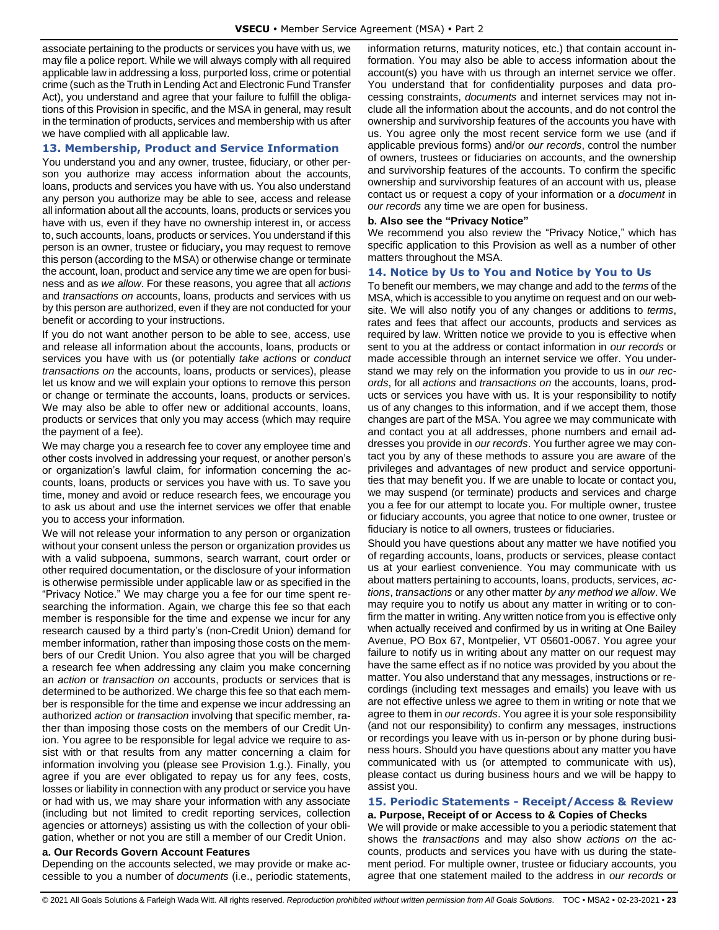associate pertaining to the products or services you have with us, we may file a police report. While we will always comply with all required applicable law in addressing a loss, purported loss, crime or potential crime (such as the Truth in Lending Act and Electronic Fund Transfer Act), you understand and agree that your failure to fulfill the obligations of this Provision in specific, and the MSA in general, may result in the termination of products, services and membership with us after we have complied with all applicable law.

## <span id="page-22-0"></span>**13. Membership, Product and Service Information**

You understand you and any owner, trustee, fiduciary, or other person you authorize may access information about the accounts, loans, products and services you have with us. You also understand any person you authorize may be able to see, access and release all information about all the accounts, loans, products or services you have with us, even if they have no ownership interest in, or access to, such accounts, loans, products or services. You understand if this person is an owner, trustee or fiduciary**,** you may request to remove this person (according to the MSA) or otherwise change or terminate the account, loan, product and service any time we are open for business and as *we allow*. For these reasons, you agree that all *actions*  and *transactions on* accounts, loans, products and services with us by this person are authorized, even if they are not conducted for your benefit or according to your instructions.

If you do not want another person to be able to see, access, use and release all information about the accounts, loans, products or services you have with us (or potentially *take actions* or *conduct transactions on* the accounts, loans, products or services), please let us know and we will explain your options to remove this person or change or terminate the accounts, loans, products or services. We may also be able to offer new or additional accounts, loans, products or services that only you may access (which may require the payment of a fee).

We may charge you a research fee to cover any employee time and other costs involved in addressing your request, or another person's or organization's lawful claim, for information concerning the accounts, loans, products or services you have with us. To save you time, money and avoid or reduce research fees, we encourage you to ask us about and use the internet services we offer that enable you to access your information.

We will not release your information to any person or organization without your consent unless the person or organization provides us with a valid subpoena, summons, search warrant, court order or other required documentation, or the disclosure of your information is otherwise permissible under applicable law or as specified in the "Privacy Notice." We may charge you a fee for our time spent researching the information. Again, we charge this fee so that each member is responsible for the time and expense we incur for any research caused by a third party's (non-Credit Union) demand for member information, rather than imposing those costs on the members of our Credit Union. You also agree that you will be charged a research fee when addressing any claim you make concerning an *action* or *transaction on* accounts, products or services that is determined to be authorized. We charge this fee so that each member is responsible for the time and expense we incur addressing an authorized *action* or *transaction* involving that specific member, rather than imposing those costs on the members of our Credit Union. You agree to be responsible for legal advice we require to assist with or that results from any matter concerning a claim for information involving you (please see Provision 1.g.). Finally, you agree if you are ever obligated to repay us for any fees, costs, losses or liability in connection with any product or service you have or had with us, we may share your information with any associate (including but not limited to credit reporting services, collection agencies or attorneys) assisting us with the collection of your obligation, whether or not you are still a member of our Credit Union.

#### **a. Our Records Govern Account Features**

Depending on the accounts selected, we may provide or make accessible to you a number of *documents* (i.e., periodic statements, information returns, maturity notices, etc.) that contain account information. You may also be able to access information about the account(s) you have with us through an internet service we offer. You understand that for confidentiality purposes and data processing constraints, *documents* and internet services may not include all the information about the accounts, and do not control the ownership and survivorship features of the accounts you have with us. You agree only the most recent service form we use (and if applicable previous forms) and/or *our records*, control the number of owners, trustees or fiduciaries on accounts, and the ownership and survivorship features of the accounts. To confirm the specific ownership and survivorship features of an account with us, please contact us or request a copy of your information or a *document* in *our records* any time we are open for business.

#### **b. Also see the "Privacy Notice"**

We recommend you also review the "Privacy Notice," which has specific application to this Provision as well as a number of other matters throughout the MSA.

#### <span id="page-22-1"></span>**14. Notice by Us to You and Notice by You to Us**

To benefit our members, we may change and add to the *terms* of the MSA, which is accessible to you anytime on request and on our website. We will also notify you of any changes or additions to *terms*, rates and fees that affect our accounts, products and services as required by law. Written notice we provide to you is effective when sent to you at the address or contact information in *our records* or made accessible through an internet service we offer. You understand we may rely on the information you provide to us in *our records*, for all *actions* and *transactions on* the accounts, loans, products or services you have with us. It is your responsibility to notify us of any changes to this information, and if we accept them, those changes are part of the MSA. You agree we may communicate with and contact you at all addresses, phone numbers and email addresses you provide in *our records*. You further agree we may contact you by any of these methods to assure you are aware of the privileges and advantages of new product and service opportunities that may benefit you. If we are unable to locate or contact you, we may suspend (or terminate) products and services and charge you a fee for our attempt to locate you. For multiple owner, trustee or fiduciary accounts, you agree that notice to one owner, trustee or fiduciary is notice to all owners, trustees or fiduciaries.

Should you have questions about any matter we have notified you of regarding accounts, loans, products or services, please contact us at your earliest convenience. You may communicate with us about matters pertaining to accounts, loans, products, services, *actions*, *transactions* or any other matter *by any method we allow*. We may require you to notify us about any matter in writing or to confirm the matter in writing. Any written notice from you is effective only when actually received and confirmed by us in writing at One Bailey Avenue, PO Box 67, Montpelier, VT 05601-0067. You agree your failure to notify us in writing about any matter on our request may have the same effect as if no notice was provided by you about the matter. You also understand that any messages, instructions or recordings (including text messages and emails) you leave with us are not effective unless we agree to them in writing or note that we agree to them in *our records*. You agree it is your sole responsibility (and not our responsibility) to confirm any messages, instructions or recordings you leave with us in-person or by phone during business hours. Should you have questions about any matter you have communicated with us (or attempted to communicate with us), please contact us during business hours and we will be happy to assist you.

#### <span id="page-22-2"></span>**15. Periodic Statements - Receipt/Access & Review**

**a. Purpose, Receipt of or Access to & Copies of Checks** We will provide or make accessible to you a periodic statement that shows the *transactions* and may also show *actions on* the accounts, products and services you have with us during the statement period. For multiple owner, trustee or fiduciary accounts, you agree that one statement mailed to the address in *our records* or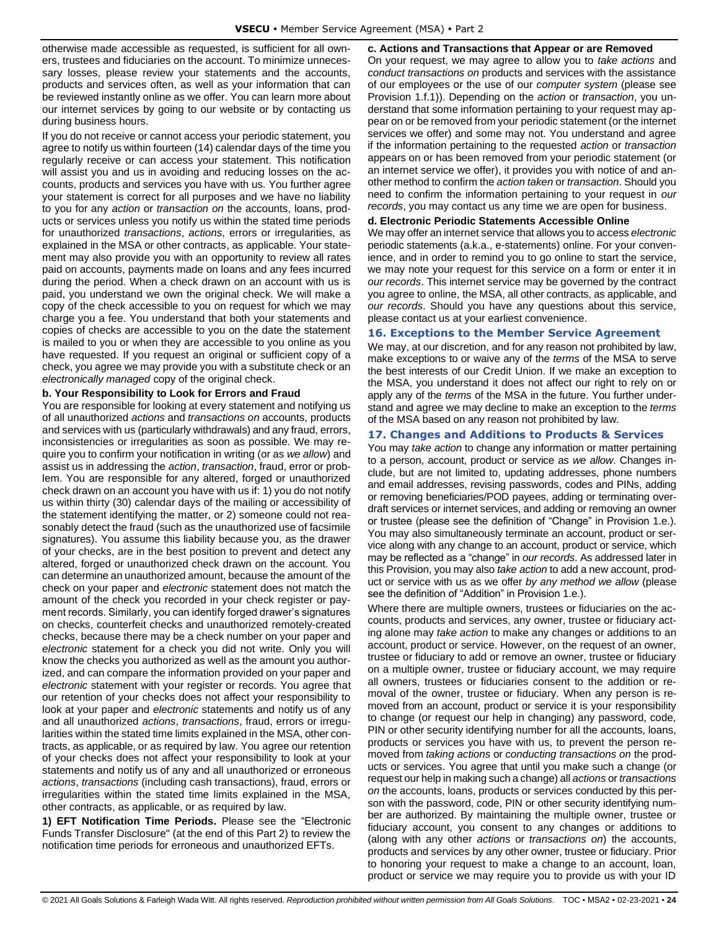otherwise made accessible as requested, is sufficient for all owners, trustees and fiduciaries on the account. To minimize unnecessary losses, please review your statements and the accounts, products and services often, as well as your information that can be reviewed instantly online as we offer. You can learn more about our internet services by going to our website or by contacting us during business hours.

If you do not receive or cannot access your periodic statement, you agree to notify us within fourteen (14) calendar days of the time you regularly receive or can access your statement. This notification will assist you and us in avoiding and reducing losses on the accounts, products and services you have with us. You further agree your statement is correct for all purposes and we have no liability to you for any *action* or *transaction on* the accounts, loans, products or services unless you notify us within the stated time periods for unauthorized *transactions*, *actions*, errors or irregularities, as explained in the MSA or other contracts, as applicable. Your statement may also provide you with an opportunity to review all rates paid on accounts, payments made on loans and any fees incurred during the period. When a check drawn on an account with us is paid, you understand we own the original check. We will make a copy of the check accessible to you on request for which we may charge you a fee. You understand that both your statements and copies of checks are accessible to you on the date the statement is mailed to you or when they are accessible to you online as you have requested. If you request an original or sufficient copy of a check, you agree we may provide you with a substitute check or an *electronically managed* copy of the original check.

#### **b. Your Responsibility to Look for Errors and Fraud**

You are responsible for looking at every statement and notifying us of all unauthorized *actions* and *transactions on* accounts, products and services with us (particularly withdrawals) and any fraud, errors, inconsistencies or irregularities as soon as possible. We may require you to confirm your notification in writing (or as *we allow*) and assist us in addressing the *action*, *transaction*, fraud, error or problem. You are responsible for any altered, forged or unauthorized check drawn on an account you have with us if: 1) you do not notify us within thirty (30) calendar days of the mailing or accessibility of the statement identifying the matter, or 2) someone could not reasonably detect the fraud (such as the unauthorized use of facsimile signatures). You assume this liability because you, as the drawer of your checks, are in the best position to prevent and detect any altered, forged or unauthorized check drawn on the account. You can determine an unauthorized amount, because the amount of the check on your paper and *electronic* statement does not match the amount of the check you recorded in your check register or payment records. Similarly, you can identify forged drawer's signatures on checks, counterfeit checks and unauthorized remotely-created checks, because there may be a check number on your paper and *electronic* statement for a check you did not write. Only you will know the checks you authorized as well as the amount you authorized, and can compare the information provided on your paper and *electronic* statement with your register or records. You agree that our retention of your checks does not affect your responsibility to look at your paper and *electronic* statements and notify us of any and all unauthorized *actions*, *transactions*, fraud, errors or irregularities within the stated time limits explained in the MSA, other contracts, as applicable, or as required by law. You agree our retention of your checks does not affect your responsibility to look at your statements and notify us of any and all unauthorized or erroneous *actions*, *transactions* (including cash transactions), fraud, errors or irregularities within the stated time limits explained in the MSA, other contracts, as applicable, or as required by law.

**1) EFT Notification Time Periods.** Please see the "Electronic Funds Transfer Disclosure" (at the end of this Part 2) to review the notification time periods for erroneous and unauthorized EFTs.

#### **c. Actions and Transactions that Appear or are Removed**

On your request, we may agree to allow you to *take actions* and *conduct transactions on* products and services with the assistance of our employees or the use of our *computer system* (please see Provision 1.f.1)). Depending on the *action* or *transaction*, you understand that some information pertaining to your request may appear on or be removed from your periodic statement (or the internet services we offer) and some may not. You understand and agree if the information pertaining to the requested *action* or *transaction* appears on or has been removed from your periodic statement (or an internet service we offer), it provides you with notice of and another method to confirm the *action taken* or *transaction*. Should you need to confirm the information pertaining to your request in *our records*, you may contact us any time we are open for business.

#### **d. Electronic Periodic Statements Accessible Online**

We may offer an internet service that allows you to access *electronic* periodic statements (a.k.a., e-statements) online. For your convenience, and in order to remind you to go online to start the service, we may note your request for this service on a form or enter it in *our records*. This internet service may be governed by the contract you agree to online, the MSA, all other contracts, as applicable, and *our records*. Should you have any questions about this service, please contact us at your earliest convenience.

#### <span id="page-23-0"></span>**16. Exceptions to the Member Service Agreement**

We may, at our discretion, and for any reason not prohibited by law, make exceptions to or waive any of the *terms* of the MSA to serve the best interests of our Credit Union. If we make an exception to the MSA, you understand it does not affect our right to rely on or apply any of the *terms* of the MSA in the future. You further understand and agree we may decline to make an exception to the *terms* of the MSA based on any reason not prohibited by law.

#### <span id="page-23-1"></span>**17. Changes and Additions to Products & Services**

You may *take action* to change any information or matter pertaining to a person, account, product or service as *we allow*. Changes include, but are not limited to, updating addresses, phone numbers and email addresses, revising passwords, codes and PINs, adding or removing beneficiaries/POD payees, adding or terminating overdraft services or internet services, and adding or removing an owner or trustee (please see the definition of "Change" in Provision 1.e.). You may also simultaneously terminate an account, product or service along with any change to an account, product or service, which may be reflected as a "change" in *our records*. As addressed later in this Provision, you may also *take action* to add a new account, product or service with us as we offer *by any method we allow* (please see the definition of "Addition" in Provision 1.e.).

Where there are multiple owners, trustees or fiduciaries on the accounts, products and services, any owner, trustee or fiduciary acting alone may *take action* to make any changes or additions to an account, product or service. However, on the request of an owner, trustee or fiduciary to add or remove an owner, trustee or fiduciary on a multiple owner, trustee or fiduciary account, we may require all owners, trustees or fiduciaries consent to the addition or removal of the owner, trustee or fiduciary. When any person is removed from an account, product or service it is your responsibility to change (or request our help in changing) any password, code, PIN or other security identifying number for all the accounts, loans, products or services you have with us, to prevent the person removed from *taking actions* or *conducting transactions on* the products or services. You agree that until you make such a change (or request our help in making such a change) all *actions* or *transactions on* the accounts, loans, products or services conducted by this person with the password, code, PIN or other security identifying number are authorized. By maintaining the multiple owner, trustee or fiduciary account, you consent to any changes or additions to (along with any other *actions* or *transactions on*) the accounts, products and services by any other owner, trustee or fiduciary. Prior to honoring your request to make a change to an account, loan, product or service we may require you to provide us with your ID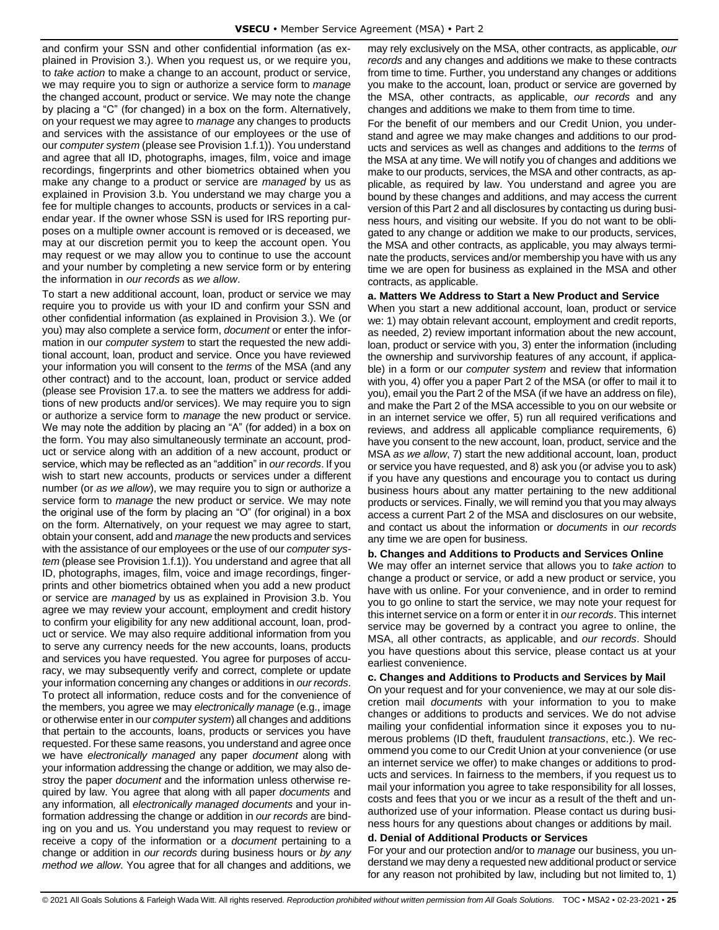and confirm your SSN and other confidential information (as explained in Provision 3.). When you request us, or we require you, to *take action* to make a change to an account, product or service, we may require you to sign or authorize a service form to *manage* the changed account, product or service. We may note the change by placing a "C" (for changed) in a box on the form. Alternatively, on your request we may agree to *manage* any changes to products and services with the assistance of our employees or the use of our *computer system* (please see Provision 1.f.1)). You understand and agree that all ID, photographs, images, film, voice and image recordings, fingerprints and other biometrics obtained when you make any change to a product or service are *managed* by us as explained in Provision 3.b. You understand we may charge you a fee for multiple changes to accounts, products or services in a calendar year. If the owner whose SSN is used for IRS reporting purposes on a multiple owner account is removed or is deceased, we may at our discretion permit you to keep the account open. You may request or we may allow you to continue to use the account and your number by completing a new service form or by entering the information in *our records* as *we allow*.

To start a new additional account, loan, product or service we may require you to provide us with your ID and confirm your SSN and other confidential information (as explained in Provision 3.). We (or you) may also complete a service form, *document* or enter the information in our *computer system* to start the requested the new additional account, loan, product and service. Once you have reviewed your information you will consent to the *terms* of the MSA (and any other contract) and to the account, loan, product or service added (please see Provision 17.a. to see the matters we address for additions of new products and/or services). We may require you to sign or authorize a service form to *manage* the new product or service. We may note the addition by placing an "A" (for added) in a box on the form. You may also simultaneously terminate an account, product or service along with an addition of a new account, product or service, which may be reflected as an "addition" in *our records*. If you wish to start new accounts, products or services under a different number (or *as we allow*), we may require you to sign or authorize a service form to *manage* the new product or service. We may note the original use of the form by placing an "O" (for original) in a box on the form. Alternatively, on your request we may agree to start, obtain your consent, add and *manage* the new products and services with the assistance of our employees or the use of our *computer system* (please see Provision 1.f.1)). You understand and agree that all ID, photographs, images, film, voice and image recordings, fingerprints and other biometrics obtained when you add a new product or service are *managed* by us as explained in Provision 3.b. You agree we may review your account, employment and credit history to confirm your eligibility for any new additional account, loan, product or service. We may also require additional information from you to serve any currency needs for the new accounts, loans, products and services you have requested. You agree for purposes of accuracy, we may subsequently verify and correct, complete or update your information concerning any changes or additions in *our records*. To protect all information, reduce costs and for the convenience of the members, you agree we may *electronically manage* (e.g., image or otherwise enter in our *computer system*) all changes and additions that pertain to the accounts, loans, products or services you have requested. For these same reasons, you understand and agree once we have *electronically managed* any paper *document* along with your information addressing the change or addition*,* we may also destroy the paper *document* and the information unless otherwise required by law. You agree that along with all paper *documents* and any information*,* all *electronically managed documents* and your information addressing the change or addition in *our records* are binding on you and us. You understand you may request to review or receive a copy of the information or a *document* pertaining to a change or addition in *our records* during business hours or *by any method we allow*. You agree that for all changes and additions, we may rely exclusively on the MSA, other contracts, as applicable, *our records* and any changes and additions we make to these contracts from time to time. Further, you understand any changes or additions you make to the account, loan, product or service are governed by the MSA, other contracts, as applicable, *our records* and any changes and additions we make to them from time to time.

For the benefit of our members and our Credit Union, you understand and agree we may make changes and additions to our products and services as well as changes and additions to the *terms* of the MSA at any time. We will notify you of changes and additions we make to our products, services, the MSA and other contracts, as applicable, as required by law. You understand and agree you are bound by these changes and additions, and may access the current version of this Part 2 and all disclosures by contacting us during business hours, and visiting our website. If you do not want to be obligated to any change or addition we make to our products, services, the MSA and other contracts, as applicable, you may always terminate the products, services and/or membership you have with us any time we are open for business as explained in the MSA and other contracts, as applicable.

#### **a. Matters We Address to Start a New Product and Service**

When you start a new additional account, loan, product or service we: 1) may obtain relevant account, employment and credit reports, as needed, 2) review important information about the new account, loan, product or service with you, 3) enter the information (including the ownership and survivorship features of any account, if applicable) in a form or our *computer system* and review that information with you, 4) offer you a paper Part 2 of the MSA (or offer to mail it to you), email you the Part 2 of the MSA (if we have an address on file), and make the Part 2 of the MSA accessible to you on our website or in an internet service we offer, 5) run all required verifications and reviews, and address all applicable compliance requirements, 6) have you consent to the new account, loan, product, service and the MSA *as we allow*, 7) start the new additional account, loan, product or service you have requested, and 8) ask you (or advise you to ask) if you have any questions and encourage you to contact us during business hours about any matter pertaining to the new additional products or services. Finally, we will remind you that you may always access a current Part 2 of the MSA and disclosures on our website, and contact us about the information or *documents* in *our records* any time we are open for business.

#### **b. Changes and Additions to Products and Services Online**

We may offer an internet service that allows you to *take action* to change a product or service, or add a new product or service, you have with us online. For your convenience, and in order to remind you to go online to start the service, we may note your request for this internet service on a form or enter it in *our records*. This internet service may be governed by a contract you agree to online, the MSA, all other contracts, as applicable, and *our records*. Should you have questions about this service, please contact us at your earliest convenience.

#### **c. Changes and Additions to Products and Services by Mail**

On your request and for your convenience, we may at our sole discretion mail *documents* with your information to you to make changes or additions to products and services. We do not advise mailing your confidential information since it exposes you to numerous problems (ID theft, fraudulent *transactions*, etc.). We recommend you come to our Credit Union at your convenience (or use an internet service we offer) to make changes or additions to products and services. In fairness to the members, if you request us to mail your information you agree to take responsibility for all losses, costs and fees that you or we incur as a result of the theft and unauthorized use of your information. Please contact us during business hours for any questions about changes or additions by mail.

#### **d. Denial of Additional Products or Services**

For your and our protection and/or to *manage* our business, you understand we may deny a requested new additional product or service for any reason not prohibited by law, including but not limited to, 1)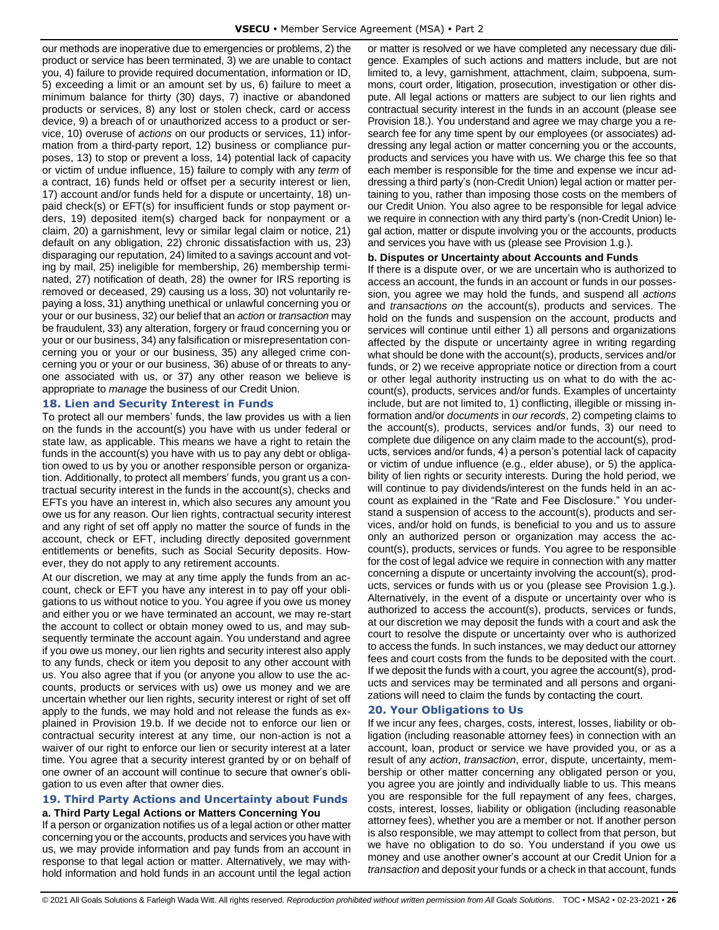our methods are inoperative due to emergencies or problems, 2) the product or service has been terminated, 3) we are unable to contact you, 4) failure to provide required documentation, information or ID, 5) exceeding a limit or an amount set by us, 6) failure to meet a minimum balance for thirty (30) days, 7) inactive or abandoned products or services, 8) any lost or stolen check, card or access device, 9) a breach of or unauthorized access to a product or service, 10) overuse of *actions* on our products or services, 11) information from a third-party report, 12) business or compliance purposes, 13) to stop or prevent a loss, 14) potential lack of capacity or victim of undue influence, 15) failure to comply with any *term* of a contract, 16) funds held or offset per a security interest or lien, 17) account and/or funds held for a dispute or uncertainty, 18) unpaid check(s) or EFT(s) for insufficient funds or stop payment orders, 19) deposited item(s) charged back for nonpayment or a claim, 20) a garnishment, levy or similar legal claim or notice, 21) default on any obligation, 22) chronic dissatisfaction with us, 23) disparaging our reputation, 24) limited to a savings account and voting by mail, 25) ineligible for membership, 26) membership terminated, 27) notification of death, 28) the owner for IRS reporting is removed or deceased, 29) causing us a loss, 30) not voluntarily repaying a loss, 31) anything unethical or unlawful concerning you or your or our business, 32) our belief that an *action* or *transaction* may be fraudulent, 33) any alteration, forgery or fraud concerning you or your or our business, 34) any falsification or misrepresentation concerning you or your or our business, 35) any alleged crime concerning you or your or our business, 36) abuse of or threats to anyone associated with us, or 37) any other reason we believe is appropriate to *manage* the business of our Credit Union.

#### <span id="page-25-0"></span>**18. Lien and Security Interest in Funds**

To protect all our members' funds, the law provides us with a lien on the funds in the account(s) you have with us under federal or state law, as applicable. This means we have a right to retain the funds in the account(s) you have with us to pay any debt or obligation owed to us by you or another responsible person or organization. Additionally, to protect all members' funds, you grant us a contractual security interest in the funds in the account(s), checks and EFTs you have an interest in, which also secures any amount you owe us for any reason. Our lien rights, contractual security interest and any right of set off apply no matter the source of funds in the account, check or EFT, including directly deposited government entitlements or benefits, such as Social Security deposits. However, they do not apply to any retirement accounts.

At our discretion, we may at any time apply the funds from an account, check or EFT you have any interest in to pay off your obligations to us without notice to you. You agree if you owe us money and either you or we have terminated an account, we may re-start the account to collect or obtain money owed to us, and may subsequently terminate the account again. You understand and agree if you owe us money, our lien rights and security interest also apply to any funds, check or item you deposit to any other account with us. You also agree that if you (or anyone you allow to use the accounts, products or services with us) owe us money and we are uncertain whether our lien rights, security interest or right of set off apply to the funds, we may hold and not release the funds as explained in Provision 19.b. If we decide not to enforce our lien or contractual security interest at any time, our non-action is not a waiver of our right to enforce our lien or security interest at a later time. You agree that a security interest granted by or on behalf of one owner of an account will continue to secure that owner's obligation to us even after that owner dies.

#### <span id="page-25-1"></span>**19. Third Party Actions and Uncertainty about Funds a. Third Party Legal Actions or Matters Concerning You**

If a person or organization notifies us of a legal action or other matter concerning you or the accounts, products and services you have with us, we may provide information and pay funds from an account in response to that legal action or matter. Alternatively, we may withhold information and hold funds in an account until the legal action or matter is resolved or we have completed any necessary due diligence. Examples of such actions and matters include, but are not limited to, a levy, garnishment, attachment, claim, subpoena, summons, court order, litigation, prosecution, investigation or other dispute. All legal actions or matters are subject to our lien rights and contractual security interest in the funds in an account (please see Provision 18.). You understand and agree we may charge you a research fee for any time spent by our employees (or associates) addressing any legal action or matter concerning you or the accounts, products and services you have with us. We charge this fee so that each member is responsible for the time and expense we incur addressing a third party's (non-Credit Union) legal action or matter pertaining to you, rather than imposing those costs on the members of our Credit Union. You also agree to be responsible for legal advice we require in connection with any third party's (non-Credit Union) legal action, matter or dispute involving you or the accounts, products and services you have with us (please see Provision 1.g.).

#### **b. Disputes or Uncertainty about Accounts and Funds**

If there is a dispute over, or we are uncertain who is authorized to access an account, the funds in an account or funds in our possession, you agree we may hold the funds, and suspend all *actions* and *transactions on* the account(s), products and services. The hold on the funds and suspension on the account, products and services will continue until either 1) all persons and organizations affected by the dispute or uncertainty agree in writing regarding what should be done with the account(s), products, services and/or funds, or 2) we receive appropriate notice or direction from a court or other legal authority instructing us on what to do with the account(s), products, services and/or funds. Examples of uncertainty include, but are not limited to, 1) conflicting, illegible or missing information and/or *documents* in *our records*, 2) competing claims to the account(s), products, services and/or funds, 3) our need to complete due diligence on any claim made to the account(s), products, services and/or funds, 4) a person's potential lack of capacity or victim of undue influence (e.g., elder abuse), or 5) the applicability of lien rights or security interests. During the hold period, we will continue to pay dividends/interest on the funds held in an account as explained in the "Rate and Fee Disclosure." You understand a suspension of access to the account(s), products and services, and/or hold on funds, is beneficial to you and us to assure only an authorized person or organization may access the account(s), products, services or funds. You agree to be responsible for the cost of legal advice we require in connection with any matter concerning a dispute or uncertainty involving the account(s), products, services or funds with us or you (please see Provision 1.g.). Alternatively, in the event of a dispute or uncertainty over who is authorized to access the account(s), products, services or funds, at our discretion we may deposit the funds with a court and ask the court to resolve the dispute or uncertainty over who is authorized to access the funds. In such instances, we may deduct our attorney fees and court costs from the funds to be deposited with the court. If we deposit the funds with a court, you agree the account(s), products and services may be terminated and all persons and organizations will need to claim the funds by contacting the court.

## <span id="page-25-2"></span>**20. Your Obligations to Us**

If we incur any fees, charges, costs, interest, losses, liability or obligation (including reasonable attorney fees) in connection with an account, loan, product or service we have provided you, or as a result of any *action*, *transaction*, error, dispute, uncertainty, membership or other matter concerning any obligated person or you, you agree you are jointly and individually liable to us. This means you are responsible for the full repayment of any fees, charges, costs, interest, losses, liability or obligation (including reasonable attorney fees), whether you are a member or not. If another person is also responsible, we may attempt to collect from that person, but we have no obligation to do so. You understand if you owe us money and use another owner's account at our Credit Union for a *transaction* and deposit your funds or a check in that account, funds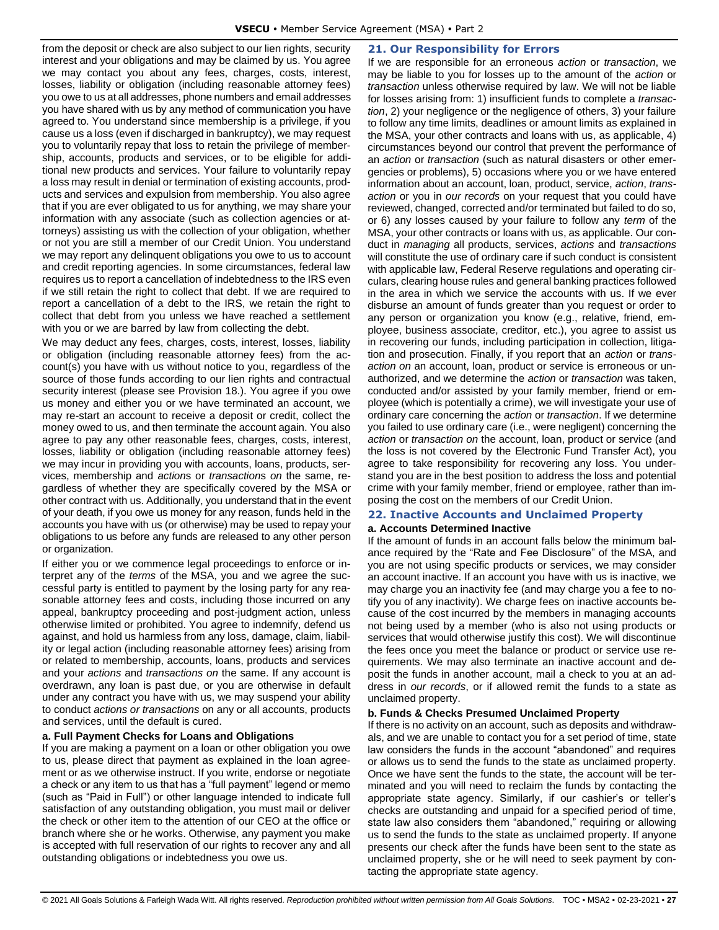from the deposit or check are also subject to our lien rights, security interest and your obligations and may be claimed by us. You agree we may contact you about any fees, charges, costs, interest, losses, liability or obligation (including reasonable attorney fees) you owe to us at all addresses, phone numbers and email addresses you have shared with us by any method of communication you have agreed to. You understand since membership is a privilege, if you cause us a loss (even if discharged in bankruptcy), we may request you to voluntarily repay that loss to retain the privilege of membership, accounts, products and services, or to be eligible for additional new products and services. Your failure to voluntarily repay a loss may result in denial or termination of existing accounts, products and services and expulsion from membership. You also agree that if you are ever obligated to us for anything, we may share your information with any associate (such as collection agencies or attorneys) assisting us with the collection of your obligation, whether or not you are still a member of our Credit Union. You understand we may report any delinquent obligations you owe to us to account and credit reporting agencies. In some circumstances, federal law requires us to report a cancellation of indebtedness to the IRS even if we still retain the right to collect that debt. If we are required to report a cancellation of a debt to the IRS, we retain the right to collect that debt from you unless we have reached a settlement with you or we are barred by law from collecting the debt.

We may deduct any fees, charges, costs, interest, losses, liability or obligation (including reasonable attorney fees) from the account(s) you have with us without notice to you, regardless of the source of those funds according to our lien rights and contractual security interest (please see Provision 18.). You agree if you owe us money and either you or we have terminated an account, we may re-start an account to receive a deposit or credit, collect the money owed to us, and then terminate the account again. You also agree to pay any other reasonable fees, charges, costs, interest, losses, liability or obligation (including reasonable attorney fees) we may incur in providing you with accounts, loans, products, services, membership and *action*s or *transaction*s *on* the same, regardless of whether they are specifically covered by the MSA or other contract with us. Additionally, you understand that in the event of your death, if you owe us money for any reason, funds held in the accounts you have with us (or otherwise) may be used to repay your obligations to us before any funds are released to any other person or organization.

If either you or we commence legal proceedings to enforce or interpret any of the *terms* of the MSA, you and we agree the successful party is entitled to payment by the losing party for any reasonable attorney fees and costs, including those incurred on any appeal, bankruptcy proceeding and post-judgment action, unless otherwise limited or prohibited. You agree to indemnify, defend us against, and hold us harmless from any loss, damage, claim, liability or legal action (including reasonable attorney fees) arising from or related to membership, accounts, loans, products and services and your *actions* and *transactions on* the same. If any account is overdrawn, any loan is past due, or you are otherwise in default under any contract you have with us, we may suspend your ability to conduct *actions or transactions* on any or all accounts, products and services, until the default is cured.

## **a. Full Payment Checks for Loans and Obligations**

If you are making a payment on a loan or other obligation you owe to us, please direct that payment as explained in the loan agreement or as we otherwise instruct. If you write, endorse or negotiate a check or any item to us that has a "full payment" legend or memo (such as "Paid in Full") or other language intended to indicate full satisfaction of any outstanding obligation, you must mail or deliver the check or other item to the attention of our CEO at the office or branch where she or he works. Otherwise, any payment you make is accepted with full reservation of our rights to recover any and all outstanding obligations or indebtedness you owe us.

## <span id="page-26-0"></span>**21. Our Responsibility for Errors**

If we are responsible for an erroneous *action* or *transaction*, we may be liable to you for losses up to the amount of the *action* or *transaction* unless otherwise required by law. We will not be liable for losses arising from: 1) insufficient funds to complete a *transaction*, 2) your negligence or the negligence of others, 3) your failure to follow any time limits, deadlines or amount limits as explained in the MSA, your other contracts and loans with us, as applicable, 4) circumstances beyond our control that prevent the performance of an *action* or *transaction* (such as natural disasters or other emergencies or problems), 5) occasions where you or we have entered information about an account, loan, product, service, *action*, *transaction* or you in *our records* on your request that you could have reviewed, changed, corrected and/or terminated but failed to do so, or 6) any losses caused by your failure to follow any *term* of the MSA, your other contracts or loans with us, as applicable. Our conduct in *managing* all products, services, *actions* and *transactions* will constitute the use of ordinary care if such conduct is consistent with applicable law, Federal Reserve regulations and operating circulars, clearing house rules and general banking practices followed in the area in which we service the accounts with us. If we ever disburse an amount of funds greater than you request or order to any person or organization you know (e.g., relative, friend, employee, business associate, creditor, etc.), you agree to assist us in recovering our funds, including participation in collection, litigation and prosecution. Finally, if you report that an *action* or *transaction on* an account, loan, product or service is erroneous or unauthorized, and we determine the *action* or *transaction* was taken, conducted and/or assisted by your family member, friend or employee (which is potentially a crime), we will investigate your use of ordinary care concerning the *action* or *transaction*. If we determine you failed to use ordinary care (i.e., were negligent) concerning the *action* or *transaction on* the account, loan, product or service (and the loss is not covered by the Electronic Fund Transfer Act), you agree to take responsibility for recovering any loss. You understand you are in the best position to address the loss and potential crime with your family member, friend or employee, rather than imposing the cost on the members of our Credit Union.

#### <span id="page-26-1"></span>**22. Inactive Accounts and Unclaimed Property a. Accounts Determined Inactive**

If the amount of funds in an account falls below the minimum balance required by the "Rate and Fee Disclosure" of the MSA, and you are not using specific products or services, we may consider an account inactive. If an account you have with us is inactive, we may charge you an inactivity fee (and may charge you a fee to notify you of any inactivity). We charge fees on inactive accounts because of the cost incurred by the members in managing accounts not being used by a member (who is also not using products or services that would otherwise justify this cost). We will discontinue the fees once you meet the balance or product or service use requirements. We may also terminate an inactive account and deposit the funds in another account, mail a check to you at an address in *our records*, or if allowed remit the funds to a state as unclaimed property.

## **b. Funds & Checks Presumed Unclaimed Property**

If there is no activity on an account, such as deposits and withdrawals, and we are unable to contact you for a set period of time, state law considers the funds in the account "abandoned" and requires or allows us to send the funds to the state as unclaimed property. Once we have sent the funds to the state, the account will be terminated and you will need to reclaim the funds by contacting the appropriate state agency. Similarly, if our cashier's or teller's checks are outstanding and unpaid for a specified period of time, state law also considers them "abandoned," requiring or allowing us to send the funds to the state as unclaimed property. If anyone presents our check after the funds have been sent to the state as unclaimed property, she or he will need to seek payment by contacting the appropriate state agency.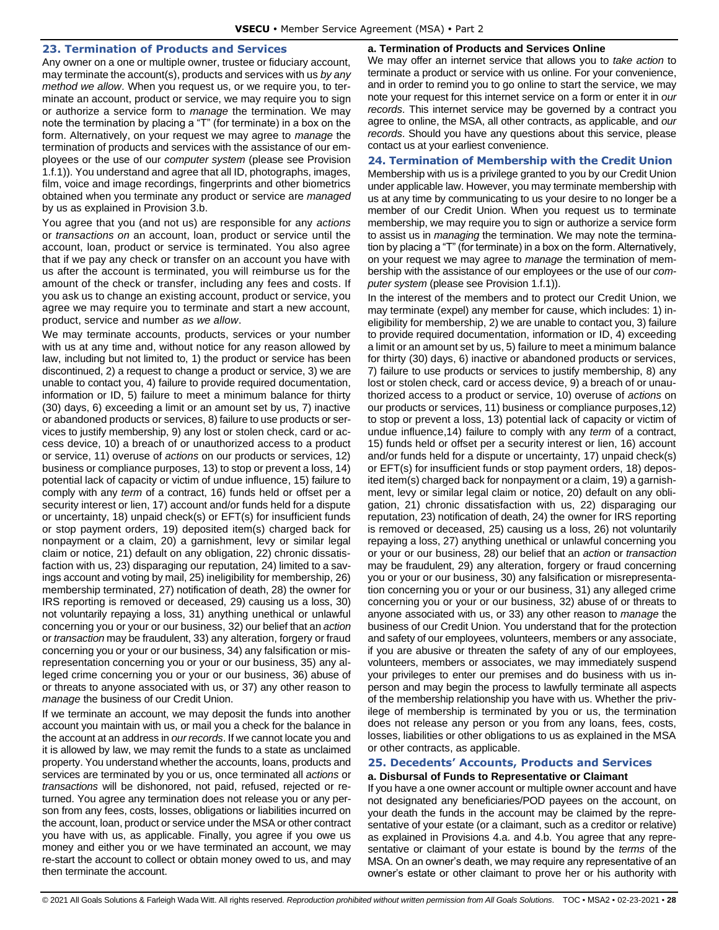#### <span id="page-27-0"></span>**23. Termination of Products and Services**

Any owner on a one or multiple owner, trustee or fiduciary account, may terminate the account(s), products and services with us *by any method we allow*. When you request us, or we require you, to terminate an account, product or service, we may require you to sign or authorize a service form to *manage* the termination. We may note the termination by placing a "T" (for terminate) in a box on the form. Alternatively, on your request we may agree to *manage* the termination of products and services with the assistance of our employees or the use of our *computer system* (please see Provision 1.f.1)). You understand and agree that all ID, photographs, images, film, voice and image recordings, fingerprints and other biometrics obtained when you terminate any product or service are *managed* by us as explained in Provision 3.b.

You agree that you (and not us) are responsible for any *actions* or *transactions on* an account, loan, product or service until the account, loan, product or service is terminated. You also agree that if we pay any check or transfer on an account you have with us after the account is terminated, you will reimburse us for the amount of the check or transfer, including any fees and costs. If you ask us to change an existing account, product or service, you agree we may require you to terminate and start a new account, product, service and number *as we allow*.

We may terminate accounts, products, services or your number with us at any time and, without notice for any reason allowed by law, including but not limited to, 1) the product or service has been discontinued, 2) a request to change a product or service, 3) we are unable to contact you, 4) failure to provide required documentation, information or ID, 5) failure to meet a minimum balance for thirty (30) days, 6) exceeding a limit or an amount set by us, 7) inactive or abandoned products or services, 8) failure to use products or services to justify membership, 9) any lost or stolen check, card or access device, 10) a breach of or unauthorized access to a product or service, 11) overuse of *actions* on our products or services, 12) business or compliance purposes, 13) to stop or prevent a loss, 14) potential lack of capacity or victim of undue influence, 15) failure to comply with any *term* of a contract, 16) funds held or offset per a security interest or lien, 17) account and/or funds held for a dispute or uncertainty, 18) unpaid check(s) or EFT(s) for insufficient funds or stop payment orders, 19) deposited item(s) charged back for nonpayment or a claim, 20) a garnishment, levy or similar legal claim or notice, 21) default on any obligation, 22) chronic dissatisfaction with us, 23) disparaging our reputation, 24) limited to a savings account and voting by mail, 25) ineligibility for membership, 26) membership terminated, 27) notification of death, 28) the owner for IRS reporting is removed or deceased, 29) causing us a loss, 30) not voluntarily repaying a loss, 31) anything unethical or unlawful concerning you or your or our business, 32) our belief that an *action* or *transaction* may be fraudulent, 33) any alteration, forgery or fraud concerning you or your or our business, 34) any falsification or misrepresentation concerning you or your or our business, 35) any alleged crime concerning you or your or our business, 36) abuse of or threats to anyone associated with us, or 37) any other reason to *manage* the business of our Credit Union.

If we terminate an account, we may deposit the funds into another account you maintain with us, or mail you a check for the balance in the account at an address in *our records*. If we cannot locate you and it is allowed by law, we may remit the funds to a state as unclaimed property. You understand whether the accounts, loans, products and services are terminated by you or us, once terminated all *actions* or *transactions* will be dishonored, not paid, refused, rejected or returned. You agree any termination does not release you or any person from any fees, costs, losses, obligations or liabilities incurred on the account, loan, product or service under the MSA or other contract you have with us, as applicable. Finally, you agree if you owe us money and either you or we have terminated an account, we may re-start the account to collect or obtain money owed to us, and may then terminate the account.

#### **a. Termination of Products and Services Online**

We may offer an internet service that allows you to *take action* to terminate a product or service with us online. For your convenience, and in order to remind you to go online to start the service, we may note your request for this internet service on a form or enter it in *our records*. This internet service may be governed by a contract you agree to online, the MSA, all other contracts, as applicable, and *our records*. Should you have any questions about this service, please contact us at your earliest convenience.

#### <span id="page-27-1"></span>**24. Termination of Membership with the Credit Union**

Membership with us is a privilege granted to you by our Credit Union under applicable law. However, you may terminate membership with us at any time by communicating to us your desire to no longer be a member of our Credit Union. When you request us to terminate membership, we may require you to sign or authorize a service form to assist us in *managing* the termination. We may note the termination by placing a "T" (for terminate) in a box on the form. Alternatively, on your request we may agree to *manage* the termination of membership with the assistance of our employees or the use of our *computer system* (please see Provision 1.f.1)).

In the interest of the members and to protect our Credit Union, we may terminate (expel) any member for cause, which includes: 1) ineligibility for membership, 2) we are unable to contact you, 3) failure to provide required documentation, information or ID, 4) exceeding a limit or an amount set by us, 5) failure to meet a minimum balance for thirty (30) days, 6) inactive or abandoned products or services, 7) failure to use products or services to justify membership, 8) any lost or stolen check, card or access device, 9) a breach of or unauthorized access to a product or service, 10) overuse of *actions* on our products or services, 11) business or compliance purposes,12) to stop or prevent a loss, 13) potential lack of capacity or victim of undue influence,14) failure to comply with any *term* of a contract, 15) funds held or offset per a security interest or lien, 16) account and/or funds held for a dispute or uncertainty, 17) unpaid check(s) or EFT(s) for insufficient funds or stop payment orders, 18) deposited item(s) charged back for nonpayment or a claim, 19) a garnishment, levy or similar legal claim or notice, 20) default on any obligation, 21) chronic dissatisfaction with us, 22) disparaging our reputation, 23) notification of death, 24) the owner for IRS reporting is removed or deceased, 25) causing us a loss, 26) not voluntarily repaying a loss, 27) anything unethical or unlawful concerning you or your or our business, 28) our belief that an *action* or *transaction* may be fraudulent, 29) any alteration, forgery or fraud concerning you or your or our business, 30) any falsification or misrepresentation concerning you or your or our business, 31) any alleged crime concerning you or your or our business, 32) abuse of or threats to anyone associated with us, or 33) any other reason to *manage* the business of our Credit Union. You understand that for the protection and safety of our employees, volunteers, members or any associate, if you are abusive or threaten the safety of any of our employees, volunteers, members or associates, we may immediately suspend your privileges to enter our premises and do business with us inperson and may begin the process to lawfully terminate all aspects of the membership relationship you have with us. Whether the privilege of membership is terminated by you or us, the termination does not release any person or you from any loans, fees, costs, losses, liabilities or other obligations to us as explained in the MSA or other contracts, as applicable.

#### <span id="page-27-2"></span>**25. Decedents' Accounts, Products and Services a. Disbursal of Funds to Representative or Claimant**

If you have a one owner account or multiple owner account and have not designated any beneficiaries/POD payees on the account, on your death the funds in the account may be claimed by the representative of your estate (or a claimant, such as a creditor or relative) as explained in Provisions 4.a. and 4.b. You agree that any representative or claimant of your estate is bound by the *terms* of the MSA. On an owner's death, we may require any representative of an owner's estate or other claimant to prove her or his authority with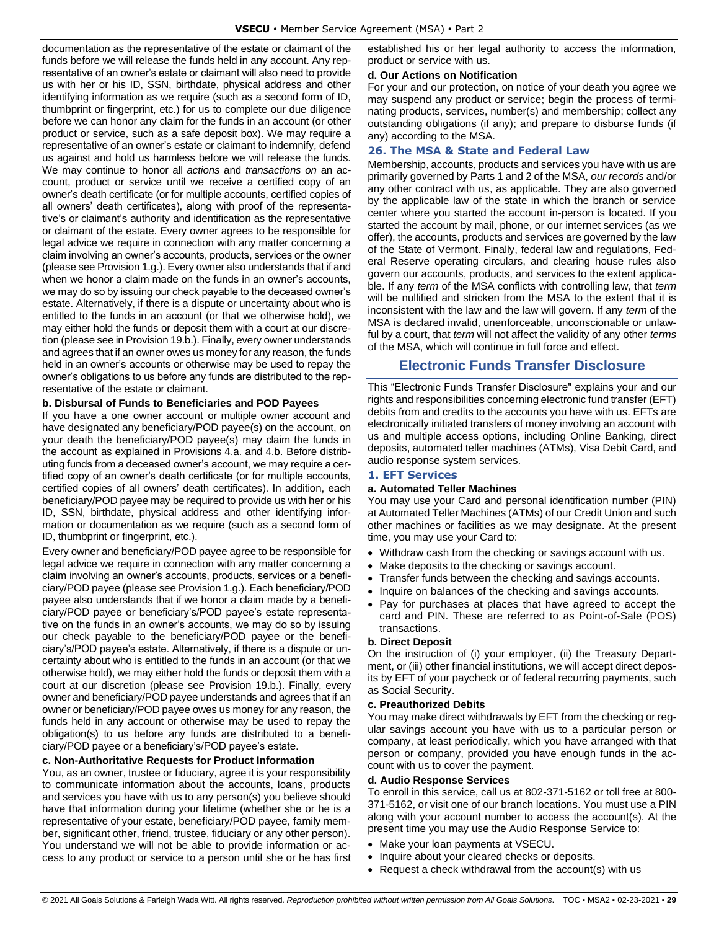documentation as the representative of the estate or claimant of the funds before we will release the funds held in any account. Any representative of an owner's estate or claimant will also need to provide us with her or his ID, SSN, birthdate, physical address and other identifying information as we require (such as a second form of ID, thumbprint or fingerprint, etc.) for us to complete our due diligence before we can honor any claim for the funds in an account (or other product or service, such as a safe deposit box). We may require a representative of an owner's estate or claimant to indemnify, defend us against and hold us harmless before we will release the funds. We may continue to honor all *actions* and *transactions on* an account, product or service until we receive a certified copy of an owner's death certificate (or for multiple accounts, certified copies of all owners' death certificates), along with proof of the representative's or claimant's authority and identification as the representative or claimant of the estate. Every owner agrees to be responsible for legal advice we require in connection with any matter concerning a claim involving an owner's accounts, products, services or the owner (please see Provision 1.g.). Every owner also understands that if and when we honor a claim made on the funds in an owner's accounts, we may do so by issuing our check payable to the deceased owner's estate. Alternatively, if there is a dispute or uncertainty about who is entitled to the funds in an account (or that we otherwise hold), we may either hold the funds or deposit them with a court at our discretion (please see in Provision 19.b.). Finally, every owner understands and agrees that if an owner owes us money for any reason, the funds held in an owner's accounts or otherwise may be used to repay the owner's obligations to us before any funds are distributed to the representative of the estate or claimant.

## **b. Disbursal of Funds to Beneficiaries and POD Payees**

If you have a one owner account or multiple owner account and have designated any beneficiary/POD payee(s) on the account, on your death the beneficiary/POD payee(s) may claim the funds in the account as explained in Provisions 4.a. and 4.b. Before distributing funds from a deceased owner's account, we may require a certified copy of an owner's death certificate (or for multiple accounts, certified copies of all owners' death certificates). In addition, each beneficiary/POD payee may be required to provide us with her or his ID, SSN, birthdate, physical address and other identifying information or documentation as we require (such as a second form of ID, thumbprint or fingerprint, etc.).

Every owner and beneficiary/POD payee agree to be responsible for legal advice we require in connection with any matter concerning a claim involving an owner's accounts, products, services or a beneficiary/POD payee (please see Provision 1.g.). Each beneficiary/POD payee also understands that if we honor a claim made by a beneficiary/POD payee or beneficiary's/POD payee's estate representative on the funds in an owner's accounts, we may do so by issuing our check payable to the beneficiary/POD payee or the beneficiary's/POD payee's estate. Alternatively, if there is a dispute or uncertainty about who is entitled to the funds in an account (or that we otherwise hold), we may either hold the funds or deposit them with a court at our discretion (please see Provision 19.b.). Finally, every owner and beneficiary/POD payee understands and agrees that if an owner or beneficiary/POD payee owes us money for any reason, the funds held in any account or otherwise may be used to repay the obligation(s) to us before any funds are distributed to a beneficiary/POD payee or a beneficiary's/POD payee's estate.

## **c. Non-Authoritative Requests for Product Information**

You, as an owner, trustee or fiduciary, agree it is your responsibility to communicate information about the accounts, loans, products and services you have with us to any person(s) you believe should have that information during your lifetime (whether she or he is a representative of your estate, beneficiary/POD payee, family member, significant other, friend, trustee, fiduciary or any other person). You understand we will not be able to provide information or access to any product or service to a person until she or he has first established his or her legal authority to access the information, product or service with us.

#### **d. Our Actions on Notification**

For your and our protection, on notice of your death you agree we may suspend any product or service; begin the process of terminating products, services, number(s) and membership; collect any outstanding obligations (if any); and prepare to disburse funds (if any) according to the MSA.

## <span id="page-28-0"></span>**26. The MSA & State and Federal Law**

Membership, accounts, products and services you have with us are primarily governed by Parts 1 and 2 of the MSA, *our records* and/or any other contract with us, as applicable. They are also governed by the applicable law of the state in which the branch or service center where you started the account in-person is located. If you started the account by mail, phone, or our internet services (as we offer), the accounts, products and services are governed by the law of the State of Vermont. Finally, federal law and regulations, Federal Reserve operating circulars, and clearing house rules also govern our accounts, products, and services to the extent applicable. If any *term* of the MSA conflicts with controlling law, that *term* will be nullified and stricken from the MSA to the extent that it is inconsistent with the law and the law will govern. If any *term* of the MSA is declared invalid, unenforceable, unconscionable or unlawful by a court, that *term* will not affect the validity of any other *terms* of the MSA, which will continue in full force and effect.

## **Electronic Funds Transfer Disclosure**

<span id="page-28-1"></span>This "Electronic Funds Transfer Disclosure" explains your and our rights and responsibilities concerning electronic fund transfer (EFT) debits from and credits to the accounts you have with us. EFTs are electronically initiated transfers of money involving an account with us and multiple access options, including Online Banking, direct deposits, automated teller machines (ATMs), Visa Debit Card, and audio response system services.

#### <span id="page-28-2"></span>**1. EFT Services**

#### **a. Automated Teller Machines**

You may use your Card and personal identification number (PIN) at Automated Teller Machines (ATMs) of our Credit Union and such other machines or facilities as we may designate. At the present time, you may use your Card to:

- Withdraw cash from the checking or savings account with us.
- Make deposits to the checking or savings account.
- Transfer funds between the checking and savings accounts.
- Inquire on balances of the checking and savings accounts.
- Pay for purchases at places that have agreed to accept the card and PIN. These are referred to as Point-of-Sale (POS) transactions.

#### **b. Direct Deposit**

On the instruction of (i) your employer, (ii) the Treasury Department, or (iii) other financial institutions, we will accept direct deposits by EFT of your paycheck or of federal recurring payments, such as Social Security.

#### **c. Preauthorized Debits**

You may make direct withdrawals by EFT from the checking or regular savings account you have with us to a particular person or company, at least periodically, which you have arranged with that person or company, provided you have enough funds in the account with us to cover the payment.

#### **d. Audio Response Services**

To enroll in this service, call us at 802-371-5162 or toll free at 800- 371-5162, or visit one of our branch locations. You must use a PIN along with your account number to access the account(s). At the present time you may use the Audio Response Service to:

- Make your loan payments at VSECU.
- Inquire about your cleared checks or deposits.
- Request a check withdrawal from the account(s) with us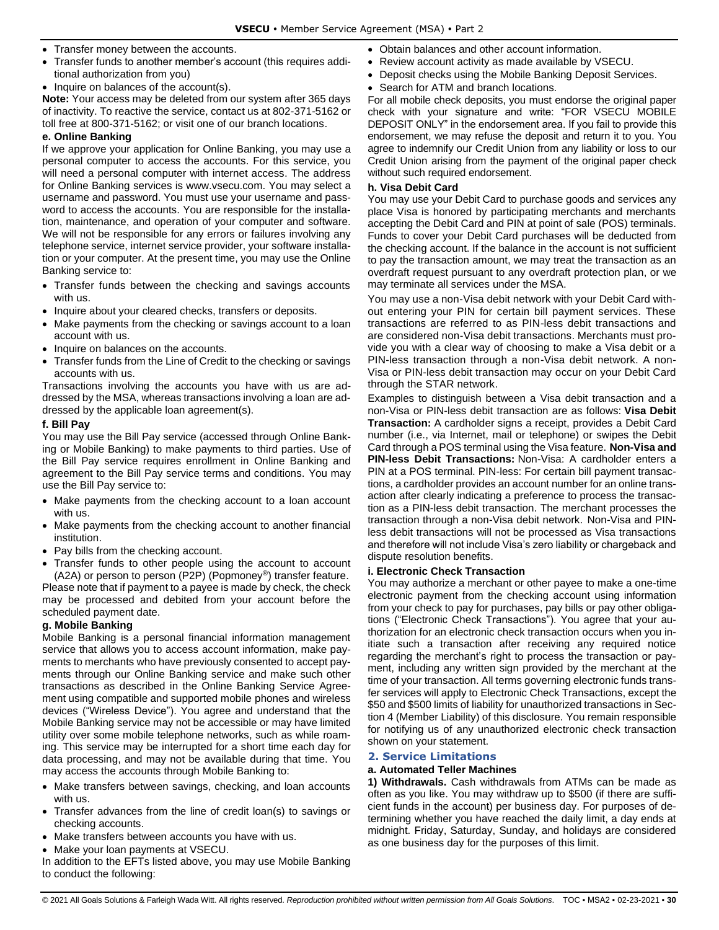- Transfer money between the accounts.
- Transfer funds to another member's account (this requires additional authorization from you)
- Inquire on balances of the account(s).

**Note:** Your access may be deleted from our system after 365 days of inactivity. To reactive the service, contact us at 802-371-5162 or toll free at 800-371-5162; or visit one of our branch locations.

#### **e. Online Banking**

If we approve your application for Online Banking, you may use a personal computer to access the accounts. For this service, you will need a personal computer with internet access. The address for Online Banking services is www.vsecu.com. You may select a username and password. You must use your username and password to access the accounts. You are responsible for the installation, maintenance, and operation of your computer and software. We will not be responsible for any errors or failures involving any telephone service, internet service provider, your software installation or your computer. At the present time, you may use the Online Banking service to:

- Transfer funds between the checking and savings accounts with us.
- Inquire about your cleared checks, transfers or deposits.
- Make payments from the checking or savings account to a loan account with us.
- Inquire on balances on the accounts.
- Transfer funds from the Line of Credit to the checking or savings accounts with us.

Transactions involving the accounts you have with us are addressed by the MSA, whereas transactions involving a loan are addressed by the applicable loan agreement(s).

#### **f. Bill Pay**

You may use the Bill Pay service (accessed through Online Banking or Mobile Banking) to make payments to third parties. Use of the Bill Pay service requires enrollment in Online Banking and agreement to the Bill Pay service terms and conditions. You may use the Bill Pay service to:

- Make payments from the checking account to a loan account with us.
- Make payments from the checking account to another financial institution.
- Pay bills from the checking account.
- Transfer funds to other people using the account to account (A2A) or person to person (P2P) (Popmoney®) transfer feature. Please note that if payment to a payee is made by check, the check may be processed and debited from your account before the scheduled payment date.

## **g. Mobile Banking**

Mobile Banking is a personal financial information management service that allows you to access account information, make payments to merchants who have previously consented to accept payments through our Online Banking service and make such other transactions as described in the Online Banking Service Agreement using compatible and supported mobile phones and wireless devices ("Wireless Device"). You agree and understand that the Mobile Banking service may not be accessible or may have limited utility over some mobile telephone networks, such as while roaming. This service may be interrupted for a short time each day for data processing, and may not be available during that time. You may access the accounts through Mobile Banking to:

- Make transfers between savings, checking, and loan accounts with us.
- Transfer advances from the line of credit loan(s) to savings or checking accounts.
- Make transfers between accounts you have with us.
- Make your loan payments at VSECU.

In addition to the EFTs listed above, you may use Mobile Banking to conduct the following:

- Obtain balances and other account information.
- Review account activity as made available by VSECU.
- Deposit checks using the Mobile Banking Deposit Services.
- Search for ATM and branch locations.

For all mobile check deposits, you must endorse the original paper check with your signature and write: "FOR VSECU MOBILE DEPOSIT ONLY" in the endorsement area. If you fail to provide this endorsement, we may refuse the deposit and return it to you. You agree to indemnify our Credit Union from any liability or loss to our Credit Union arising from the payment of the original paper check without such required endorsement.

## **h. Visa Debit Card**

You may use your Debit Card to purchase goods and services any place Visa is honored by participating merchants and merchants accepting the Debit Card and PIN at point of sale (POS) terminals. Funds to cover your Debit Card purchases will be deducted from the checking account. If the balance in the account is not sufficient to pay the transaction amount, we may treat the transaction as an overdraft request pursuant to any overdraft protection plan, or we may terminate all services under the MSA.

You may use a non-Visa debit network with your Debit Card without entering your PIN for certain bill payment services. These transactions are referred to as PIN-less debit transactions and are considered non-Visa debit transactions. Merchants must provide you with a clear way of choosing to make a Visa debit or a PIN-less transaction through a non-Visa debit network. A non-Visa or PIN-less debit transaction may occur on your Debit Card through the STAR network.

Examples to distinguish between a Visa debit transaction and a non-Visa or PIN-less debit transaction are as follows: **Visa Debit Transaction:** A cardholder signs a receipt, provides a Debit Card number (i.e., via Internet, mail or telephone) or swipes the Debit Card through a POS terminal using the Visa feature. **Non-Visa and PIN-less Debit Transactions:** Non-Visa: A cardholder enters a PIN at a POS terminal. PIN-less: For certain bill payment transactions, a cardholder provides an account number for an online transaction after clearly indicating a preference to process the transaction as a PIN-less debit transaction. The merchant processes the transaction through a non-Visa debit network. Non-Visa and PINless debit transactions will not be processed as Visa transactions and therefore will not include Visa's zero liability or chargeback and dispute resolution benefits.

#### **i. Electronic Check Transaction**

You may authorize a merchant or other payee to make a one-time electronic payment from the checking account using information from your check to pay for purchases, pay bills or pay other obligations ("Electronic Check Transactions"). You agree that your authorization for an electronic check transaction occurs when you initiate such a transaction after receiving any required notice regarding the merchant's right to process the transaction or payment, including any written sign provided by the merchant at the time of your transaction. All terms governing electronic funds transfer services will apply to Electronic Check Transactions, except the \$50 and \$500 limits of liability for unauthorized transactions in Section 4 (Member Liability) of this disclosure. You remain responsible for notifying us of any unauthorized electronic check transaction shown on your statement.

## <span id="page-29-0"></span>**2. Service Limitations**

## **a. Automated Teller Machines**

**1) Withdrawals.** Cash withdrawals from ATMs can be made as often as you like. You may withdraw up to \$500 (if there are sufficient funds in the account) per business day. For purposes of determining whether you have reached the daily limit, a day ends at midnight. Friday, Saturday, Sunday, and holidays are considered as one business day for the purposes of this limit.

© 2021 All Goals Solutions & Farleigh Wada Witt. All rights reserved. *Reproduction prohibited without written permission from All Goals Solutions*. [TOC](#page-0-0) ▪ MSA2 ▪ 02-23-2021 ▪ **30**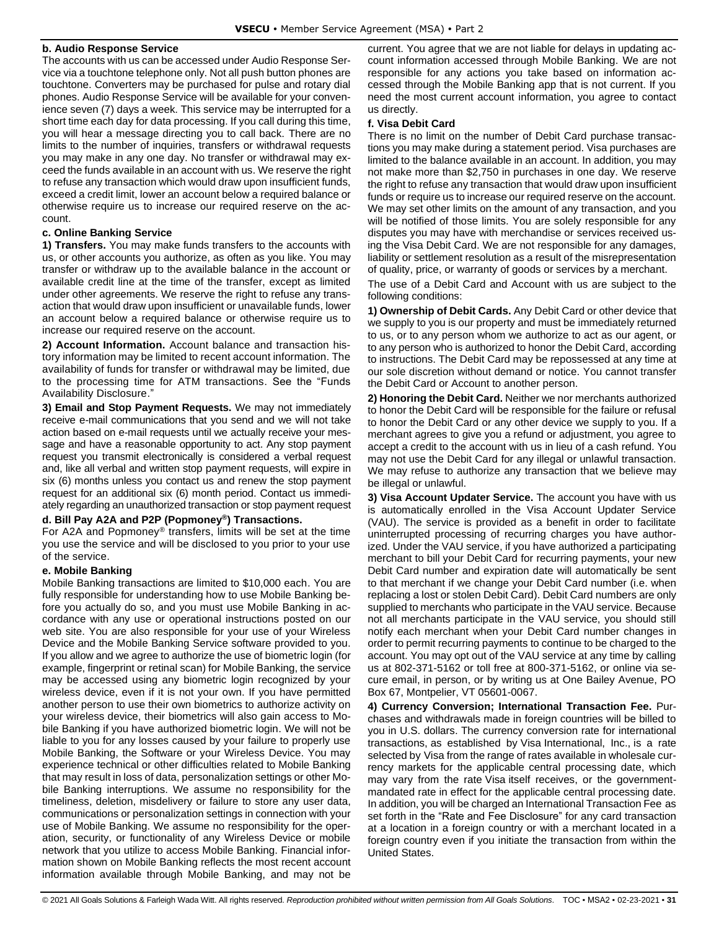## **b. Audio Response Service**

The accounts with us can be accessed under Audio Response Service via a touchtone telephone only. Not all push button phones are touchtone. Converters may be purchased for pulse and rotary dial phones. Audio Response Service will be available for your convenience seven (7) days a week. This service may be interrupted for a short time each day for data processing. If you call during this time, you will hear a message directing you to call back. There are no limits to the number of inquiries, transfers or withdrawal requests you may make in any one day. No transfer or withdrawal may exceed the funds available in an account with us. We reserve the right to refuse any transaction which would draw upon insufficient funds, exceed a credit limit, lower an account below a required balance or otherwise require us to increase our required reserve on the account.

## **c. Online Banking Service**

**1) Transfers.** You may make funds transfers to the accounts with us, or other accounts you authorize, as often as you like. You may transfer or withdraw up to the available balance in the account or available credit line at the time of the transfer, except as limited under other agreements. We reserve the right to refuse any transaction that would draw upon insufficient or unavailable funds, lower an account below a required balance or otherwise require us to increase our required reserve on the account.

**2) Account Information.** Account balance and transaction history information may be limited to recent account information. The availability of funds for transfer or withdrawal may be limited, due to the processing time for ATM transactions. See the "Funds Availability Disclosure."

**3) Email and Stop Payment Requests.** We may not immediately receive e-mail communications that you send and we will not take action based on e-mail requests until we actually receive your message and have a reasonable opportunity to act. Any stop payment request you transmit electronically is considered a verbal request and, like all verbal and written stop payment requests, will expire in six (6) months unless you contact us and renew the stop payment request for an additional six (6) month period. Contact us immediately regarding an unauthorized transaction or stop payment request

## **d. Bill Pay A2A and P2P (Popmoney®) Transactions.**

For A2A and Popmoney® transfers, limits will be set at the time you use the service and will be disclosed to you prior to your use of the service.

## **e. Mobile Banking**

Mobile Banking transactions are limited to \$10,000 each. You are fully responsible for understanding how to use Mobile Banking before you actually do so, and you must use Mobile Banking in accordance with any use or operational instructions posted on our web site. You are also responsible for your use of your Wireless Device and the Mobile Banking Service software provided to you. If you allow and we agree to authorize the use of biometric login (for example, fingerprint or retinal scan) for Mobile Banking, the service may be accessed using any biometric login recognized by your wireless device, even if it is not your own. If you have permitted another person to use their own biometrics to authorize activity on your wireless device, their biometrics will also gain access to Mobile Banking if you have authorized biometric login. We will not be liable to you for any losses caused by your failure to properly use Mobile Banking, the Software or your Wireless Device. You may experience technical or other difficulties related to Mobile Banking that may result in loss of data, personalization settings or other Mobile Banking interruptions. We assume no responsibility for the timeliness, deletion, misdelivery or failure to store any user data, communications or personalization settings in connection with your use of Mobile Banking. We assume no responsibility for the operation, security, or functionality of any Wireless Device or mobile network that you utilize to access Mobile Banking. Financial information shown on Mobile Banking reflects the most recent account information available through Mobile Banking, and may not be current. You agree that we are not liable for delays in updating account information accessed through Mobile Banking. We are not responsible for any actions you take based on information accessed through the Mobile Banking app that is not current. If you need the most current account information, you agree to contact us directly.

## **f. Visa Debit Card**

There is no limit on the number of Debit Card purchase transactions you may make during a statement period. Visa purchases are limited to the balance available in an account. In addition, you may not make more than \$2,750 in purchases in one day. We reserve the right to refuse any transaction that would draw upon insufficient funds or require us to increase our required reserve on the account. We may set other limits on the amount of any transaction, and you will be notified of those limits. You are solely responsible for any disputes you may have with merchandise or services received using the Visa Debit Card. We are not responsible for any damages, liability or settlement resolution as a result of the misrepresentation of quality, price, or warranty of goods or services by a merchant.

The use of a Debit Card and Account with us are subject to the following conditions:

**1) Ownership of Debit Cards.** Any Debit Card or other device that we supply to you is our property and must be immediately returned to us, or to any person whom we authorize to act as our agent, or to any person who is authorized to honor the Debit Card, according to instructions. The Debit Card may be repossessed at any time at our sole discretion without demand or notice. You cannot transfer the Debit Card or Account to another person.

**2) Honoring the Debit Card.** Neither we nor merchants authorized to honor the Debit Card will be responsible for the failure or refusal to honor the Debit Card or any other device we supply to you. If a merchant agrees to give you a refund or adjustment, you agree to accept a credit to the account with us in lieu of a cash refund. You may not use the Debit Card for any illegal or unlawful transaction. We may refuse to authorize any transaction that we believe may be illegal or unlawful.

**3) Visa Account Updater Service.** The account you have with us is automatically enrolled in the Visa Account Updater Service (VAU). The service is provided as a benefit in order to facilitate uninterrupted processing of recurring charges you have authorized. Under the VAU service, if you have authorized a participating merchant to bill your Debit Card for recurring payments, your new Debit Card number and expiration date will automatically be sent to that merchant if we change your Debit Card number (i.e. when replacing a lost or stolen Debit Card). Debit Card numbers are only supplied to merchants who participate in the VAU service. Because not all merchants participate in the VAU service, you should still notify each merchant when your Debit Card number changes in order to permit recurring payments to continue to be charged to the account. You may opt out of the VAU service at any time by calling us at 802-371-5162 or toll free at 800-371-5162, or online via secure email, in person, or by writing us at One Bailey Avenue, PO Box 67, Montpelier, VT 05601-0067.

**4) Currency Conversion; International Transaction Fee.** Purchases and withdrawals made in foreign countries will be billed to you in U.S. dollars. The currency conversion rate for international transactions, as established by Visa International, Inc., is a rate selected by Visa from the range of rates available in wholesale currency markets for the applicable central processing date, which may vary from the rate Visa itself receives, or the governmentmandated rate in effect for the applicable central processing date. In addition, you will be charged an International Transaction Fee as set forth in the "Rate and Fee Disclosure" for any card transaction at a location in a foreign country or with a merchant located in a foreign country even if you initiate the transaction from within the United States.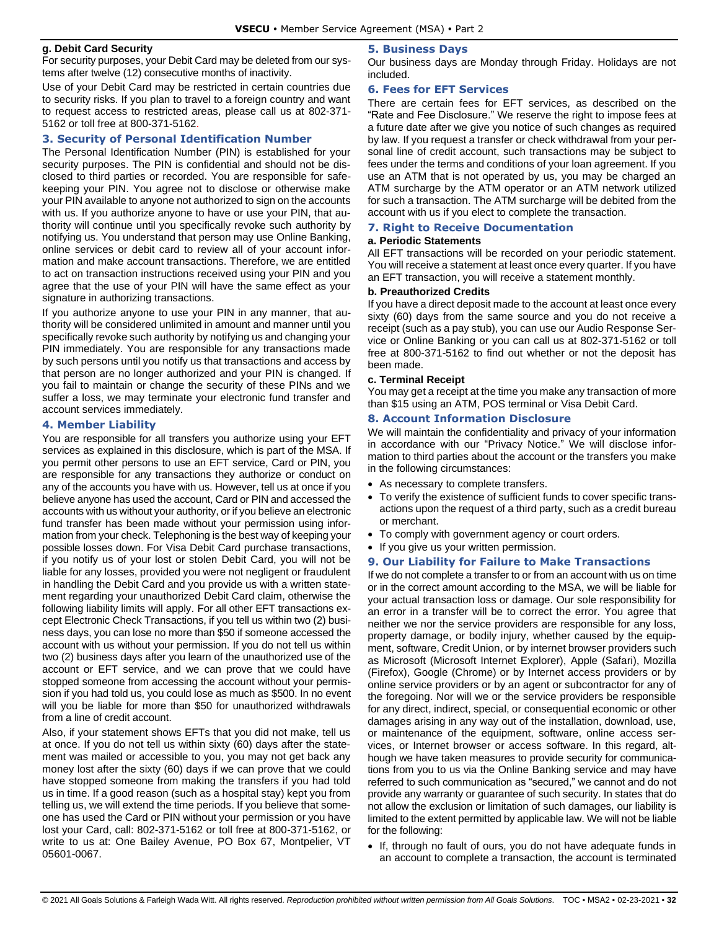#### **g. Debit Card Security**

For security purposes, your Debit Card may be deleted from our systems after twelve (12) consecutive months of inactivity.

Use of your Debit Card may be restricted in certain countries due to security risks. If you plan to travel to a foreign country and want to request access to restricted areas, please call us at 802-371- 5162 or toll free at 800-371-5162.

## <span id="page-31-0"></span>**3. Security of Personal Identification Number**

The Personal Identification Number (PIN) is established for your security purposes. The PIN is confidential and should not be disclosed to third parties or recorded. You are responsible for safekeeping your PIN. You agree not to disclose or otherwise make your PIN available to anyone not authorized to sign on the accounts with us. If you authorize anyone to have or use your PIN, that authority will continue until you specifically revoke such authority by notifying us. You understand that person may use Online Banking, online services or debit card to review all of your account information and make account transactions. Therefore, we are entitled to act on transaction instructions received using your PIN and you agree that the use of your PIN will have the same effect as your signature in authorizing transactions.

If you authorize anyone to use your PIN in any manner, that authority will be considered unlimited in amount and manner until you specifically revoke such authority by notifying us and changing your PIN immediately. You are responsible for any transactions made by such persons until you notify us that transactions and access by that person are no longer authorized and your PIN is changed. If you fail to maintain or change the security of these PINs and we suffer a loss, we may terminate your electronic fund transfer and account services immediately.

#### <span id="page-31-1"></span>**4. Member Liability**

You are responsible for all transfers you authorize using your EFT services as explained in this disclosure, which is part of the MSA. If you permit other persons to use an EFT service, Card or PIN, you are responsible for any transactions they authorize or conduct on any of the accounts you have with us. However, tell us at once if you believe anyone has used the account, Card or PIN and accessed the accounts with us without your authority, or if you believe an electronic fund transfer has been made without your permission using information from your check. Telephoning is the best way of keeping your possible losses down. For Visa Debit Card purchase transactions, if you notify us of your lost or stolen Debit Card, you will not be liable for any losses, provided you were not negligent or fraudulent in handling the Debit Card and you provide us with a written statement regarding your unauthorized Debit Card claim, otherwise the following liability limits will apply. For all other EFT transactions except Electronic Check Transactions, if you tell us within two (2) business days, you can lose no more than \$50 if someone accessed the account with us without your permission. If you do not tell us within two (2) business days after you learn of the unauthorized use of the account or EFT service, and we can prove that we could have stopped someone from accessing the account without your permission if you had told us, you could lose as much as \$500. In no event will you be liable for more than \$50 for unauthorized withdrawals from a line of credit account.

Also, if your statement shows EFTs that you did not make, tell us at once. If you do not tell us within sixty (60) days after the statement was mailed or accessible to you, you may not get back any money lost after the sixty (60) days if we can prove that we could have stopped someone from making the transfers if you had told us in time. If a good reason (such as a hospital stay) kept you from telling us, we will extend the time periods. If you believe that someone has used the Card or PIN without your permission or you have lost your Card, call: 802-371-5162 or toll free at 800-371-5162, or write to us at: One Bailey Avenue, PO Box 67, Montpelier, VT 05601-0067.

#### <span id="page-31-2"></span>**5. Business Days**

Our business days are Monday through Friday. Holidays are not included.

#### <span id="page-31-3"></span>**6. Fees for EFT Services**

There are certain fees for EFT services, as described on the "Rate and Fee Disclosure." We reserve the right to impose fees at a future date after we give you notice of such changes as required by law. If you request a transfer or check withdrawal from your personal line of credit account, such transactions may be subject to fees under the terms and conditions of your loan agreement. If you use an ATM that is not operated by us, you may be charged an ATM surcharge by the ATM operator or an ATM network utilized for such a transaction. The ATM surcharge will be debited from the account with us if you elect to complete the transaction.

## <span id="page-31-4"></span>**7. Right to Receive Documentation**

#### **a. Periodic Statements**

All EFT transactions will be recorded on your periodic statement. You will receive a statement at least once every quarter. If you have an EFT transaction, you will receive a statement monthly.

#### **b. Preauthorized Credits**

If you have a direct deposit made to the account at least once every sixty (60) days from the same source and you do not receive a receipt (such as a pay stub), you can use our Audio Response Service or Online Banking or you can call us at 802-371-5162 or toll free at 800-371-5162 to find out whether or not the deposit has been made.

#### **c. Terminal Receipt**

You may get a receipt at the time you make any transaction of more than \$15 using an ATM, POS terminal or Visa Debit Card.

## <span id="page-31-5"></span>**8. Account Information Disclosure**

We will maintain the confidentiality and privacy of your information in accordance with our "Privacy Notice." We will disclose information to third parties about the account or the transfers you make in the following circumstances:

- As necessary to complete transfers.
- To verify the existence of sufficient funds to cover specific transactions upon the request of a third party, such as a credit bureau or merchant.
- To comply with government agency or court orders.
- If you give us your written permission.

## <span id="page-31-6"></span>**9. Our Liability for Failure to Make Transactions**

If we do not complete a transfer to or from an account with us on time or in the correct amount according to the MSA, we will be liable for your actual transaction loss or damage. Our sole responsibility for an error in a transfer will be to correct the error. You agree that neither we nor the service providers are responsible for any loss, property damage, or bodily injury, whether caused by the equipment, software, Credit Union, or by internet browser providers such as Microsoft (Microsoft Internet Explorer), Apple (Safari), Mozilla (Firefox), Google (Chrome) or by Internet access providers or by online service providers or by an agent or subcontractor for any of the foregoing. Nor will we or the service providers be responsible for any direct, indirect, special, or consequential economic or other damages arising in any way out of the installation, download, use, or maintenance of the equipment, software, online access services, or Internet browser or access software. In this regard, although we have taken measures to provide security for communications from you to us via the Online Banking service and may have referred to such communication as "secured," we cannot and do not provide any warranty or guarantee of such security. In states that do not allow the exclusion or limitation of such damages, our liability is limited to the extent permitted by applicable law. We will not be liable for the following:

• If, through no fault of ours, you do not have adequate funds in an account to complete a transaction, the account is terminated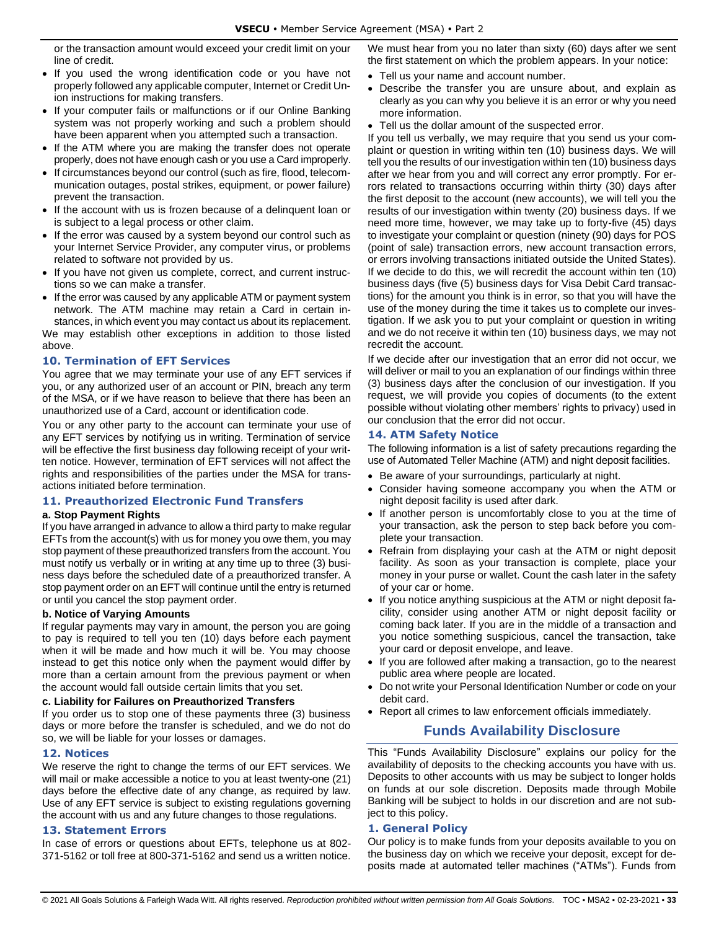or the transaction amount would exceed your credit limit on your line of credit.

- If you used the wrong identification code or you have not properly followed any applicable computer, Internet or Credit Union instructions for making transfers.
- If your computer fails or malfunctions or if our Online Banking system was not properly working and such a problem should have been apparent when you attempted such a transaction.
- If the ATM where you are making the transfer does not operate properly, does not have enough cash or you use a Card improperly.
- If circumstances beyond our control (such as fire, flood, telecommunication outages, postal strikes, equipment, or power failure) prevent the transaction.
- If the account with us is frozen because of a delinquent loan or is subject to a legal process or other claim.
- If the error was caused by a system beyond our control such as your Internet Service Provider, any computer virus, or problems related to software not provided by us.
- If you have not given us complete, correct, and current instructions so we can make a transfer.
- If the error was caused by any applicable ATM or payment system network. The ATM machine may retain a Card in certain instances, in which event you may contact us about its replacement.

We may establish other exceptions in addition to those listed above.

## <span id="page-32-0"></span>**10. Termination of EFT Services**

You agree that we may terminate your use of any EFT services if you, or any authorized user of an account or PIN, breach any term of the MSA, or if we have reason to believe that there has been an unauthorized use of a Card, account or identification code.

You or any other party to the account can terminate your use of any EFT services by notifying us in writing. Termination of service will be effective the first business day following receipt of your written notice. However, termination of EFT services will not affect the rights and responsibilities of the parties under the MSA for transactions initiated before termination.

## <span id="page-32-1"></span>**11. Preauthorized Electronic Fund Transfers**

#### **a. Stop Payment Rights**

If you have arranged in advance to allow a third party to make regular EFTs from the account(s) with us for money you owe them, you may stop payment of these preauthorized transfers from the account. You must notify us verbally or in writing at any time up to three (3) business days before the scheduled date of a preauthorized transfer. A stop payment order on an EFT will continue until the entry is returned or until you cancel the stop payment order.

#### **b. Notice of Varying Amounts**

If regular payments may vary in amount, the person you are going to pay is required to tell you ten (10) days before each payment when it will be made and how much it will be. You may choose instead to get this notice only when the payment would differ by more than a certain amount from the previous payment or when the account would fall outside certain limits that you set.

#### **c. Liability for Failures on Preauthorized Transfers**

If you order us to stop one of these payments three (3) business days or more before the transfer is scheduled, and we do not do so, we will be liable for your losses or damages.

#### <span id="page-32-2"></span>**12. Notices**

We reserve the right to change the terms of our EFT services. We will mail or make accessible a notice to you at least twenty-one (21) days before the effective date of any change, as required by law. Use of any EFT service is subject to existing regulations governing the account with us and any future changes to those regulations.

#### <span id="page-32-3"></span>**13. Statement Errors**

In case of errors or questions about EFTs, telephone us at 802- 371-5162 or toll free at 800-371-5162 and send us a written notice.

We must hear from you no later than sixty (60) days after we sent the first statement on which the problem appears. In your notice:

- Tell us your name and account number.
- Describe the transfer you are unsure about, and explain as clearly as you can why you believe it is an error or why you need more information.
- Tell us the dollar amount of the suspected error.

If you tell us verbally, we may require that you send us your complaint or question in writing within ten (10) business days. We will tell you the results of our investigation within ten (10) business days after we hear from you and will correct any error promptly. For errors related to transactions occurring within thirty (30) days after the first deposit to the account (new accounts), we will tell you the results of our investigation within twenty (20) business days. If we need more time, however, we may take up to forty-five (45) days to investigate your complaint or question (ninety (90) days for POS (point of sale) transaction errors, new account transaction errors, or errors involving transactions initiated outside the United States). If we decide to do this, we will recredit the account within ten (10) business days (five (5) business days for Visa Debit Card transactions) for the amount you think is in error, so that you will have the use of the money during the time it takes us to complete our investigation. If we ask you to put your complaint or question in writing and we do not receive it within ten (10) business days, we may not recredit the account.

If we decide after our investigation that an error did not occur, we will deliver or mail to you an explanation of our findings within three (3) business days after the conclusion of our investigation. If you request, we will provide you copies of documents (to the extent possible without violating other members' rights to privacy) used in our conclusion that the error did not occur.

#### <span id="page-32-4"></span>**14. ATM Safety Notice**

The following information is a list of safety precautions regarding the use of Automated Teller Machine (ATM) and night deposit facilities.

- Be aware of your surroundings, particularly at night.
- Consider having someone accompany you when the ATM or night deposit facility is used after dark.
- If another person is uncomfortably close to you at the time of your transaction, ask the person to step back before you complete your transaction.
- Refrain from displaying your cash at the ATM or night deposit facility. As soon as your transaction is complete, place your money in your purse or wallet. Count the cash later in the safety of your car or home.
- If you notice anything suspicious at the ATM or night deposit facility, consider using another ATM or night deposit facility or coming back later. If you are in the middle of a transaction and you notice something suspicious, cancel the transaction, take your card or deposit envelope, and leave.
- If you are followed after making a transaction, go to the nearest public area where people are located.
- Do not write your Personal Identification Number or code on your debit card.
- <span id="page-32-5"></span>• Report all crimes to law enforcement officials immediately.

# **Funds Availability Disclosure**

This "Funds Availability Disclosure" explains our policy for the availability of deposits to the checking accounts you have with us. Deposits to other accounts with us may be subject to longer holds on funds at our sole discretion. Deposits made through Mobile Banking will be subject to holds in our discretion and are not subject to this policy.

#### <span id="page-32-6"></span>**1. General Policy**

Our policy is to make funds from your deposits available to you on the business day on which we receive your deposit, except for deposits made at automated teller machines ("ATMs"). Funds from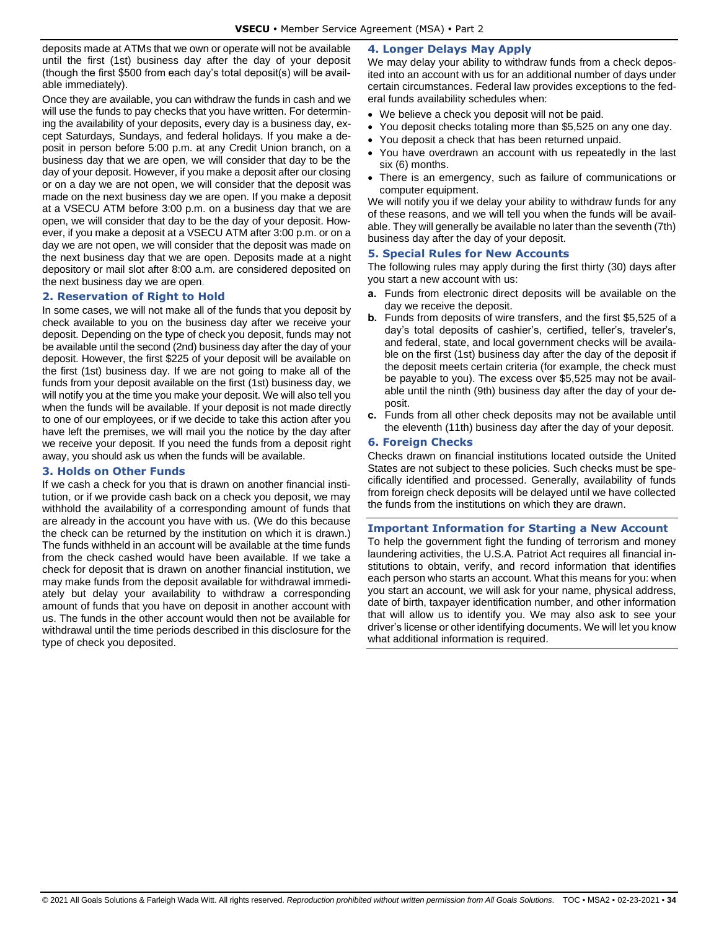deposits made at ATMs that we own or operate will not be available until the first (1st) business day after the day of your deposit (though the first \$500 from each day's total deposit(s) will be available immediately).

Once they are available, you can withdraw the funds in cash and we will use the funds to pay checks that you have written. For determining the availability of your deposits, every day is a business day, except Saturdays, Sundays, and federal holidays. If you make a deposit in person before 5:00 p.m. at any Credit Union branch, on a business day that we are open, we will consider that day to be the day of your deposit. However, if you make a deposit after our closing or on a day we are not open, we will consider that the deposit was made on the next business day we are open. If you make a deposit at a VSECU ATM before 3:00 p.m. on a business day that we are open, we will consider that day to be the day of your deposit. However, if you make a deposit at a VSECU ATM after 3:00 p.m. or on a day we are not open, we will consider that the deposit was made on the next business day that we are open. Deposits made at a night depository or mail slot after 8:00 a.m. are considered deposited on the next business day we are open.

## <span id="page-33-0"></span>**2. Reservation of Right to Hold**

In some cases, we will not make all of the funds that you deposit by check available to you on the business day after we receive your deposit. Depending on the type of check you deposit, funds may not be available until the second (2nd) business day after the day of your deposit. However, the first \$225 of your deposit will be available on the first (1st) business day. If we are not going to make all of the funds from your deposit available on the first (1st) business day, we will notify you at the time you make your deposit. We will also tell you when the funds will be available. If your deposit is not made directly to one of our employees, or if we decide to take this action after you have left the premises, we will mail you the notice by the day after we receive your deposit. If you need the funds from a deposit right away, you should ask us when the funds will be available.

## <span id="page-33-1"></span>**3. Holds on Other Funds**

<span id="page-33-2"></span>If we cash a check for you that is drawn on another financial institution, or if we provide cash back on a check you deposit, we may withhold the availability of a corresponding amount of funds that are already in the account you have with us. (We do this because the check can be returned by the institution on which it is drawn.) The funds withheld in an account will be available at the time funds from the check cashed would have been available. If we take a check for deposit that is drawn on another financial institution, we may make funds from the deposit available for withdrawal immediately but delay your availability to withdraw a corresponding amount of funds that you have on deposit in another account with us. The funds in the other account would then not be available for withdrawal until the time periods described in this disclosure for the type of check you deposited.

## **4. Longer Delays May Apply**

We may delay your ability to withdraw funds from a check deposited into an account with us for an additional number of days under certain circumstances. Federal law provides exceptions to the federal funds availability schedules when:

- We believe a check you deposit will not be paid.
- You deposit checks totaling more than \$5,525 on any one day.
- You deposit a check that has been returned unpaid.
- You have overdrawn an account with us repeatedly in the last six (6) months.
- There is an emergency, such as failure of communications or computer equipment.

We will notify you if we delay your ability to withdraw funds for any of these reasons, and we will tell you when the funds will be available. They will generally be available no later than the seventh (7th) business day after the day of your deposit.

## <span id="page-33-3"></span>**5. Special Rules for New Accounts**

The following rules may apply during the first thirty (30) days after you start a new account with us:

- **a.** Funds from electronic direct deposits will be available on the day we receive the deposit.
- **b.** Funds from deposits of wire transfers, and the first \$5,525 of a day's total deposits of cashier's, certified, teller's, traveler's, and federal, state, and local government checks will be available on the first (1st) business day after the day of the deposit if the deposit meets certain criteria (for example, the check must be payable to you). The excess over \$5,525 may not be available until the ninth (9th) business day after the day of your deposit.
- **c.** Funds from all other check deposits may not be available until the eleventh (11th) business day after the day of your deposit.

#### <span id="page-33-4"></span>**6. Foreign Checks**

Checks drawn on financial institutions located outside the United States are not subject to these policies. Such checks must be specifically identified and processed. Generally, availability of funds from foreign check deposits will be delayed until we have collected the funds from the institutions on which they are drawn.

#### <span id="page-33-5"></span>**Important Information for Starting a New Account**

To help the government fight the funding of terrorism and money laundering activities, the U.S.A. Patriot Act requires all financial institutions to obtain, verify, and record information that identifies each person who starts an account. What this means for you: when you start an account, we will ask for your name, physical address, date of birth, taxpayer identification number, and other information that will allow us to identify you. We may also ask to see your driver's license or other identifying documents. We will let you know what additional information is required.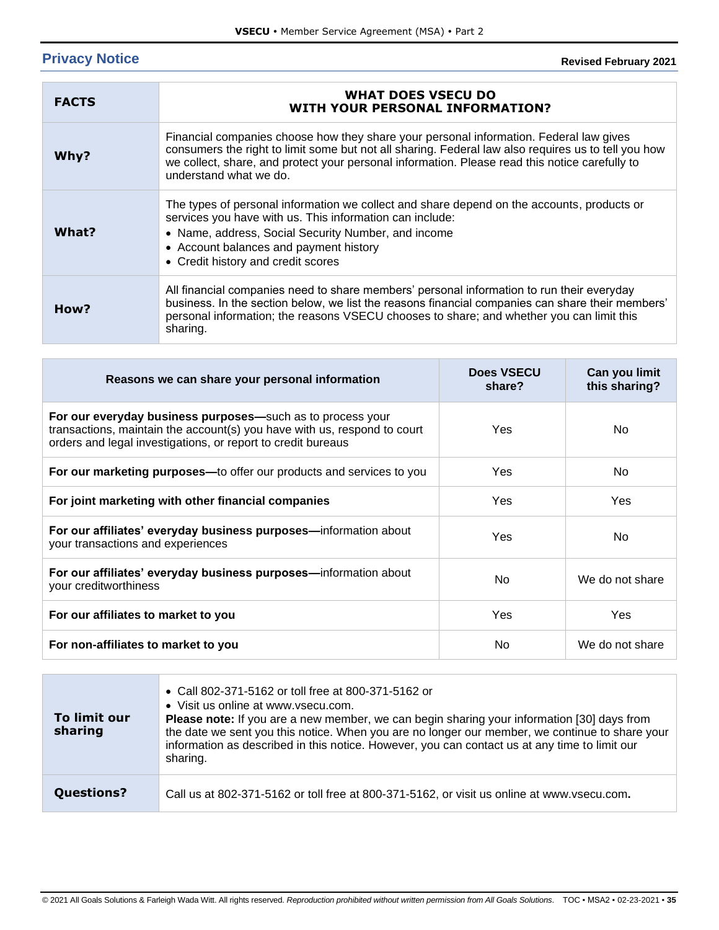# <span id="page-34-0"></span>**Privacy Notice**

| <b>FACTS</b> | <b>WHAT DOES VSECU DO</b><br><b>WITH YOUR PERSONAL INFORMATION?</b>                                                                                                                                                                                                                                                       |
|--------------|---------------------------------------------------------------------------------------------------------------------------------------------------------------------------------------------------------------------------------------------------------------------------------------------------------------------------|
| Why?         | Financial companies choose how they share your personal information. Federal law gives<br>consumers the right to limit some but not all sharing. Federal law also requires us to tell you how<br>we collect, share, and protect your personal information. Please read this notice carefully to<br>understand what we do. |
| What?        | The types of personal information we collect and share depend on the accounts, products or<br>services you have with us. This information can include:<br>• Name, address, Social Security Number, and income<br>• Account balances and payment history<br>• Credit history and credit scores                             |
| How?         | All financial companies need to share members' personal information to run their everyday<br>business. In the section below, we list the reasons financial companies can share their members'<br>personal information; the reasons VSECU chooses to share; and whether you can limit this<br>sharing.                     |

| Reasons we can share your personal information                                                                                                                                                         | Does VSECU<br>share? | Can you limit<br>this sharing? |
|--------------------------------------------------------------------------------------------------------------------------------------------------------------------------------------------------------|----------------------|--------------------------------|
| For our everyday business purposes-such as to process your<br>transactions, maintain the account(s) you have with us, respond to court<br>orders and legal investigations, or report to credit bureaus | Yes                  | No.                            |
| For our marketing purposes—to offer our products and services to you                                                                                                                                   | Yes                  | No.                            |
| For joint marketing with other financial companies                                                                                                                                                     | Yes                  | Yes                            |
| For our affiliates' everyday business purposes—information about<br>your transactions and experiences                                                                                                  | Yes                  | No.                            |
| For our affiliates' everyday business purposes-information about<br>your creditworthiness                                                                                                              | No.                  | We do not share                |
| For our affiliates to market to you                                                                                                                                                                    | Yes                  | <b>Yes</b>                     |
| For non-affiliates to market to you                                                                                                                                                                    | No.                  | We do not share                |

| To limit our<br>sharing | • Call 802-371-5162 or toll free at 800-371-5162 or<br>• Visit us online at www.vsecu.com.<br><b>Please note:</b> If you are a new member, we can begin sharing your information [30] days from<br>the date we sent you this notice. When you are no longer our member, we continue to share your<br>information as described in this notice. However, you can contact us at any time to limit our<br>sharing. |
|-------------------------|----------------------------------------------------------------------------------------------------------------------------------------------------------------------------------------------------------------------------------------------------------------------------------------------------------------------------------------------------------------------------------------------------------------|
| <b>Questions?</b>       | Call us at 802-371-5162 or toll free at 800-371-5162, or visit us online at www.vsecu.com.                                                                                                                                                                                                                                                                                                                     |